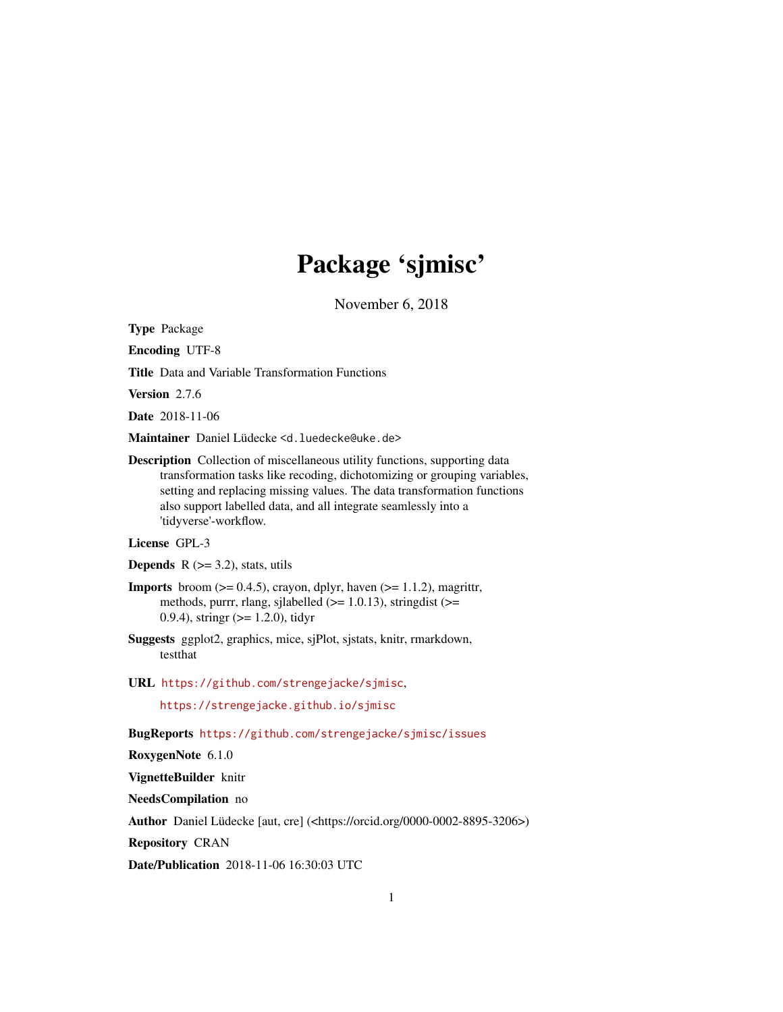# Package 'sjmisc'

November 6, 2018

<span id="page-0-0"></span>Type Package

Encoding UTF-8

Title Data and Variable Transformation Functions

Version 2.7.6

Date 2018-11-06

Maintainer Daniel Lüdecke <d. luedecke@uke.de>

Description Collection of miscellaneous utility functions, supporting data transformation tasks like recoding, dichotomizing or grouping variables, setting and replacing missing values. The data transformation functions also support labelled data, and all integrate seamlessly into a 'tidyverse'-workflow.

# License GPL-3

**Depends**  $R$  ( $>=$  3.2), stats, utils

- **Imports** broom  $(>= 0.4.5)$ , crayon, dplyr, haven  $(>= 1.1.2)$ , magrittr, methods, purrr, rlang, sjlabelled  $(>= 1.0.13)$ , stringdist  $(>=$ 0.9.4), stringr (>= 1.2.0), tidyr
- Suggests ggplot2, graphics, mice, sjPlot, sjstats, knitr, rmarkdown, testthat
- URL <https://github.com/strengejacke/sjmisc>,

<https://strengejacke.github.io/sjmisc>

BugReports <https://github.com/strengejacke/sjmisc/issues>

RoxygenNote 6.1.0

VignetteBuilder knitr

NeedsCompilation no

Author Daniel Lüdecke [aut, cre] (<https://orcid.org/0000-0002-8895-3206>)

Repository CRAN

Date/Publication 2018-11-06 16:30:03 UTC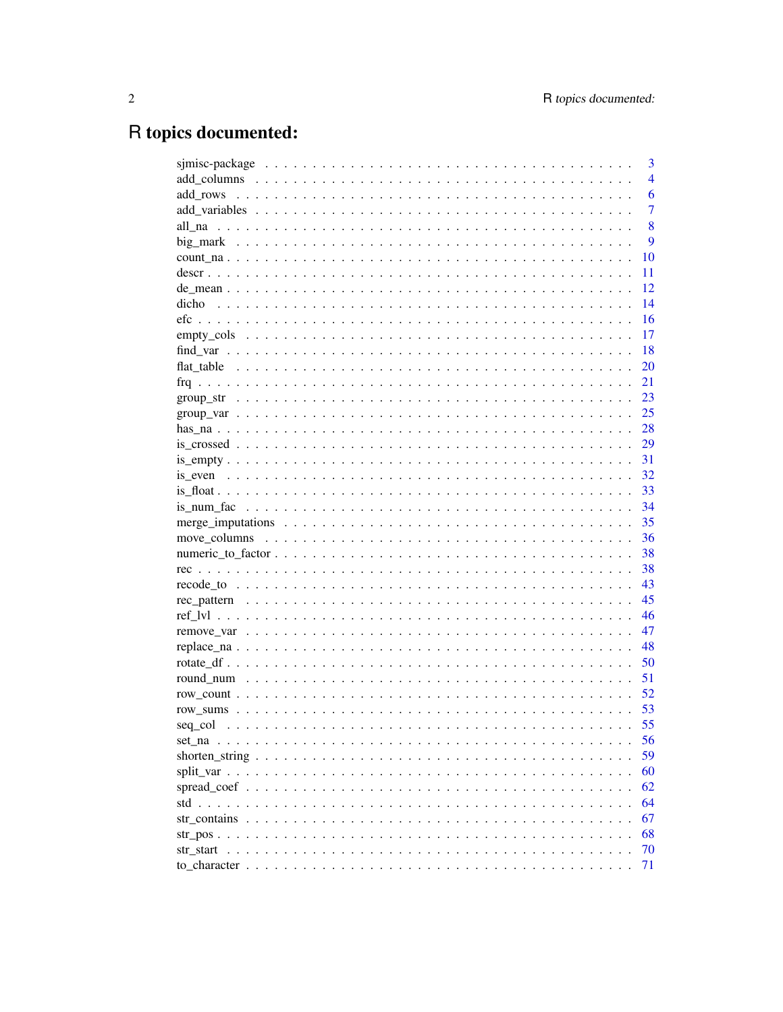# R topics documented:

|       | 3              |
|-------|----------------|
|       | $\overline{4}$ |
|       | 6              |
|       | $\overline{7}$ |
|       | 8              |
|       | 9              |
|       | 10             |
|       | 11             |
|       | 12             |
| dicho | 14             |
|       | 16             |
|       | 17             |
|       | 18             |
|       | 20             |
|       | 21             |
|       | 23             |
|       |                |
|       |                |
|       | 29             |
|       | 31             |
|       | 32             |
|       | 33             |
|       | 34             |
|       | 35             |
|       | 36             |
|       | 38             |
|       | 38             |
|       | 43             |
|       | 45             |
|       | 46             |
|       | 47             |
|       | 48             |
|       | 50             |
|       | 51             |
|       | 52             |
|       | 53             |
|       | 55             |
|       | 56             |
|       | 59             |
|       | 60             |
|       | 62             |
|       | 64             |
|       | 67             |
|       | 68             |
|       | 70             |
|       | 71             |
|       |                |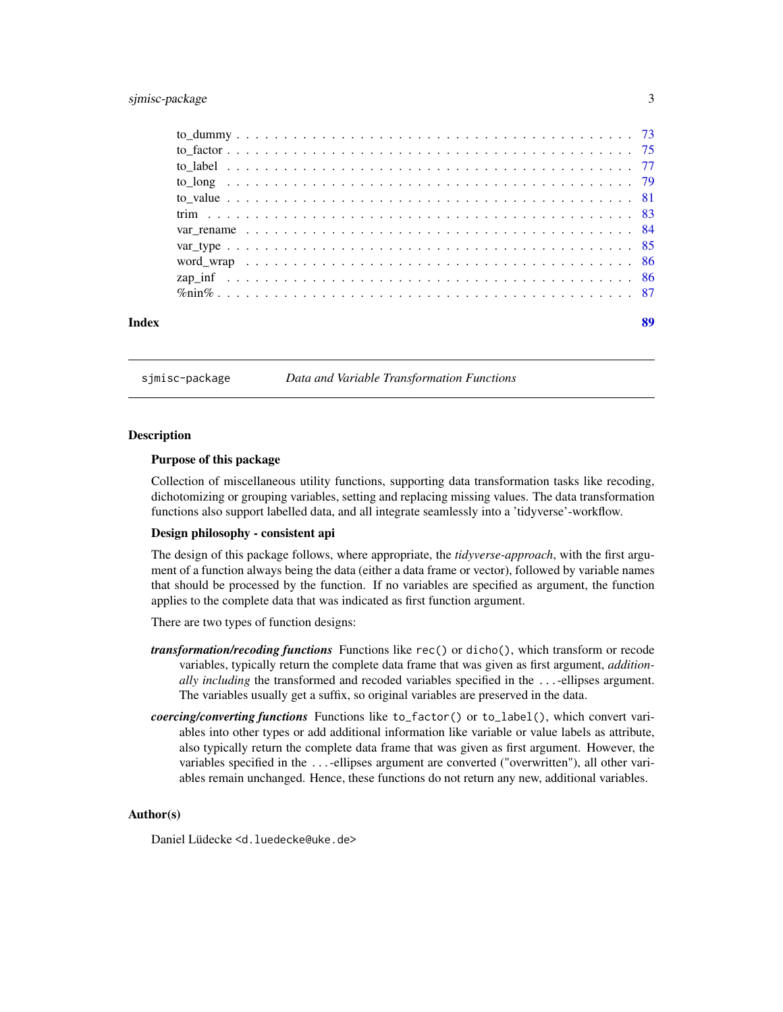# <span id="page-2-0"></span>sjmisc-package 3

| Index | 89 |
|-------|----|
|       |    |
|       |    |
|       |    |
|       |    |
|       |    |
|       |    |
|       |    |
|       |    |
|       |    |
|       |    |
|       |    |

sjmisc-package *Data and Variable Transformation Functions*

#### Description

#### Purpose of this package

Collection of miscellaneous utility functions, supporting data transformation tasks like recoding, dichotomizing or grouping variables, setting and replacing missing values. The data transformation functions also support labelled data, and all integrate seamlessly into a 'tidyverse'-workflow.

# Design philosophy - consistent api

The design of this package follows, where appropriate, the *tidyverse-approach*, with the first argument of a function always being the data (either a data frame or vector), followed by variable names that should be processed by the function. If no variables are specified as argument, the function applies to the complete data that was indicated as first function argument.

There are two types of function designs:

- *transformation/recoding functions* Functions like rec() or dicho(), which transform or recode variables, typically return the complete data frame that was given as first argument, *additionally including* the transformed and recoded variables specified in the ...-ellipses argument. The variables usually get a suffix, so original variables are preserved in the data.
- *coercing/converting functions* Functions like to\_factor() or to\_label(), which convert variables into other types or add additional information like variable or value labels as attribute, also typically return the complete data frame that was given as first argument. However, the variables specified in the ...-ellipses argument are converted ("overwritten"), all other variables remain unchanged. Hence, these functions do not return any new, additional variables.

#### Author(s)

Daniel Lüdecke <d. luedecke@uke.de>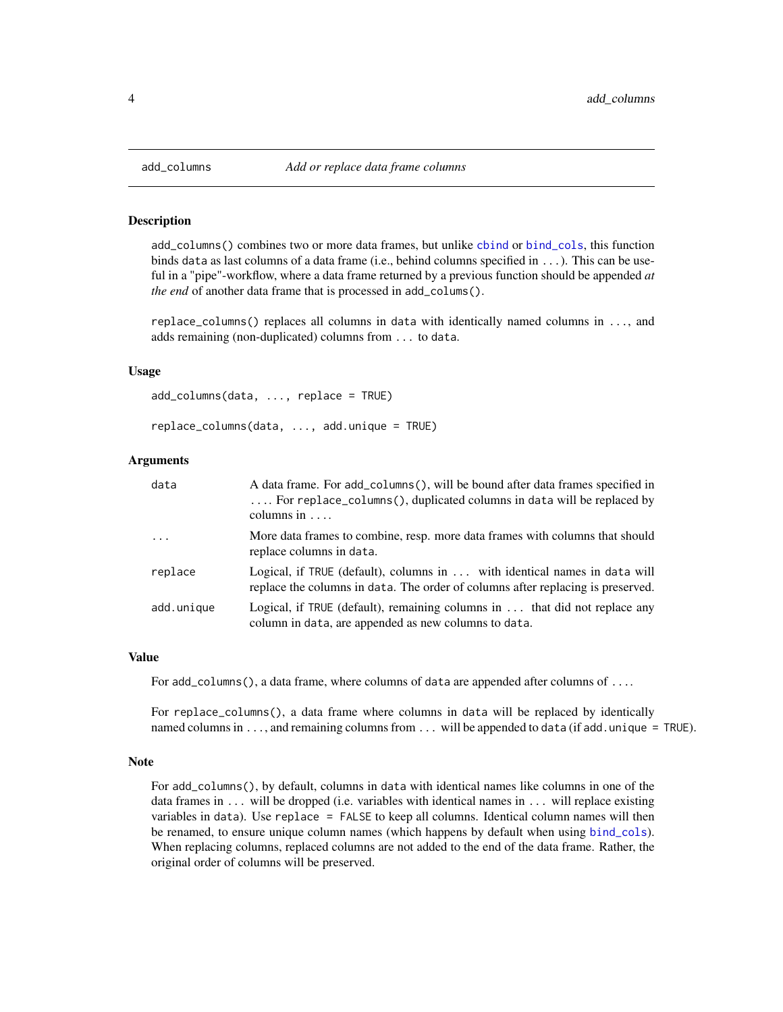<span id="page-3-0"></span>

#### Description

add\_columns() combines two or more data frames, but unlike [cbind](#page-0-0) or [bind\\_cols](#page-0-0), this function binds data as last columns of a data frame (i.e., behind columns specified in ...). This can be useful in a "pipe"-workflow, where a data frame returned by a previous function should be appended *at the end* of another data frame that is processed in add\_colums().

replace\_columns() replaces all columns in data with identically named columns in ..., and adds remaining (non-duplicated) columns from ... to data.

#### Usage

```
add_columns(data, ..., replace = TRUE)
```

```
replace_columns(data, ..., add.unique = TRUE)
```
#### Arguments

| data       | A data frame. For add_columns(), will be bound after data frames specified in<br>For replace_columns(), duplicated columns in data will be replaced by<br>columns in $\dots$ |
|------------|------------------------------------------------------------------------------------------------------------------------------------------------------------------------------|
| $\cdots$   | More data frames to combine, resp. more data frames with columns that should<br>replace columns in data.                                                                     |
| replace    | Logical, if TRUE (default), columns in  with identical names in data will<br>replace the columns in data. The order of columns after replacing is preserved.                 |
| add.unique | Logical, if TRUE (default), remaining columns in $\ldots$ that did not replace any<br>column in data, are appended as new columns to data.                                   |

#### Value

For add\_columns(), a data frame, where columns of data are appended after columns of ....

For replace\_columns(), a data frame where columns in data will be replaced by identically named columns in ..., and remaining columns from ... will be appended to data (if add.unique = TRUE).

#### Note

For add\_columns(), by default, columns in data with identical names like columns in one of the data frames in ... will be dropped (i.e. variables with identical names in ... will replace existing variables in data). Use replace = FALSE to keep all columns. Identical column names will then be renamed, to ensure unique column names (which happens by default when using [bind\\_cols](#page-0-0)). When replacing columns, replaced columns are not added to the end of the data frame. Rather, the original order of columns will be preserved.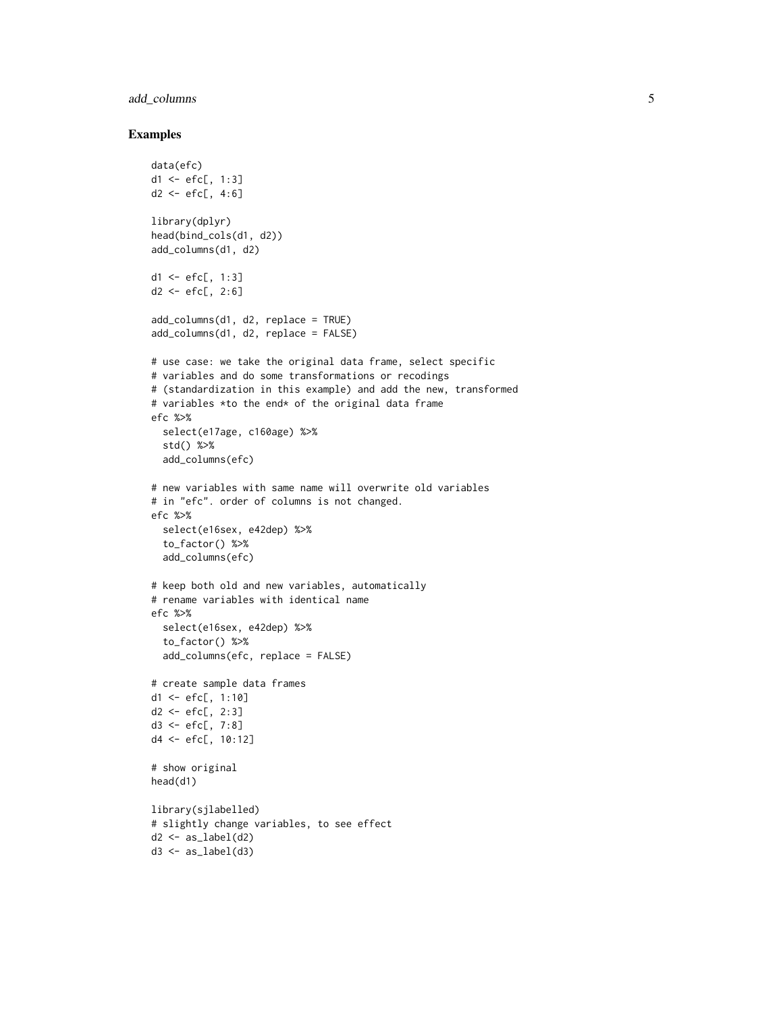# add\_columns 5

```
data(efc)
d1 <- efc[, 1:3]
d2 <- efc[, 4:6]
library(dplyr)
head(bind_cols(d1, d2))
add_columns(d1, d2)
d1 <- efc[, 1:3]
d2 < -efc[, 2:6]add_columns(d1, d2, replace = TRUE)
add_columns(d1, d2, replace = FALSE)
# use case: we take the original data frame, select specific
# variables and do some transformations or recodings
# (standardization in this example) and add the new, transformed
# variables *to the end* of the original data frame
efc %>%
  select(e17age, c160age) %>%
  std() %>%
  add_columns(efc)
# new variables with same name will overwrite old variables
# in "efc". order of columns is not changed.
efc %>%
  select(e16sex, e42dep) %>%
  to_factor() %>%
  add_columns(efc)
# keep both old and new variables, automatically
# rename variables with identical name
efc %>%
  select(e16sex, e42dep) %>%
  to_factor() %>%
  add_columns(efc, replace = FALSE)
# create sample data frames
d1 <- efc[, 1:10]d2 <- efc[, 2:3]
d3 <- efc[, 7:8]
d4 <- efc[, 10:12]
# show original
head(d1)
library(sjlabelled)
# slightly change variables, to see effect
d2 \leq -as\_label(d2)d3 \leq -as\_label(d3)
```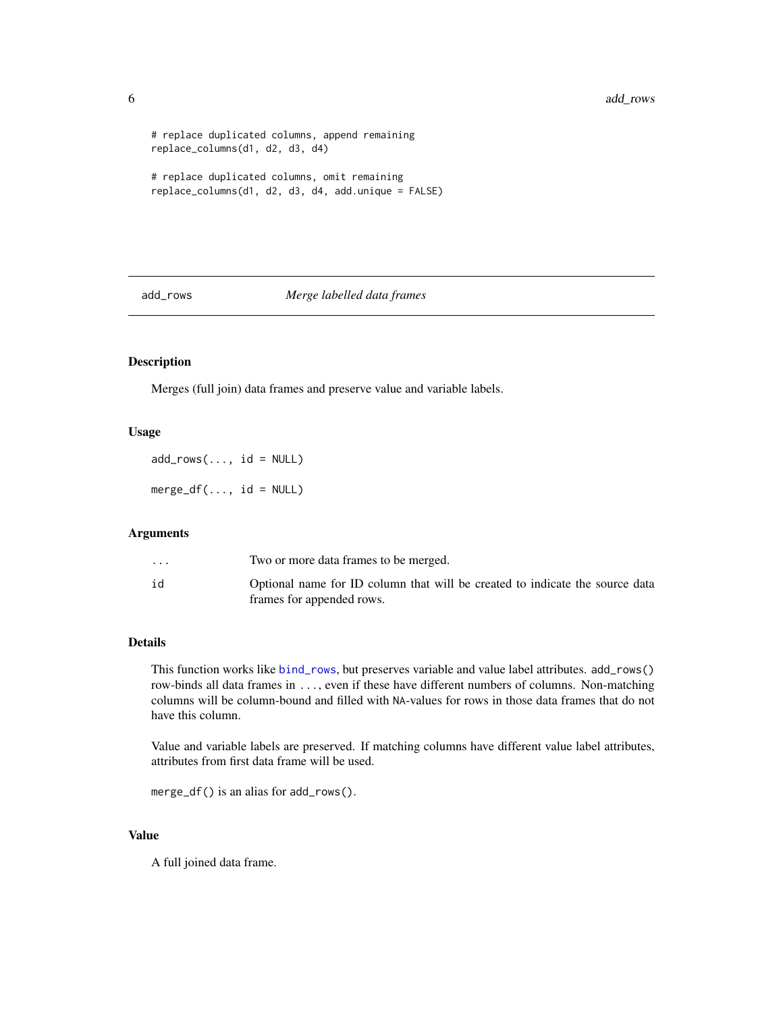```
# replace duplicated columns, append remaining
replace_columns(d1, d2, d3, d4)
# replace duplicated columns, omit remaining
replace_columns(d1, d2, d3, d4, add.unique = FALSE)
```
# add\_rows *Merge labelled data frames*

# Description

Merges (full join) data frames and preserve value and variable labels.

#### Usage

 $add\_rows(..., id = NULL)$ 

 $merge_df(..., id = NULL)$ 

### Arguments

| $\cdot$ $\cdot$ $\cdot$ | Two or more data frames to be merged.                                                                     |
|-------------------------|-----------------------------------------------------------------------------------------------------------|
| id                      | Optional name for ID column that will be created to indicate the source data<br>frames for appended rows. |

# Details

This function works like [bind\\_rows](#page-0-0), but preserves variable and value label attributes. add\_rows() row-binds all data frames in ..., even if these have different numbers of columns. Non-matching columns will be column-bound and filled with NA-values for rows in those data frames that do not have this column.

Value and variable labels are preserved. If matching columns have different value label attributes, attributes from first data frame will be used.

```
merge_df() is an alias for add_rows().
```
# Value

A full joined data frame.

<span id="page-5-0"></span>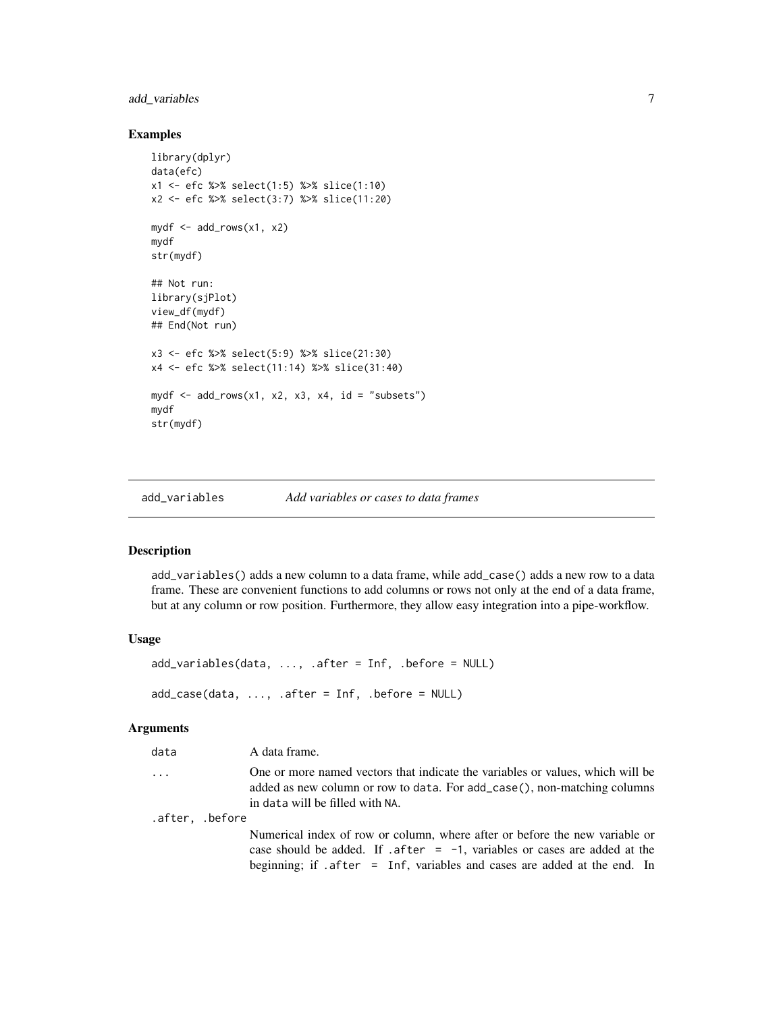# <span id="page-6-0"></span>add\_variables 7

### Examples

```
library(dplyr)
data(efc)
x1 <- efc %>% select(1:5) %>% slice(1:10)
x2 <- efc %>% select(3:7) %>% slice(11:20)
mydf <- add_rows(x1, x2)
mydf
str(mydf)
## Not run:
library(sjPlot)
view_df(mydf)
## End(Not run)
x3 <- efc %>% select(5:9) %>% slice(21:30)
x4 <- efc %>% select(11:14) %>% slice(31:40)
mydf \leq add_rows(x1, x2, x3, x4, id = "subsets")
mydf
str(mydf)
```
add\_variables *Add variables or cases to data frames*

# Description

add\_variables() adds a new column to a data frame, while add\_case() adds a new row to a data frame. These are convenient functions to add columns or rows not only at the end of a data frame, but at any column or row position. Furthermore, they allow easy integration into a pipe-workflow.

#### Usage

```
add_variables(data, ..., .after = Inf, .before = NULL)
add\_case(data, ..., after = Inf, .before = NULL)
```
#### Arguments

| data            | A data frame.                                                                                                                                                                                 |
|-----------------|-----------------------------------------------------------------------------------------------------------------------------------------------------------------------------------------------|
| $\cdots$        | One or more named vectors that indicate the variables or values, which will be<br>added as new column or row to data. For add_case(), non-matching columns<br>in data will be filled with NA. |
| .after, .before |                                                                                                                                                                                               |
|                 | Numerical index of row or column, where after or before the new variable or<br>case should be added. If . after $= -1$ , variables or cases are added at the                                  |

beginning; if .after = Inf, variables and cases are added at the end. In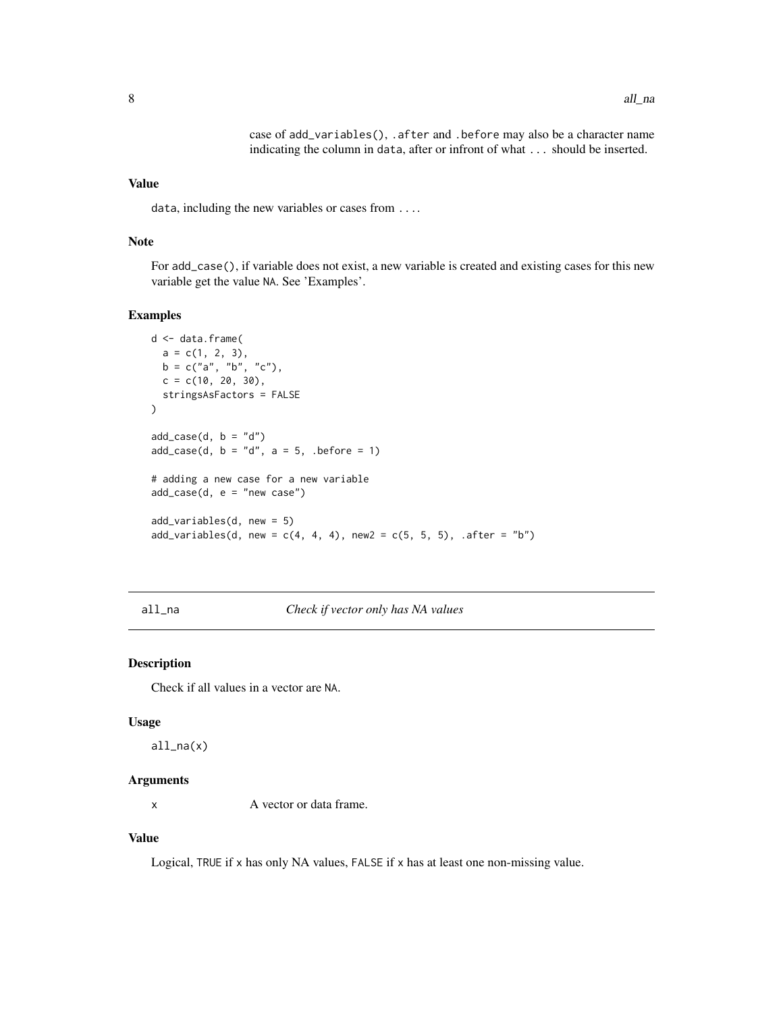case of add\_variables(), .after and .before may also be a character name indicating the column in data, after or infront of what ... should be inserted.

#### <span id="page-7-0"></span>Value

data, including the new variables or cases from ....

#### Note

For add\_case(), if variable does not exist, a new variable is created and existing cases for this new variable get the value NA. See 'Examples'.

#### Examples

```
d <- data.frame(
  a = c(1, 2, 3),b = c("a", "b", "c"),c = c(10, 20, 30),
  stringsAsFactors = FALSE
\lambdaadd\_case(d, b = "d")add\_case(d, b = "d", a = 5, .before = 1)# adding a new case for a new variable
add\_case(d, e = "new case")add_variables(d, new = 5)
add\_variables(d, new = c(4, 4, 4), new2 = c(5, 5, 5), .after = "b")
```
all\_na *Check if vector only has NA values*

#### Description

Check if all values in a vector are NA.

#### Usage

all\_na(x)

# Arguments

x A vector or data frame.

# Value

Logical, TRUE if x has only NA values, FALSE if x has at least one non-missing value.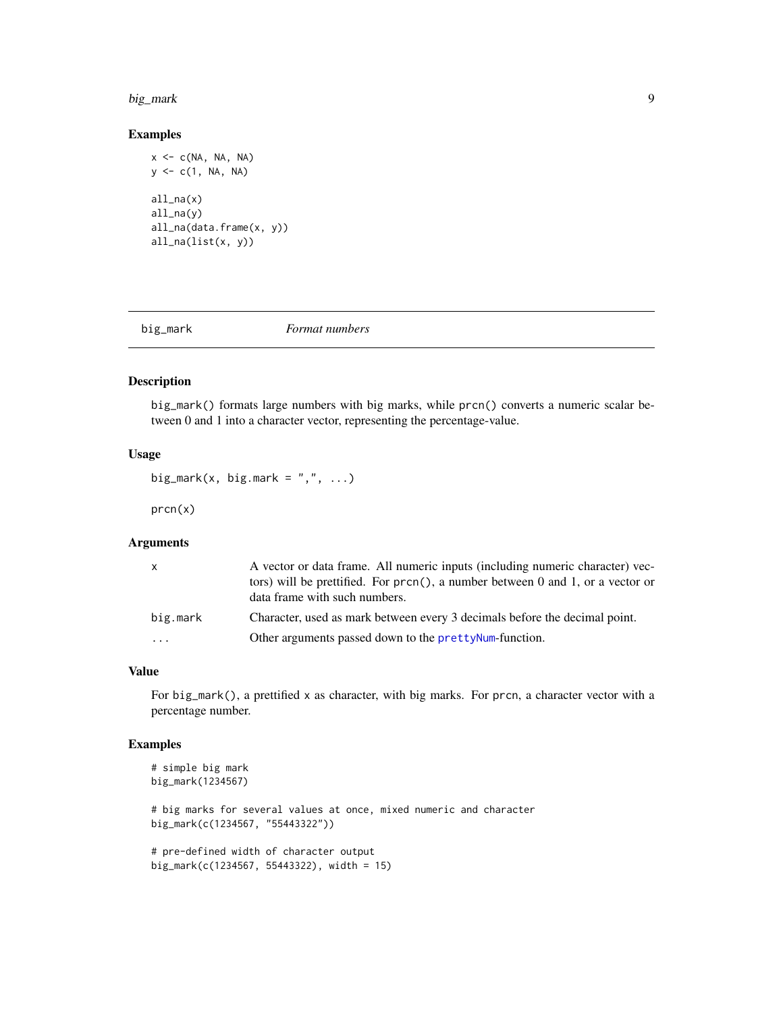#### <span id="page-8-0"></span>big\_mark 99

## Examples

```
x \leq -c(NA, NA, NA)y \leq c(1, NA, NA)all_na(x)
all_na(y)
all_na(data.frame(x, y))
all_na(list(x, y))
```
big\_mark *Format numbers*

#### Description

big\_mark() formats large numbers with big marks, while prcn() converts a numeric scalar between 0 and 1 into a character vector, representing the percentage-value.

#### Usage

```
big_mark(x, big.mark = ",", ...)
```
prcn(x)

#### Arguments

| X.                      | A vector or data frame. All numeric inputs (including numeric character) vec-<br>tors) will be prettified. For prcn(), a number between 0 and 1, or a vector or<br>data frame with such numbers. |
|-------------------------|--------------------------------------------------------------------------------------------------------------------------------------------------------------------------------------------------|
| big.mark                | Character, used as mark between every 3 decimals before the decimal point.                                                                                                                       |
| $\cdot$ $\cdot$ $\cdot$ | Other arguments passed down to the pretty Num-function.                                                                                                                                          |

#### Value

For big\_mark(), a prettified x as character, with big marks. For prcn, a character vector with a percentage number.

```
# simple big mark
big_mark(1234567)
# big marks for several values at once, mixed numeric and character
big_mark(c(1234567, "55443322"))
# pre-defined width of character output
big_mark(c(1234567, 55443322), width = 15)
```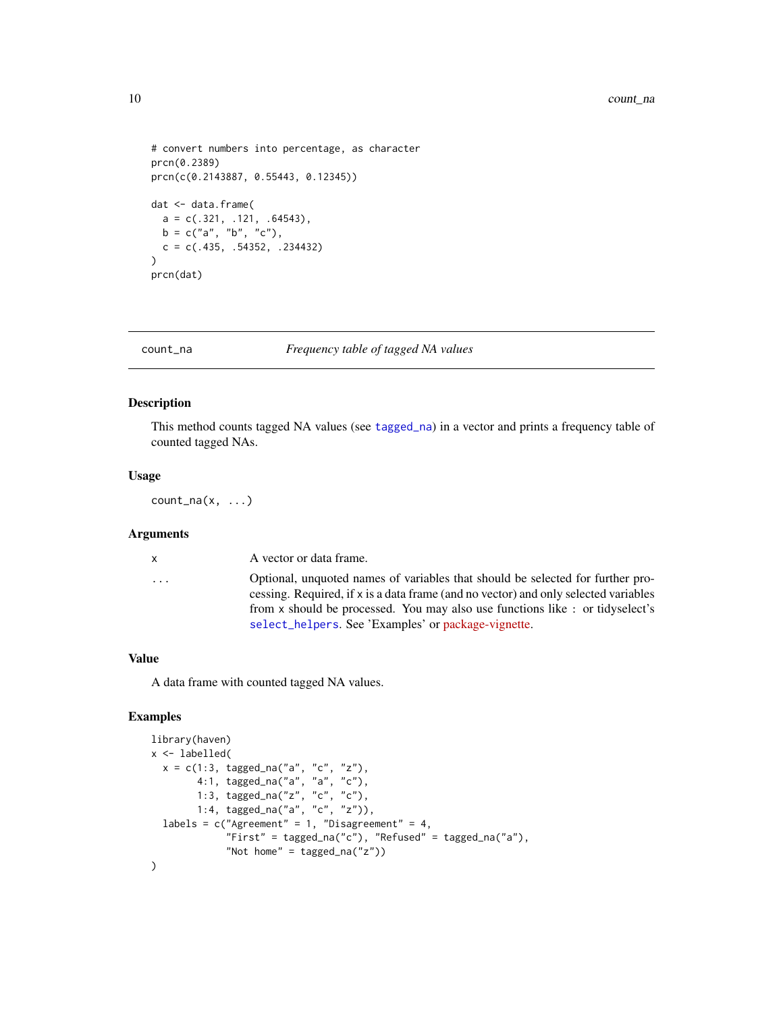```
# convert numbers into percentage, as character
prcn(0.2389)
prcn(c(0.2143887, 0.55443, 0.12345))
dat <- data.frame(
  a = c(.321, .121, .64543),b = c("a", "b", "c"),c = c(.435, .54352, .234432)\lambdaprcn(dat)
```
count\_na *Frequency table of tagged NA values*

#### Description

This method counts tagged NA values (see [tagged\\_na](#page-0-0)) in a vector and prints a frequency table of counted tagged NAs.

#### Usage

 $count_na(x, \ldots)$ 

# Arguments

| $\mathsf{x}$ | A vector or data frame.                                                                                                                                                                                                                               |
|--------------|-------------------------------------------------------------------------------------------------------------------------------------------------------------------------------------------------------------------------------------------------------|
| .            | Optional, unquoted names of variables that should be selected for further pro-<br>cessing. Required, if x is a data frame (and no vector) and only selected variables<br>from x should be processed. You may also use functions like: or tidyselect's |
|              |                                                                                                                                                                                                                                                       |
|              | select_helpers. See 'Examples' or package-vignette.                                                                                                                                                                                                   |

#### Value

A data frame with counted tagged NA values.

```
library(haven)
x <- labelled(
  x = c(1:3, tagged_na("a", "c", "z"),4:1, tagged_na("a", "a", "c"),
        1:3, tagged_na("z", "c", "c"),
        1:4, tagged_na("a", "c", "z")),
  labels = c("Agreement" = 1, "Disagreement" = 4,"First" = tagged_na("c"), "Refused" = tagged_na("a"),
             "Not home" = tagged_na("z"))
\mathcal{L}
```
<span id="page-9-0"></span>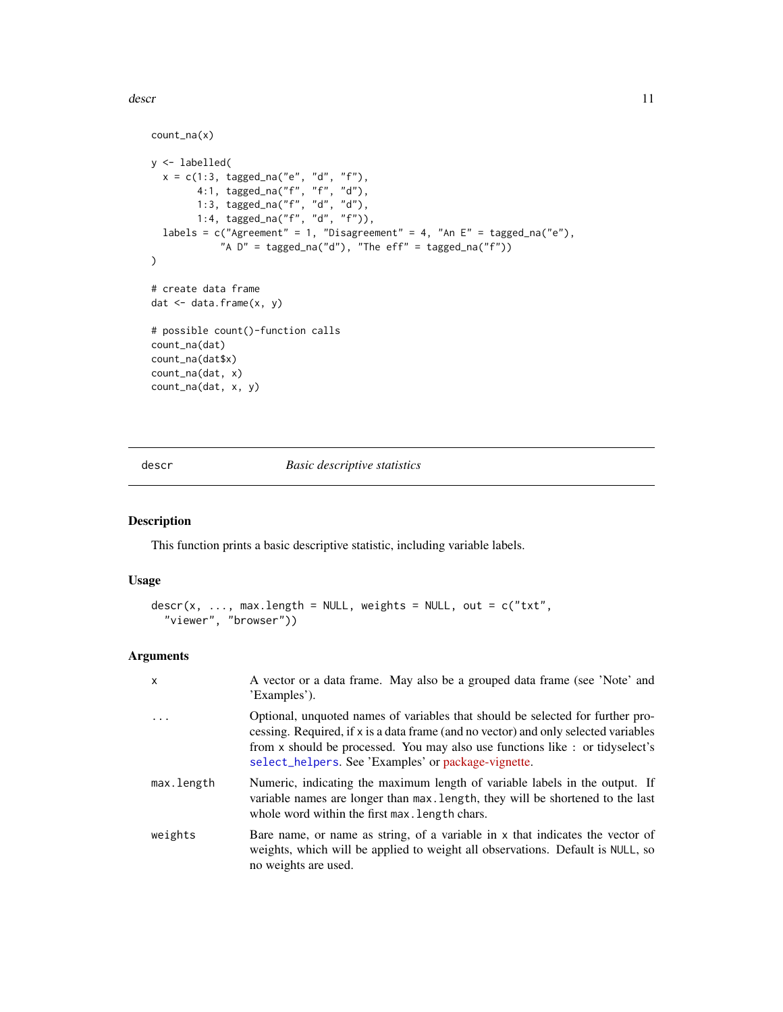<span id="page-10-0"></span>descr and the set of the set of the set of the set of the set of the set of the set of the set of the set of the set of the set of the set of the set of the set of the set of the set of the set of the set of the set of the

```
count_na(x)
y <- labelled(
  x = c(1:3, tagged_na("e", "d", "f"),4:1, tagged_na("f", "f", "d"),
        1:3, tagged_na("f", "d", "d"),
        1:4, tagged_na("f", "d", "f")),
  labels = c("Agreement" = 1, "Disagreement" = 4, "An E" = tagged_na("e"),"A D'' = tagged_na("d"), "The eff" = tagged_na("f"))
\mathcal{L}# create data frame
dat <- data.frame(x, y)
# possible count()-function calls
count_na(dat)
count_na(dat$x)
count_na(dat, x)
count_na(dat, x, y)
```
descr *Basic descriptive statistics*

# Description

This function prints a basic descriptive statistic, including variable labels.

#### Usage

```
descr(x, ..., max.length = NULL, weights = NULL, out = c("txt","viewer", "browser"))
```
# Arguments

| $\mathsf{x}$ | A vector or a data frame. May also be a grouped data frame (see 'Note' and<br>'Examples').                                                                                                                                                                                                                    |
|--------------|---------------------------------------------------------------------------------------------------------------------------------------------------------------------------------------------------------------------------------------------------------------------------------------------------------------|
| $\ddots$     | Optional, unquoted names of variables that should be selected for further pro-<br>cessing. Required, if x is a data frame (and no vector) and only selected variables<br>from x should be processed. You may also use functions like : or tidyselect's<br>select_helpers. See 'Examples' or package-vignette. |
| max.length   | Numeric, indicating the maximum length of variable labels in the output. If<br>variable names are longer than max. length, they will be shortened to the last<br>whole word within the first max. Length chars.                                                                                               |
| weights      | Bare name, or name as string, of a variable in x that indicates the vector of<br>weights, which will be applied to weight all observations. Default is NULL, so<br>no weights are used.                                                                                                                       |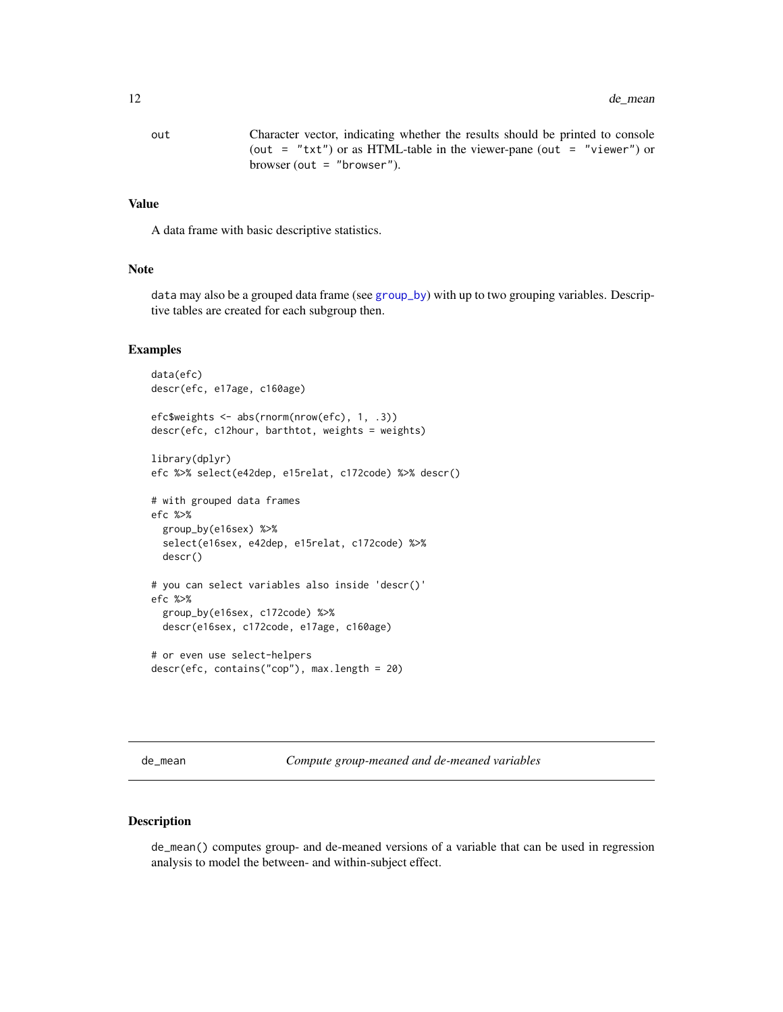<span id="page-11-0"></span>out Character vector, indicating whether the results should be printed to console (out = "txt") or as HTML-table in the viewer-pane (out = "viewer") or browser (out  $=$  "browser").

# Value

A data frame with basic descriptive statistics.

#### Note

data may also be a grouped data frame (see [group\\_by](#page-0-0)) with up to two grouping variables. Descriptive tables are created for each subgroup then.

#### Examples

```
data(efc)
descr(efc, e17age, c160age)
efc$weights <- abs(rnorm(nrow(efc), 1, .3))
descr(efc, c12hour, barthtot, weights = weights)
library(dplyr)
efc %>% select(e42dep, e15relat, c172code) %>% descr()
# with grouped data frames
efc %>%
 group_by(e16sex) %>%
 select(e16sex, e42dep, e15relat, c172code) %>%
 descr()
# you can select variables also inside 'descr()'
efc %>%
 group_by(e16sex, c172code) %>%
 descr(e16sex, c172code, e17age, c160age)
# or even use select-helpers
descr(efc, contains("cop"), max.length = 20)
```
de\_mean *Compute group-meaned and de-meaned variables*

# Description

de\_mean() computes group- and de-meaned versions of a variable that can be used in regression analysis to model the between- and within-subject effect.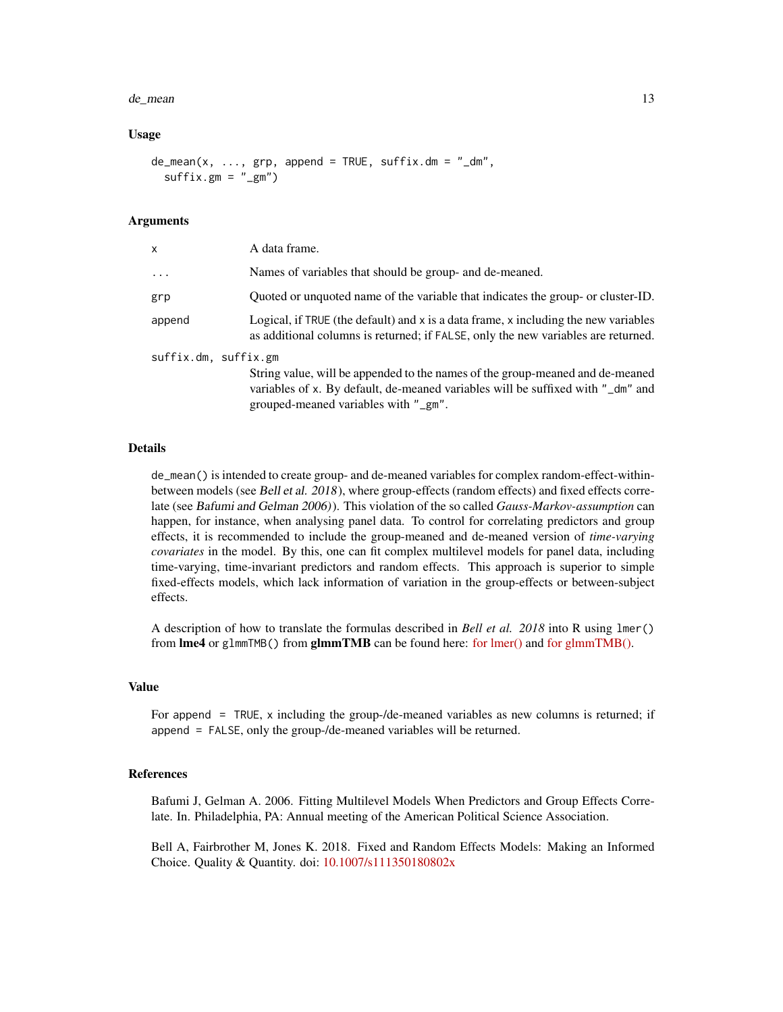#### de\_mean 13

#### Usage

```
de_mean(x, ..., grp, append = TRUE, suffix.dim = "dm",sufficient:gm = "_gm")
```
#### Arguments

| x                    | A data frame.                                                                                                                                                                                            |
|----------------------|----------------------------------------------------------------------------------------------------------------------------------------------------------------------------------------------------------|
| $\cdots$             | Names of variables that should be group- and de-meaned.                                                                                                                                                  |
| grp                  | Quoted or unquoted name of the variable that indicates the group- or cluster-ID.                                                                                                                         |
| append               | Logical, if TRUE (the default) and x is a data frame, x including the new variables<br>as additional columns is returned; if FALSE, only the new variables are returned.                                 |
| suffix.dm, suffix.gm | String value, will be appended to the names of the group-meaned and de-meaned<br>variables of x. By default, de-meaned variables will be suffixed with "_dm" and<br>grouped-meaned variables with "_gm". |

#### Details

de\_mean() is intended to create group- and de-meaned variables for complex random-effect-withinbetween models (see Bell et al. 2018), where group-effects (random effects) and fixed effects correlate (see Bafumi and Gelman 2006)). This violation of the so called *Gauss-Markov-assumption* can happen, for instance, when analysing panel data. To control for correlating predictors and group effects, it is recommended to include the group-meaned and de-meaned version of *time-varying covariates* in the model. By this, one can fit complex multilevel models for panel data, including time-varying, time-invariant predictors and random effects. This approach is superior to simple fixed-effects models, which lack information of variation in the group-effects or between-subject effects.

A description of how to translate the formulas described in *Bell et al. 2018* into R using lmer() from  $\text{Im}e4$  or glmmTMB() from  $\text{gImmTMB}$  can be found here: for  $\text{Im}e$  and for  $\text{gImmTMB}$ ().

#### Value

For append = TRUE, x including the group-/de-meaned variables as new columns is returned; if append = FALSE, only the group-/de-meaned variables will be returned.

## References

Bafumi J, Gelman A. 2006. Fitting Multilevel Models When Predictors and Group Effects Correlate. In. Philadelphia, PA: Annual meeting of the American Political Science Association.

Bell A, Fairbrother M, Jones K. 2018. Fixed and Random Effects Models: Making an Informed Choice. Quality & Quantity. doi: [10.1007/s111350180802x](http://doi.org/10.1007/s11135-018-0802-x)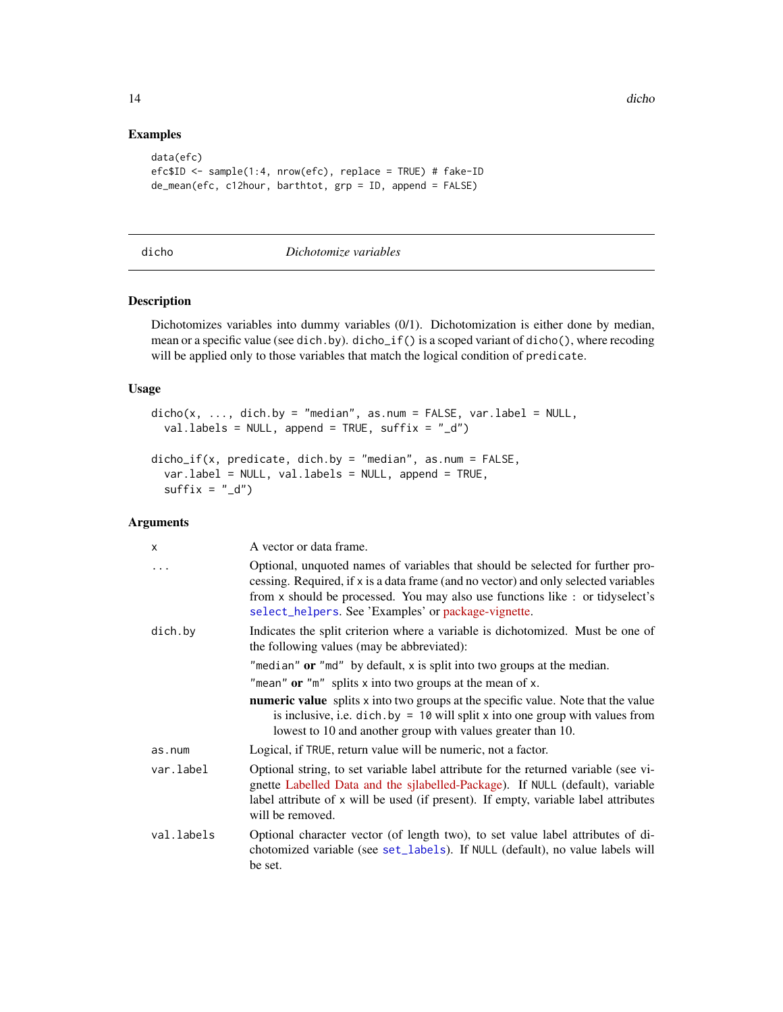# Examples

```
data(efc)
efc$ID < - sample(1:4, nrow(efc), replace = TRUE) # fake-IDde_mean(efc, c12hour, barthtot, grp = ID, append = FALSE)
```

| . .<br>× | ×<br>٠ |  |
|----------|--------|--|

#### dicho *Dichotomize variables*

# Description

Dichotomizes variables into dummy variables (0/1). Dichotomization is either done by median, mean or a specific value (see dich.by). dicho\_if() is a scoped variant of dicho(), where recoding will be applied only to those variables that match the logical condition of predicate.

# Usage

```
dicho(x, ..., dich.by = "median", as.num = FALSE, var.label = NULL,val.labels = NULL, append = TRUE, suffix = "_d")
```

```
dicho_if(x, predicate, dich.by = "median", as.num = FALSE,
 var.label = NULL, val.labels = NULL, append = TRUE,
 suffix = "d")
```
#### Arguments

| x          | A vector or data frame.                                                                                                                                                                                                                                                                                       |
|------------|---------------------------------------------------------------------------------------------------------------------------------------------------------------------------------------------------------------------------------------------------------------------------------------------------------------|
| $\ddots$   | Optional, unquoted names of variables that should be selected for further pro-<br>cessing. Required, if x is a data frame (and no vector) and only selected variables<br>from x should be processed. You may also use functions like : or tidyselect's<br>select_helpers. See 'Examples' or package-vignette. |
| dich.by    | Indicates the split criterion where a variable is dichotomized. Must be one of<br>the following values (may be abbreviated):                                                                                                                                                                                  |
|            | "median" or "md" by default, $x$ is split into two groups at the median.                                                                                                                                                                                                                                      |
|            | "mean" or " $m$ " splits x into two groups at the mean of x.                                                                                                                                                                                                                                                  |
|            | <b>numeric value</b> splits x into two groups at the specific value. Note that the value<br>is inclusive, i.e. $\text{dich.}$ by = 10 will split x into one group with values from<br>lowest to 10 and another group with values greater than 10.                                                             |
| as.num     | Logical, if TRUE, return value will be numeric, not a factor.                                                                                                                                                                                                                                                 |
| var.label  | Optional string, to set variable label attribute for the returned variable (see vi-<br>gnette Labelled Data and the sjlabelled-Package). If NULL (default), variable<br>label attribute of x will be used (if present). If empty, variable label attributes<br>will be removed.                               |
| val.labels | Optional character vector (of length two), to set value label attributes of di-<br>chotomized variable (see set_labels). If NULL (default), no value labels will<br>be set.                                                                                                                                   |

<span id="page-13-0"></span>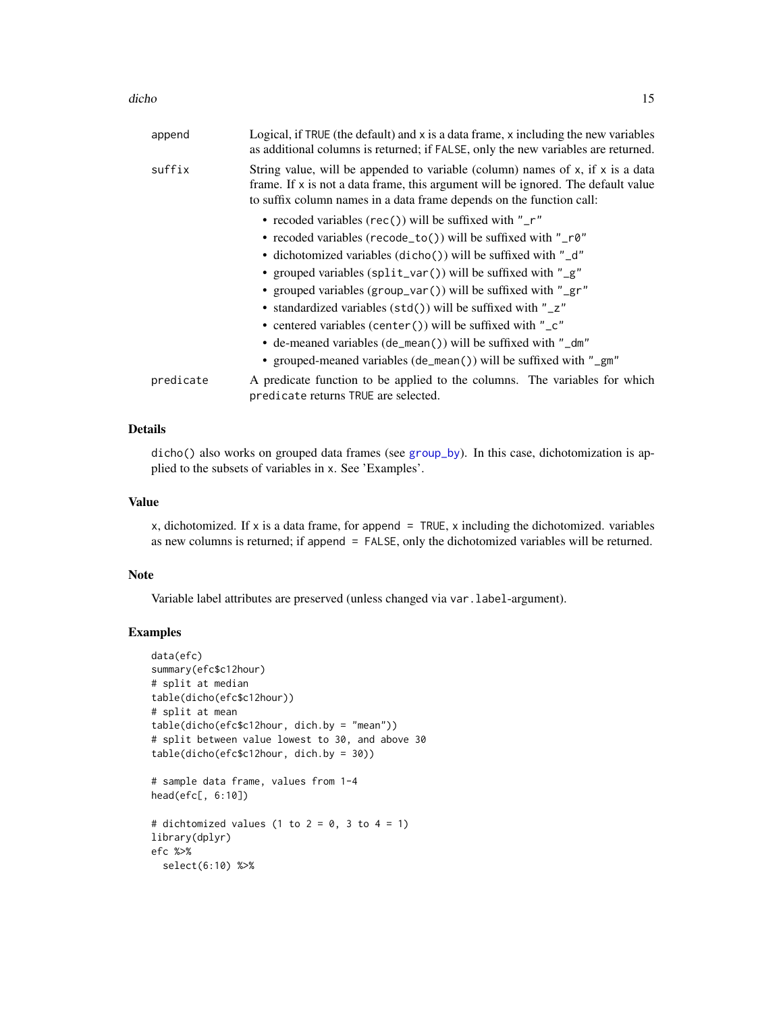| append    | Logical, if TRUE (the default) and x is a data frame, x including the new variables<br>as additional columns is returned; if FALSE, only the new variables are returned.                                                                           |
|-----------|----------------------------------------------------------------------------------------------------------------------------------------------------------------------------------------------------------------------------------------------------|
| suffix    | String value, will be appended to variable (column) names of $x$ , if $x$ is a data<br>frame. If $x$ is not a data frame, this argument will be ignored. The default value<br>to suffix column names in a data frame depends on the function call: |
|           | • recoded variables (rec()) will be suffixed with " $\mathsf{r}$ "                                                                                                                                                                                 |
|           | • recoded variables (recode_to()) will be suffixed with "_r0"                                                                                                                                                                                      |
|           | • dichotomized variables (dicho()) will be suffixed with "_d"                                                                                                                                                                                      |
|           | • grouped variables (split_var()) will be suffixed with "_g"                                                                                                                                                                                       |
|           | • grouped variables (group_var()) will be suffixed with "_gr"                                                                                                                                                                                      |
|           | • standardized variables (std()) will be suffixed with "_z"                                                                                                                                                                                        |
|           | • centered variables (center()) will be suffixed with "_c"                                                                                                                                                                                         |
|           | • de-meaned variables (de_mean()) will be suffixed with "_dm"                                                                                                                                                                                      |
|           | • grouped-meaned variables (de_mean()) will be suffixed with "_gm"                                                                                                                                                                                 |
| predicate | A predicate function to be applied to the columns. The variables for which<br>predicate returns TRUE are selected.                                                                                                                                 |
|           |                                                                                                                                                                                                                                                    |

# Details

dicho() also works on grouped data frames (see [group\\_by](#page-0-0)). In this case, dichotomization is applied to the subsets of variables in x. See 'Examples'.

#### Value

x, dichotomized. If x is a data frame, for append  $=$  TRUE, x including the dichotomized. variables as new columns is returned; if append = FALSE, only the dichotomized variables will be returned.

# Note

Variable label attributes are preserved (unless changed via var.label-argument).

```
data(efc)
summary(efc$c12hour)
# split at median
table(dicho(efc$c12hour))
# split at mean
table(dicho(efc$c12hour, dich.by = "mean"))
# split between value lowest to 30, and above 30
table(dicho(efc$c12hour, dich.by = 30))
# sample data frame, values from 1-4
head(efc[, 6:10])
# dichtomized values (1 to 2 = 0, 3 to 4 = 1)
library(dplyr)
efc %>%
  select(6:10) %>%
```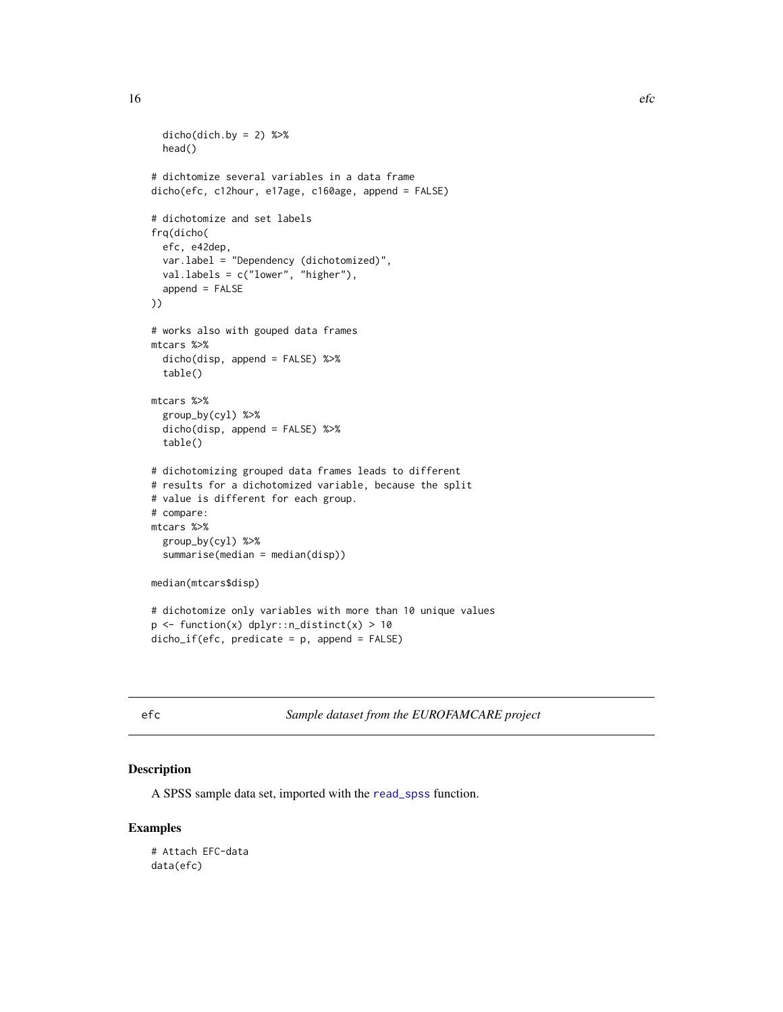```
dicho(dich.by = 2) %>%
  head()
# dichtomize several variables in a data frame
dicho(efc, c12hour, e17age, c160age, append = FALSE)
# dichotomize and set labels
frq(dicho(
  efc, e42dep,
  var.label = "Dependency (dichotomized)",
  val.labels = c("lower", "higher"),
  append = FALSE
))
# works also with gouped data frames
mtcars %>%
  dicho(disp, append = FALSE) %>%
  table()
mtcars %>%
  group_by(cyl) %>%
  dicho(disp, append = FALSE) %>%
  table()
# dichotomizing grouped data frames leads to different
# results for a dichotomized variable, because the split
# value is different for each group.
# compare:
mtcars %>%
  group_by(cyl) %>%
  summarise(median = median(disp))
median(mtcars$disp)
# dichotomize only variables with more than 10 unique values
p <- function(x) dplyr::n_distinct(x) > 10
dicho_if(efc, predicate = p, append = FALSE)
```
efc *Sample dataset from the EUROFAMCARE project*

#### Description

A SPSS sample data set, imported with the [read\\_spss](#page-0-0) function.

# Examples

# Attach EFC-data data(efc)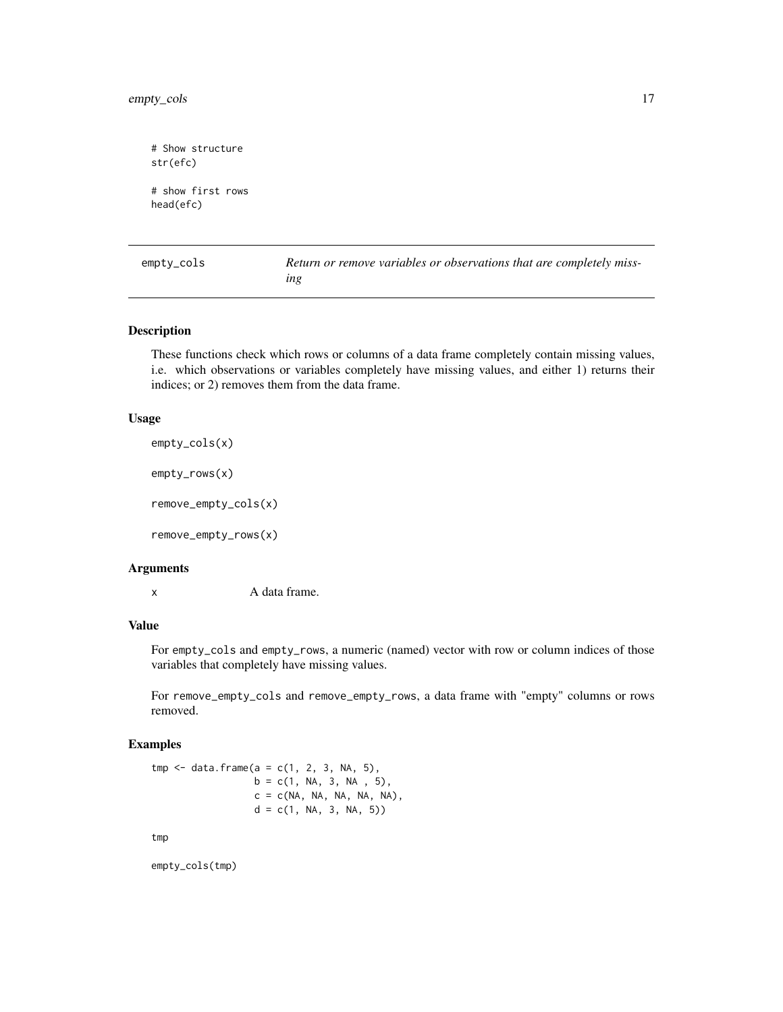```
# Show structure
str(efc)
# show first rows
head(efc)
```
empty\_cols *Return or remove variables or observations that are completely missing*

# Description

These functions check which rows or columns of a data frame completely contain missing values, i.e. which observations or variables completely have missing values, and either 1) returns their indices; or 2) removes them from the data frame.

#### Usage

```
empty_cols(x)
```
empty\_rows(x)

remove\_empty\_cols(x)

remove\_empty\_rows(x)

# Arguments

x A data frame.

# Value

For empty\_cols and empty\_rows, a numeric (named) vector with row or column indices of those variables that completely have missing values.

For remove\_empty\_cols and remove\_empty\_rows, a data frame with "empty" columns or rows removed.

# Examples

 $tmp < - data.frame(a = c(1, 2, 3, NA, 5),$  $b = c(1, NA, 3, NA, 5),$  $c = c(NA, NA, NA, NA, NA),$  $d = c(1, NA, 3, NA, 5))$ 

tmp

empty\_cols(tmp)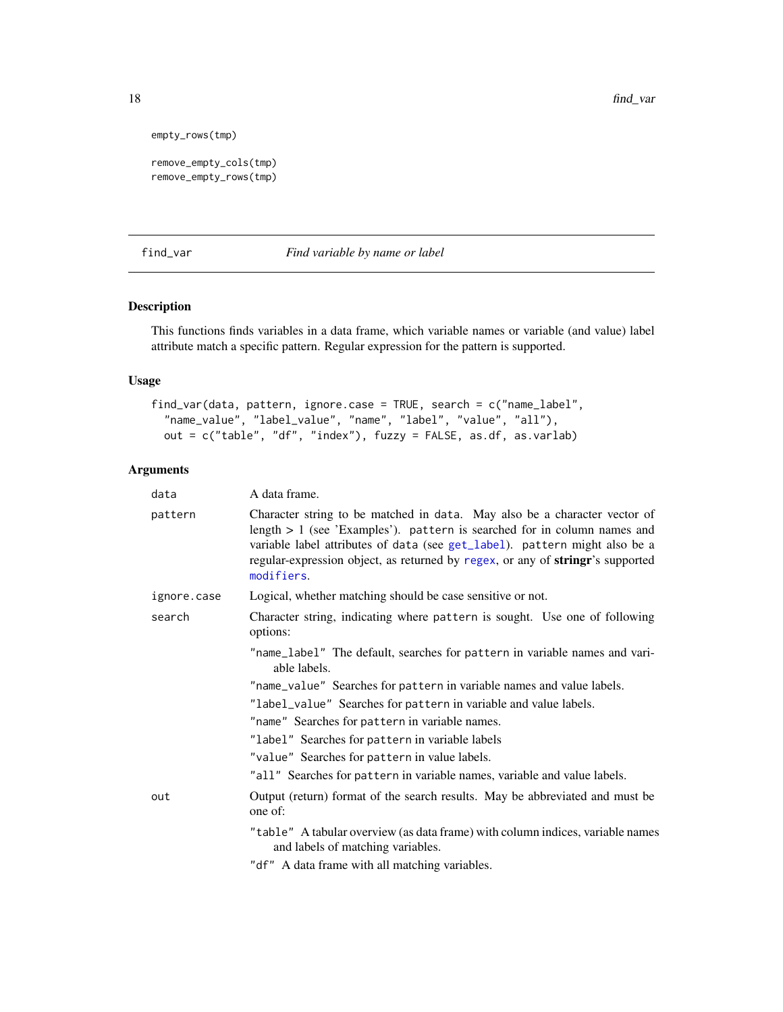```
empty_rows(tmp)
```

```
remove_empty_cols(tmp)
remove_empty_rows(tmp)
```
find\_var *Find variable by name or label*

# Description

This functions finds variables in a data frame, which variable names or variable (and value) label attribute match a specific pattern. Regular expression for the pattern is supported.

# Usage

```
find_var(data, pattern, ignore.case = TRUE, search = c("name_label",
  "name_value", "label_value", "name", "label", "value", "all"),
 out = c("table", "df", "index"), fuzzy = FALSE, as.df, as.varlab)
```
# Arguments

| data        | A data frame.                                                                                                                                                                                                                                                                                                                         |  |
|-------------|---------------------------------------------------------------------------------------------------------------------------------------------------------------------------------------------------------------------------------------------------------------------------------------------------------------------------------------|--|
| pattern     | Character string to be matched in data. May also be a character vector of<br>length $> 1$ (see 'Examples'). pattern is searched for in column names and<br>variable label attributes of data (see get_label). pattern might also be a<br>regular-expression object, as returned by regex, or any of stringr's supported<br>modifiers. |  |
| ignore.case | Logical, whether matching should be case sensitive or not.                                                                                                                                                                                                                                                                            |  |
| search      | Character string, indicating where pattern is sought. Use one of following<br>options:                                                                                                                                                                                                                                                |  |
|             | "name_label" The default, searches for pattern in variable names and vari-<br>able labels.                                                                                                                                                                                                                                            |  |
|             | "name_value" Searches for pattern in variable names and value labels.                                                                                                                                                                                                                                                                 |  |
|             | "label_value" Searches for pattern in variable and value labels.                                                                                                                                                                                                                                                                      |  |
|             | "name" Searches for pattern in variable names.                                                                                                                                                                                                                                                                                        |  |
|             | "label" Searches for pattern in variable labels                                                                                                                                                                                                                                                                                       |  |
|             | "value" Searches for pattern in value labels.                                                                                                                                                                                                                                                                                         |  |
|             | "all" Searches for pattern in variable names, variable and value labels.                                                                                                                                                                                                                                                              |  |
| out         | Output (return) format of the search results. May be abbreviated and must be<br>one of:                                                                                                                                                                                                                                               |  |
|             | "table" A tabular overview (as data frame) with column indices, variable names<br>and labels of matching variables.                                                                                                                                                                                                                   |  |
|             | "df" A data frame with all matching variables.                                                                                                                                                                                                                                                                                        |  |

<span id="page-17-0"></span>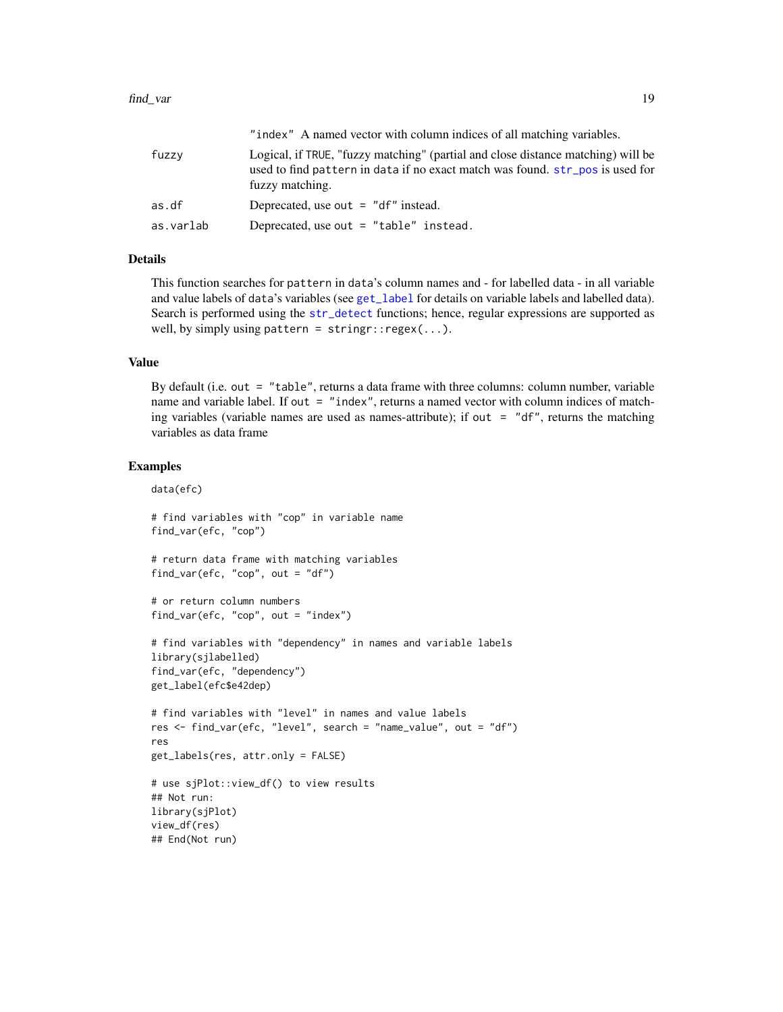#### find\_var 19

|           | "index" A named vector with column indices of all matching variables.                                                                                                                |
|-----------|--------------------------------------------------------------------------------------------------------------------------------------------------------------------------------------|
| fuzzv     | Logical, if TRUE, "fuzzy matching" (partial and close distance matching) will be<br>used to find pattern in data if no exact match was found. str_pos is used for<br>fuzzy matching. |
| as.df     | Deprecated, use out $=$ "df" instead.                                                                                                                                                |
| as.varlab | Deprecated, use out = $"table"$ instead.                                                                                                                                             |

# Details

This function searches for pattern in data's column names and - for labelled data - in all variable and value labels of data's variables (see [get\\_label](#page-0-0) for details on variable labels and labelled data). Search is performed using the [str\\_detect](#page-0-0) functions; hence, regular expressions are supported as well, by simply using pattern =  $stringr::regex(...).$ 

# Value

By default (i.e. out = "table", returns a data frame with three columns: column number, variable name and variable label. If out = "index", returns a named vector with column indices of matching variables (variable names are used as names-attribute); if out  $=$  "df", returns the matching variables as data frame

# Examples

data(efc)

```
# find variables with "cop" in variable name
find_var(efc, "cop")
```
# return data frame with matching variables find\_var(efc, "cop", out = "df")

```
# or return column numbers
find_var(efc, "cop", out = "index")
```

```
# find variables with "dependency" in names and variable labels
library(sjlabelled)
find_var(efc, "dependency")
get_label(efc$e42dep)
```

```
# find variables with "level" in names and value labels
res <- find_var(efc, "level", search = "name_value", out = "df")
res
get_labels(res, attr.only = FALSE)
```

```
# use sjPlot::view_df() to view results
## Not run:
library(sjPlot)
view_df(res)
## End(Not run)
```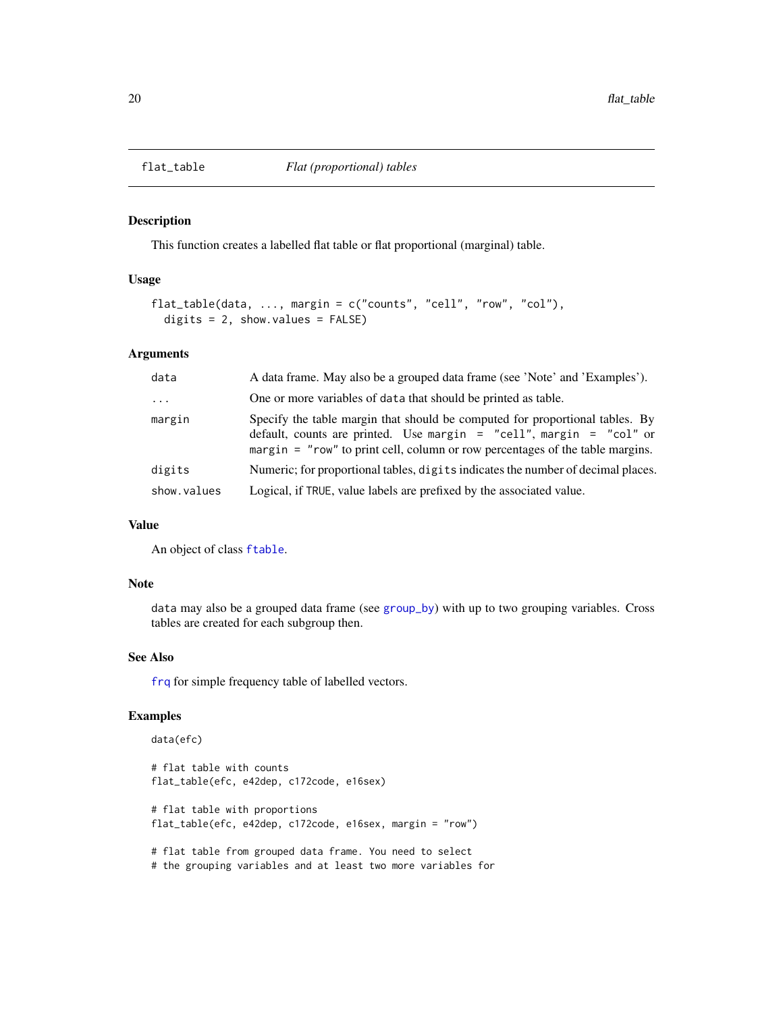<span id="page-19-1"></span><span id="page-19-0"></span>

#### Description

This function creates a labelled flat table or flat proportional (marginal) table.

# Usage

```
flat_table(data, ..., margin = c("counts", "cell", "row", "col"),
  digits = 2, show.values = FALSE)
```
#### Arguments

| data                    | A data frame. May also be a grouped data frame (see 'Note' and 'Examples').                                                                                                                                                          |  |
|-------------------------|--------------------------------------------------------------------------------------------------------------------------------------------------------------------------------------------------------------------------------------|--|
| $\cdot$ $\cdot$ $\cdot$ | One or more variables of data that should be printed as table.                                                                                                                                                                       |  |
| margin                  | Specify the table margin that should be computed for proportional tables. By<br>default, counts are printed. Use margin = "cell", margin = "col" or<br>margin = "row" to print cell, column or row percentages of the table margins. |  |
| digits                  | Numeric; for proportional tables, digits indicates the number of decimal places.                                                                                                                                                     |  |
| show.values             | Logical, if TRUE, value labels are prefixed by the associated value.                                                                                                                                                                 |  |

# Value

An object of class [ftable](#page-0-0).

## Note

data may also be a grouped data frame (see [group\\_by](#page-0-0)) with up to two grouping variables. Cross tables are created for each subgroup then.

#### See Also

[frq](#page-20-1) for simple frequency table of labelled vectors.

```
data(efc)
# flat table with counts
flat_table(efc, e42dep, c172code, e16sex)
# flat table with proportions
flat_table(efc, e42dep, c172code, e16sex, margin = "row")
# flat table from grouped data frame. You need to select
# the grouping variables and at least two more variables for
```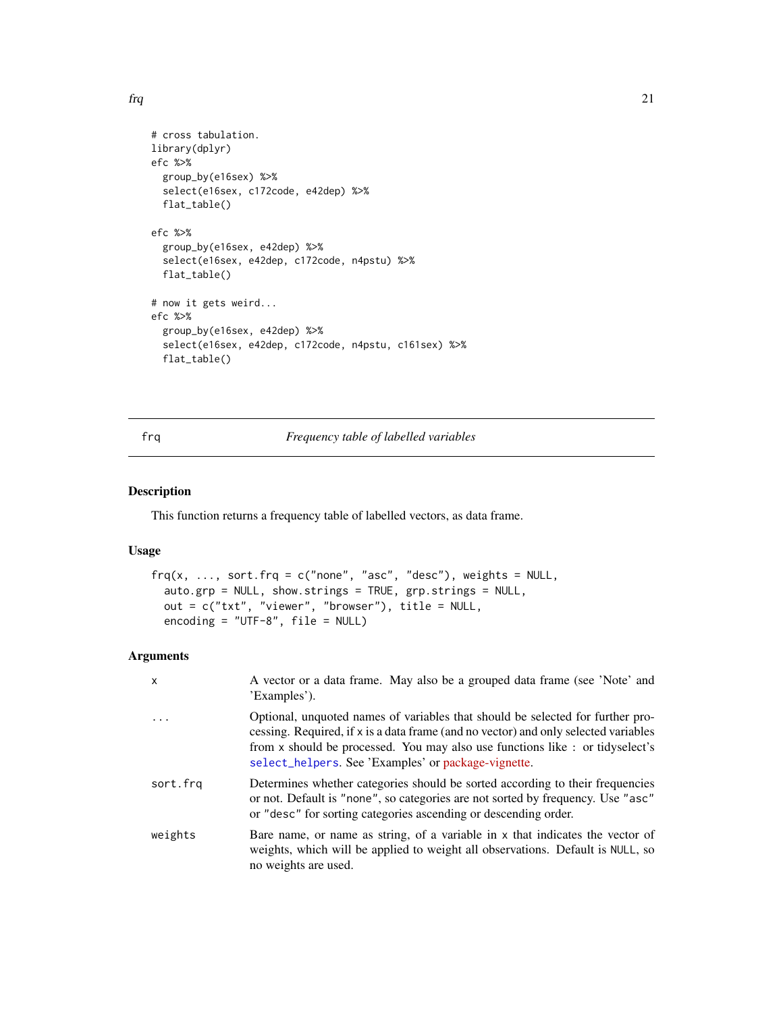<span id="page-20-0"></span> $f_{\rm}$  and  $f_{\rm}$  21

```
# cross tabulation.
library(dplyr)
efc %>%
 group_by(e16sex) %>%
  select(e16sex, c172code, e42dep) %>%
  flat_table()
efc %>%
  group_by(e16sex, e42dep) %>%
  select(e16sex, e42dep, c172code, n4pstu) %>%
  flat_table()
# now it gets weird...
efc %>%
  group_by(e16sex, e42dep) %>%
  select(e16sex, e42dep, c172code, n4pstu, c161sex) %>%
  flat_table()
```
# <span id="page-20-1"></span>frq *Frequency table of labelled variables*

# Description

This function returns a frequency table of labelled vectors, as data frame.

# Usage

```
\text{freq}(x, \ldots, \text{sort.frq = c("none", "asc", "desc"), weights = NULL, }auto.grp = NULL, show.strings = TRUE, grp.strings = NULL,
  out = c("txt", "viewer", "browser"), title = NULL,
  encoding = "UTF-8", file = NULL)
```
# Arguments

| x        | A vector or a data frame. May also be a grouped data frame (see 'Note' and<br>'Examples').                                                                                                                                                                                                                    |
|----------|---------------------------------------------------------------------------------------------------------------------------------------------------------------------------------------------------------------------------------------------------------------------------------------------------------------|
| $\ddots$ | Optional, unquoted names of variables that should be selected for further pro-<br>cessing. Required, if x is a data frame (and no vector) and only selected variables<br>from x should be processed. You may also use functions like : or tidyselect's<br>select_helpers. See 'Examples' or package-vignette. |
| sort.frg | Determines whether categories should be sorted according to their frequencies<br>or not. Default is "none", so categories are not sorted by frequency. Use "asc"<br>or "desc" for sorting categories ascending or descending order.                                                                           |
| weights  | Bare name, or name as string, of a variable in x that indicates the vector of<br>weights, which will be applied to weight all observations. Default is NULL, so<br>no weights are used.                                                                                                                       |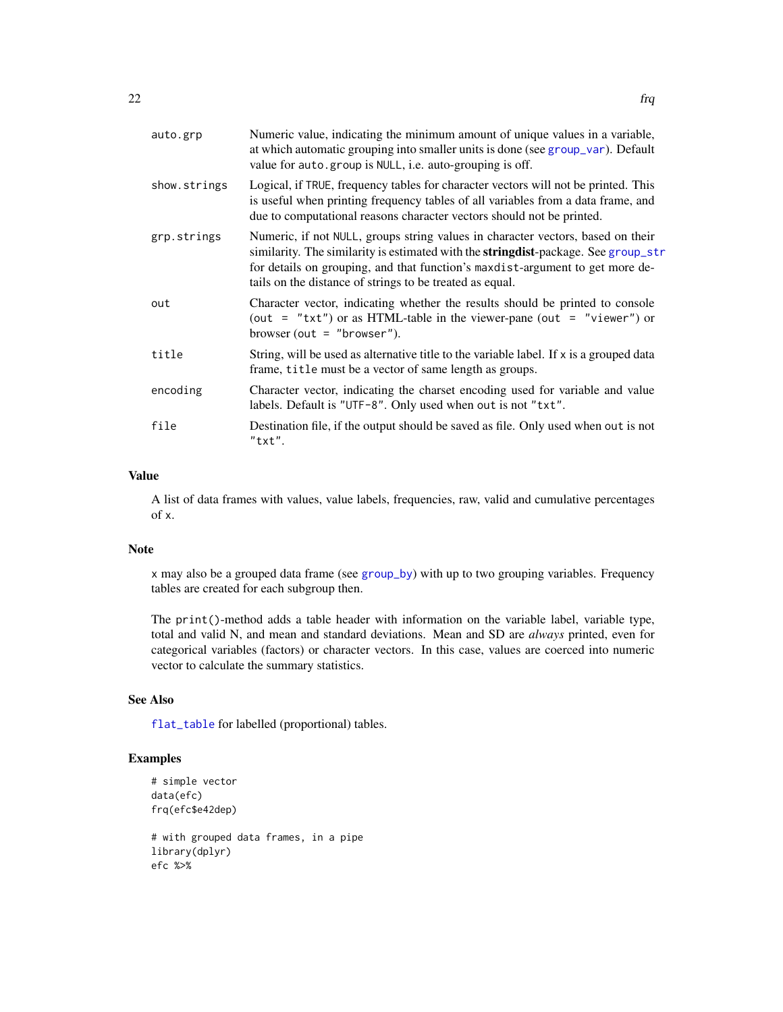| auto.grp     | Numeric value, indicating the minimum amount of unique values in a variable,<br>at which automatic grouping into smaller units is done (see group_var). Default<br>value for auto.group is NULL, i.e. auto-grouping is off.                                                                                                |
|--------------|----------------------------------------------------------------------------------------------------------------------------------------------------------------------------------------------------------------------------------------------------------------------------------------------------------------------------|
| show.strings | Logical, if TRUE, frequency tables for character vectors will not be printed. This<br>is useful when printing frequency tables of all variables from a data frame, and<br>due to computational reasons character vectors should not be printed.                                                                            |
| grp.strings  | Numeric, if not NULL, groups string values in character vectors, based on their<br>similarity. The similarity is estimated with the <b>stringdist</b> -package. See group_str<br>for details on grouping, and that function's maxdist-argument to get more de-<br>tails on the distance of strings to be treated as equal. |
| out          | Character vector, indicating whether the results should be printed to console<br>(out = "txt") or as HTML-table in the viewer-pane (out = "viewer") or<br>browser (out = "browser").                                                                                                                                       |
| title        | String, will be used as alternative title to the variable label. If x is a grouped data<br>frame, title must be a vector of same length as groups.                                                                                                                                                                         |
| encoding     | Character vector, indicating the charset encoding used for variable and value<br>labels. Default is "UTF-8". Only used when out is not "txt".                                                                                                                                                                              |
| file         | Destination file, if the output should be saved as file. Only used when out is not<br>"txt".                                                                                                                                                                                                                               |

#### Value

A list of data frames with values, value labels, frequencies, raw, valid and cumulative percentages of x.

### Note

x may also be a grouped data frame (see [group\\_by](#page-0-0)) with up to two grouping variables. Frequency tables are created for each subgroup then.

The print()-method adds a table header with information on the variable label, variable type, total and valid N, and mean and standard deviations. Mean and SD are *always* printed, even for categorical variables (factors) or character vectors. In this case, values are coerced into numeric vector to calculate the summary statistics.

# See Also

[flat\\_table](#page-19-1) for labelled (proportional) tables.

```
# simple vector
data(efc)
frq(efc$e42dep)
# with grouped data frames, in a pipe
library(dplyr)
efc %>%
```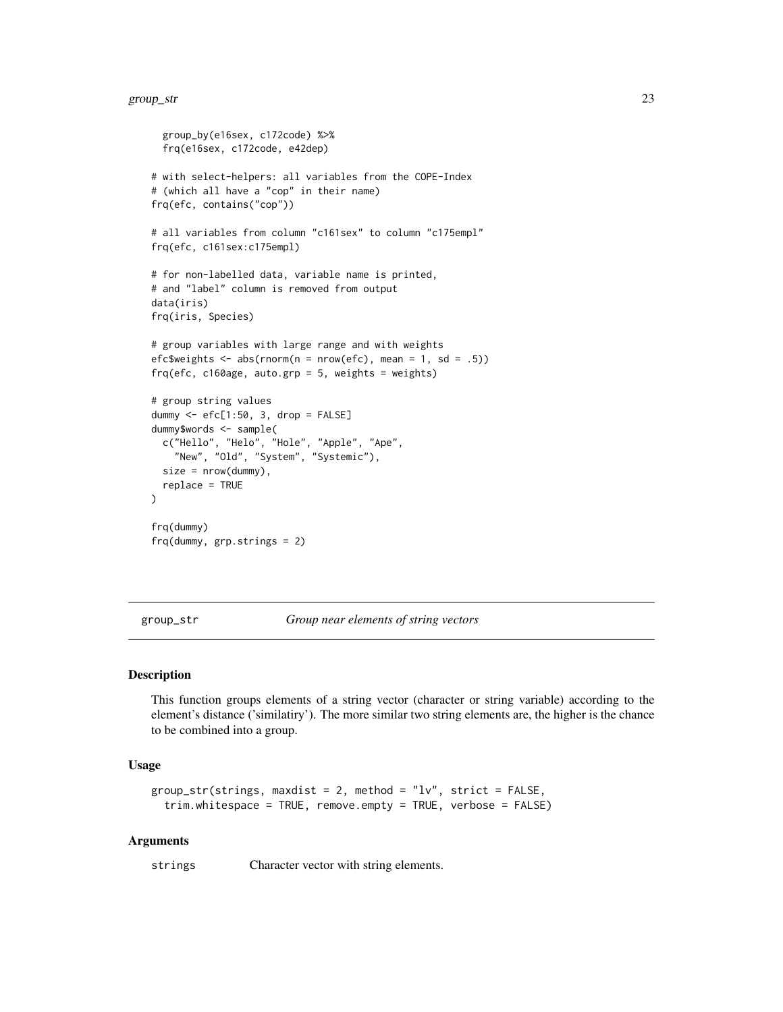```
group_by(e16sex, c172code) %>%
 frq(e16sex, c172code, e42dep)
# with select-helpers: all variables from the COPE-Index
# (which all have a "cop" in their name)
frq(efc, contains("cop"))
# all variables from column "c161sex" to column "c175empl"
frq(efc, c161sex:c175empl)
# for non-labelled data, variable name is printed,
# and "label" column is removed from output
data(iris)
frq(iris, Species)
# group variables with large range and with weights
efc$weights <- abs(rnorm(n = nrow(efc), mean = 1, sd = .5))
frq(efc, c160age, auto.grp = 5, weights = weights)
# group string values
dummy <- efc[1:50, 3, drop = FALSE]
dummy$words <- sample(
 c("Hello", "Helo", "Hole", "Apple", "Ape",
    "New", "Old", "System", "Systemic"),
 size = nrow(dummy),
 replace = TRUE
\lambdafrq(dummy)
frq(dummy, grp.strings = 2)
```
<span id="page-22-1"></span>group\_str *Group near elements of string vectors*

# **Description**

This function groups elements of a string vector (character or string variable) according to the element's distance ('similatiry'). The more similar two string elements are, the higher is the chance to be combined into a group.

#### Usage

```
group_str(strings, maxdist = 2, method = "lv", strict = FALSE,
  trim.whitespace = TRUE, remove.empty = TRUE, verbose = FALSE)
```
#### Arguments

strings Character vector with string elements.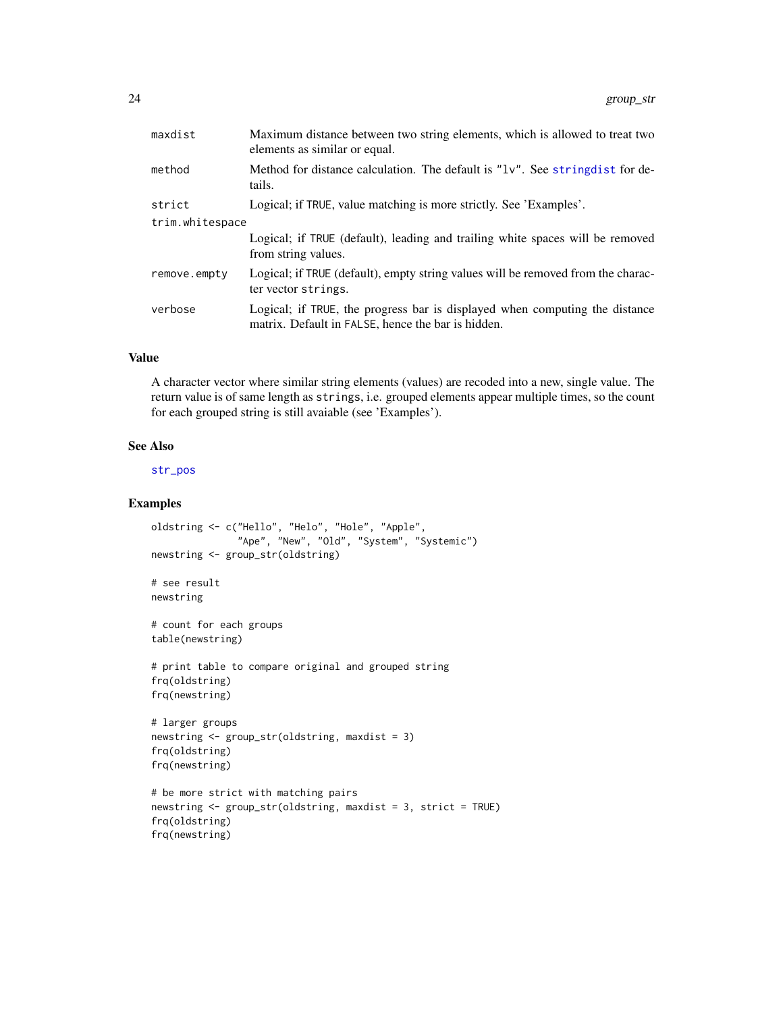| maxdist         | Maximum distance between two string elements, which is allowed to treat two<br>elements as similar or equal.                      |  |
|-----------------|-----------------------------------------------------------------------------------------------------------------------------------|--|
| method          | Method for distance calculation. The default is "1v". See string dist for de-<br>tails.                                           |  |
| strict          | Logical; if TRUE, value matching is more strictly. See 'Examples'.                                                                |  |
| trim.whitespace |                                                                                                                                   |  |
|                 | Logical; if TRUE (default), leading and trailing white spaces will be removed<br>from string values.                              |  |
| remove.empty    | Logical; if TRUE (default), empty string values will be removed from the charac-<br>ter vector strings.                           |  |
| verbose         | Logical; if TRUE, the progress bar is displayed when computing the distance<br>matrix. Default in FALSE, hence the bar is hidden. |  |

# Value

A character vector where similar string elements (values) are recoded into a new, single value. The return value is of same length as strings, i.e. grouped elements appear multiple times, so the count for each grouped string is still avaiable (see 'Examples').

# See Also

[str\\_pos](#page-67-1)

```
oldstring <- c("Hello", "Helo", "Hole", "Apple",
               "Ape", "New", "Old", "System", "Systemic")
newstring <- group_str(oldstring)
# see result
newstring
# count for each groups
table(newstring)
# print table to compare original and grouped string
frq(oldstring)
frq(newstring)
# larger groups
newstring <- group_str(oldstring, maxdist = 3)
frq(oldstring)
frq(newstring)
# be more strict with matching pairs
newstring <- group_str(oldstring, maxdist = 3, strict = TRUE)
frq(oldstring)
frq(newstring)
```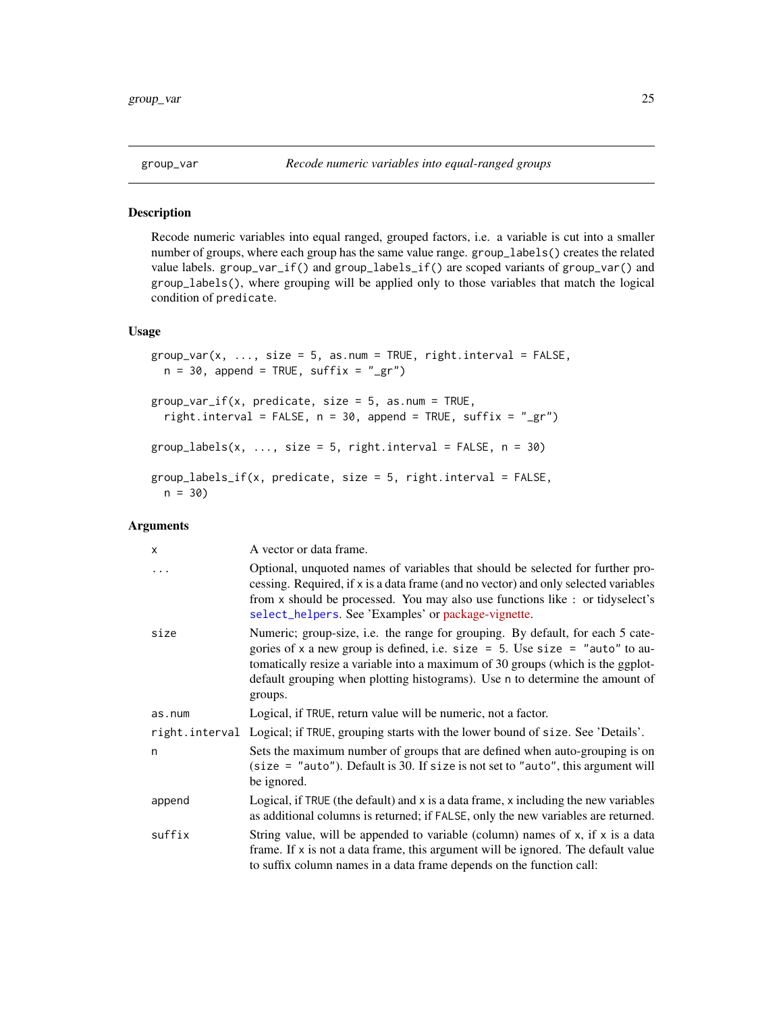<span id="page-24-1"></span><span id="page-24-0"></span>

#### Description

Recode numeric variables into equal ranged, grouped factors, i.e. a variable is cut into a smaller number of groups, where each group has the same value range. group\_labels() creates the related value labels. group\_var\_if() and group\_labels\_if() are scoped variants of group\_var() and group\_labels(), where grouping will be applied only to those variables that match the logical condition of predicate.

# Usage

```
group\_var(x, ..., size = 5, as.num = TRUE, right.interval = FALSE,n = 30, append = TRUE, suffix = "_gr")
group\_var\_if(x, predicate, size = 5, as.num = TRUE,right.interval = FALSE, n = 30, append = TRUE, suffix = "_gr")
group\_labels(x, ..., size = 5, right.interval = FALSE, n = 30)group_labels_if(x, predicate, size = 5, right.interval = FALSE,
 n = 30
```
# Arguments

| X      | A vector or data frame.                                                                                                                                                                                                                                                                                                                        |
|--------|------------------------------------------------------------------------------------------------------------------------------------------------------------------------------------------------------------------------------------------------------------------------------------------------------------------------------------------------|
|        | Optional, unquoted names of variables that should be selected for further pro-<br>cessing. Required, if x is a data frame (and no vector) and only selected variables<br>from x should be processed. You may also use functions like : or tidyselect's<br>select_helpers. See 'Examples' or package-vignette.                                  |
| size   | Numeric; group-size, i.e. the range for grouping. By default, for each 5 cate-<br>gories of x a new group is defined, i.e. size = $5$ . Use size = "auto" to au-<br>tomatically resize a variable into a maximum of 30 groups (which is the ggplot-<br>default grouping when plotting histograms). Use n to determine the amount of<br>groups. |
| as.num | Logical, if TRUE, return value will be numeric, not a factor.                                                                                                                                                                                                                                                                                  |
|        | right. interval Logical; if TRUE, grouping starts with the lower bound of size. See 'Details'.                                                                                                                                                                                                                                                 |
| n      | Sets the maximum number of groups that are defined when auto-grouping is on<br>$(size = "auto").$ Default is 30. If size is not set to "auto", this argument will<br>be ignored.                                                                                                                                                               |
| append | Logical, if TRUE (the default) and $x$ is a data frame, $x$ including the new variables<br>as additional columns is returned; if FALSE, only the new variables are returned.                                                                                                                                                                   |
| suffix | String value, will be appended to variable (column) names of $x$ , if $x$ is a data<br>frame. If x is not a data frame, this argument will be ignored. The default value<br>to suffix column names in a data frame depends on the function call:                                                                                               |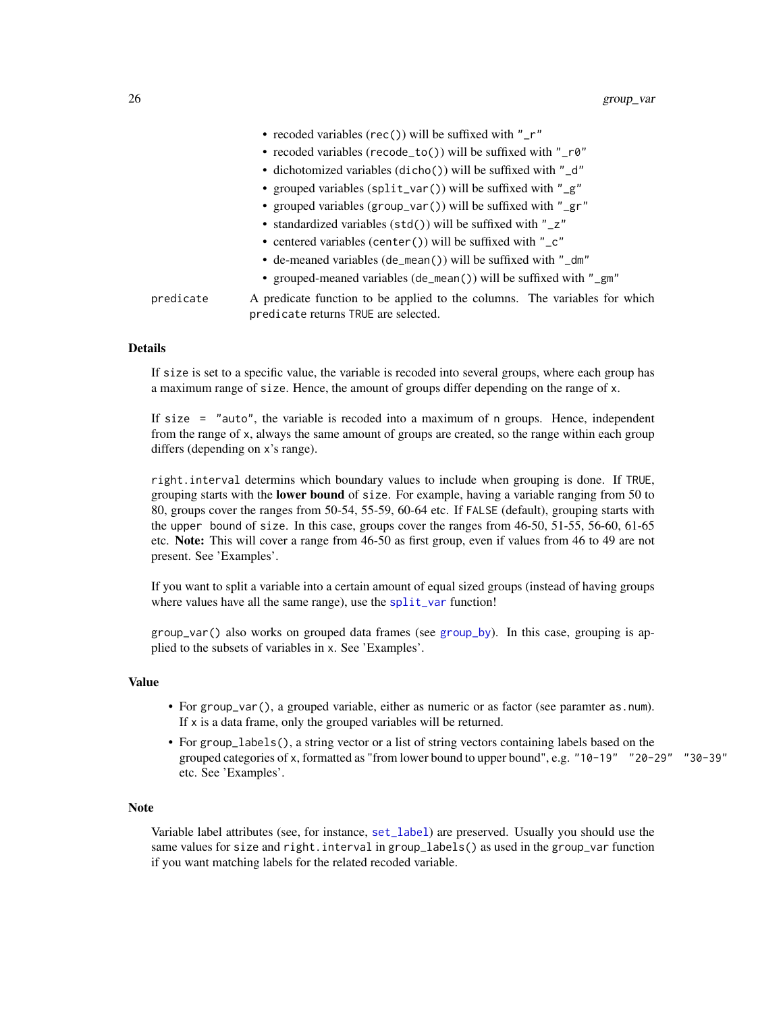|           | • recoded variables (rec()) will be suffixed with " $r$ "                                                          |
|-----------|--------------------------------------------------------------------------------------------------------------------|
|           | • recoded variables (recode_to()) will be suffixed with "_r0"                                                      |
|           | • dichotomized variables (dicho()) will be suffixed with "_d"                                                      |
|           | • grouped variables (split_var()) will be suffixed with "_g"                                                       |
|           | • grouped variables (group_var()) will be suffixed with "_gr"                                                      |
|           | • standardized variables (std()) will be suffixed with "_z"                                                        |
|           | • centered variables (center()) will be suffixed with " $\mathsf{C}$ "                                             |
|           | • de-meaned variables (de_mean()) will be suffixed with "_dm"                                                      |
|           | • grouped-meaned variables (de_mean()) will be suffixed with "_gm"                                                 |
| predicate | A predicate function to be applied to the columns. The variables for which<br>predicate returns TRUE are selected. |

#### Details

If size is set to a specific value, the variable is recoded into several groups, where each group has a maximum range of size. Hence, the amount of groups differ depending on the range of x.

If size = "auto", the variable is recoded into a maximum of n groups. Hence, independent from the range of x, always the same amount of groups are created, so the range within each group differs (depending on x's range).

right.interval determins which boundary values to include when grouping is done. If TRUE, grouping starts with the **lower bound** of size. For example, having a variable ranging from 50 to 80, groups cover the ranges from 50-54, 55-59, 60-64 etc. If FALSE (default), grouping starts with the upper bound of size. In this case, groups cover the ranges from 46-50, 51-55, 56-60, 61-65 etc. Note: This will cover a range from 46-50 as first group, even if values from 46 to 49 are not present. See 'Examples'.

If you want to split a variable into a certain amount of equal sized groups (instead of having groups where values have all the same range), use the  $split\_var$  function!

 $group\_var()$  also works on grouped data frames (see [group\\_by](#page-0-0)). In this case, grouping is applied to the subsets of variables in x. See 'Examples'.

# Value

- For group\_var(), a grouped variable, either as numeric or as factor (see paramter as.num). If x is a data frame, only the grouped variables will be returned.
- For group\_labels(), a string vector or a list of string vectors containing labels based on the grouped categories of x, formatted as "from lower bound to upper bound", e.g. "10-19" "20-29" "30-39" etc. See 'Examples'.

# Note

Variable label attributes (see, for instance, [set\\_label](#page-0-0)) are preserved. Usually you should use the same values for size and right.interval in group\_labels() as used in the group\_var function if you want matching labels for the related recoded variable.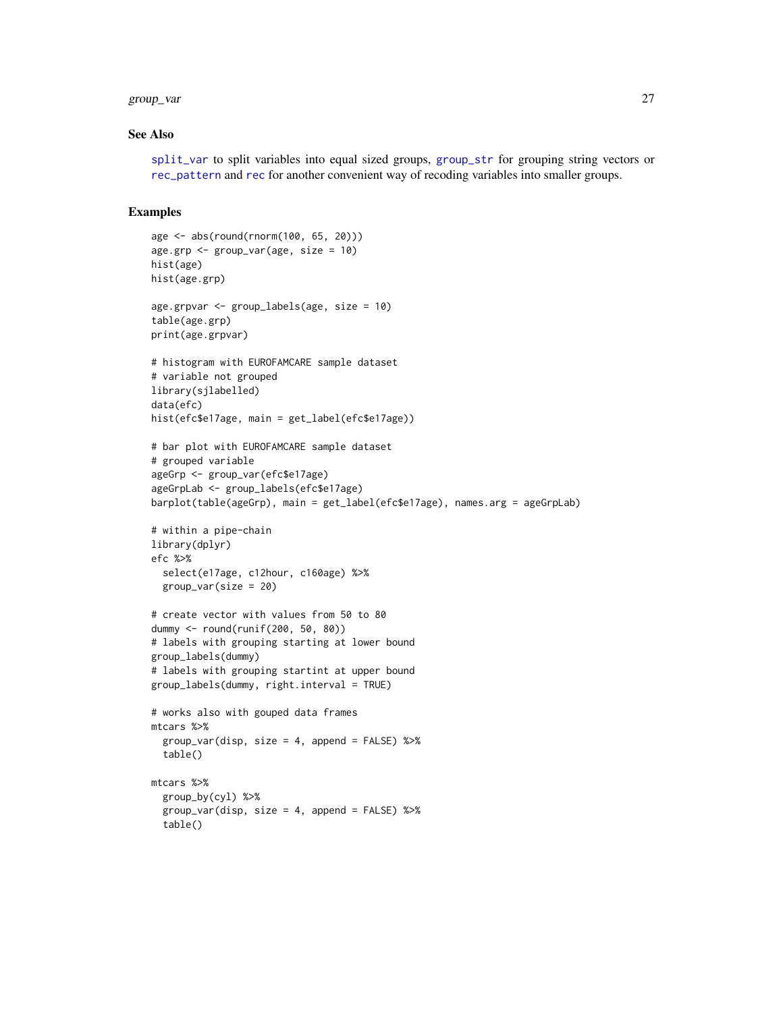#### group\_var 27

#### See Also

[split\\_var](#page-59-1) to split variables into equal sized groups, [group\\_str](#page-22-1) for grouping string vectors or [rec\\_pattern](#page-44-1) and [rec](#page-37-1) for another convenient way of recoding variables into smaller groups.

```
age <- abs(round(rnorm(100, 65, 20)))
age.grp <- group_var(age, size = 10)
hist(age)
hist(age.grp)
age.grpvar <- group_labels(age, size = 10)
table(age.grp)
print(age.grpvar)
# histogram with EUROFAMCARE sample dataset
# variable not grouped
library(sjlabelled)
data(efc)
hist(efc$e17age, main = get_label(efc$e17age))
# bar plot with EUROFAMCARE sample dataset
# grouped variable
ageGrp <- group_var(efc$e17age)
ageGrpLab <- group_labels(efc$e17age)
barplot(table(ageGrp), main = get_label(efc$e17age), names.arg = ageGrpLab)
# within a pipe-chain
library(dplyr)
efc %>%
  select(e17age, c12hour, c160age) %>%
  group_var(size = 20)
# create vector with values from 50 to 80
dummy <- round(runif(200, 50, 80))
# labels with grouping starting at lower bound
group_labels(dummy)
# labels with grouping startint at upper bound
group_labels(dummy, right.interval = TRUE)
# works also with gouped data frames
mtcars %>%
  group_var(disp, size = 4, append = FALSE) %>%
  table()
mtcars %>%
  group_by(cyl) %>%
  group_var(disp, size = 4, append = FALSE) %>%
  table()
```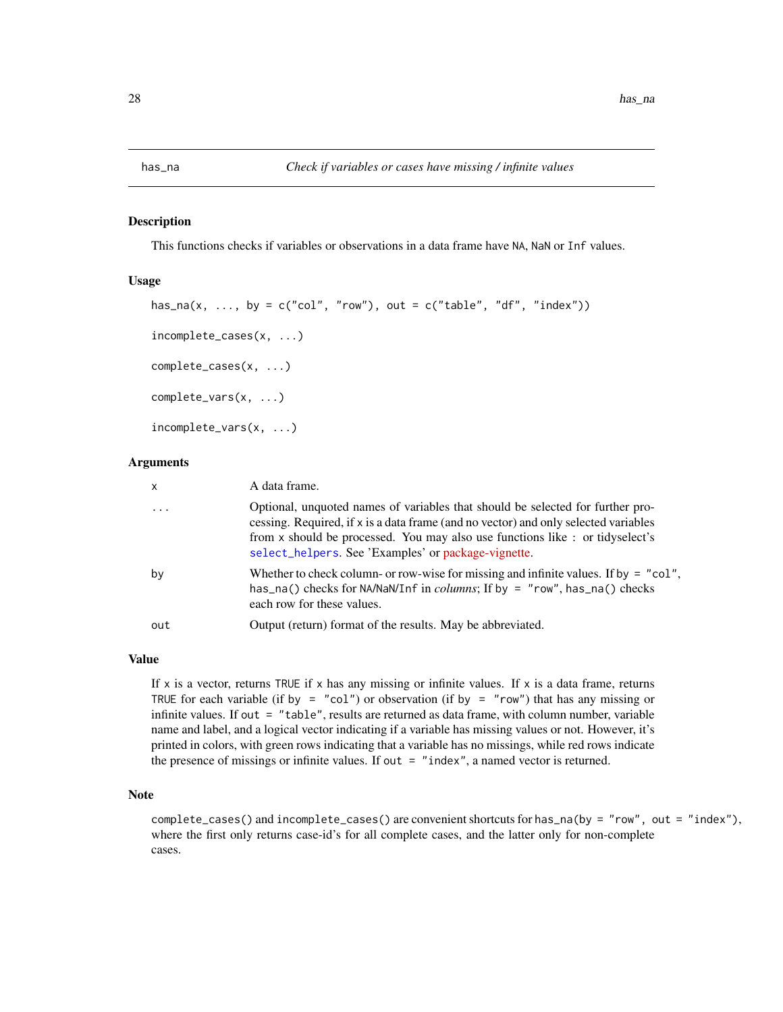<span id="page-27-0"></span>

#### Description

This functions checks if variables or observations in a data frame have NA, NaN or Inf values.

# Usage

```
has_na(x, ..., by = c("col", "row"), out = c("table", "df", "index"))
incomplete_cases(x, ...)
complete_cases(x, ...)
complete_vars(x, ...)
incomplete_vars(x, ...)
```
# Arguments

| X        | A data frame.                                                                                                                                                                                                                                                                                                 |
|----------|---------------------------------------------------------------------------------------------------------------------------------------------------------------------------------------------------------------------------------------------------------------------------------------------------------------|
| $\ddots$ | Optional, unquoted names of variables that should be selected for further pro-<br>cessing. Required, if x is a data frame (and no vector) and only selected variables<br>from x should be processed. You may also use functions like : or tidyselect's<br>select_helpers. See 'Examples' or package-vignette. |
| by       | Whether to check column- or row-wise for missing and infinite values. If by $=$ "col",<br>has_na() checks for NA/NaN/Inf in columns; If by = "row", has_na() checks<br>each row for these values.                                                                                                             |
| out      | Output (return) format of the results. May be abbreviated.                                                                                                                                                                                                                                                    |

# Value

If x is a vector, returns TRUE if x has any missing or infinite values. If x is a data frame, returns TRUE for each variable (if by = "col") or observation (if by = "row") that has any missing or infinite values. If out = "table", results are returned as data frame, with column number, variable name and label, and a logical vector indicating if a variable has missing values or not. However, it's printed in colors, with green rows indicating that a variable has no missings, while red rows indicate the presence of missings or infinite values. If out  $=$  "index", a named vector is returned.

# Note

complete\_cases() and incomplete\_cases() are convenient shortcuts for has\_na(by = "row", out = "index"), where the first only returns case-id's for all complete cases, and the latter only for non-complete cases.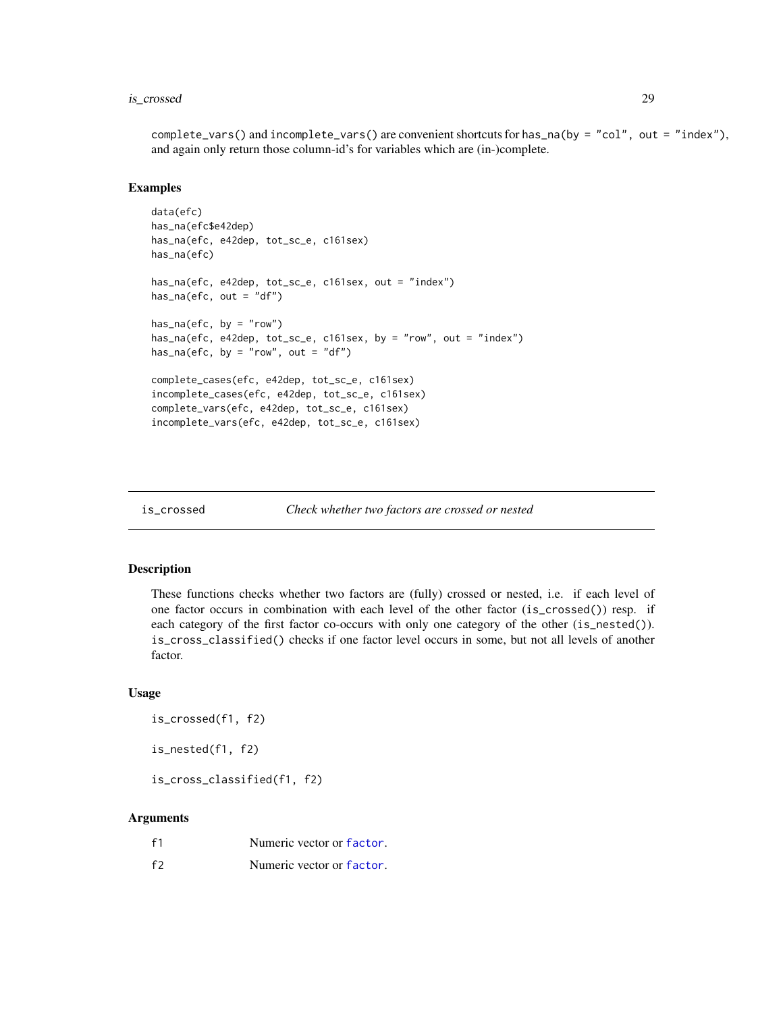#### <span id="page-28-0"></span>is\_crossed 29

complete\_vars() and incomplete\_vars() are convenient shortcuts for has\_na(by = "col", out = "index"), and again only return those column-id's for variables which are (in-)complete.

#### Examples

```
data(efc)
has_na(efc$e42dep)
has_na(efc, e42dep, tot_sc_e, c161sex)
has_na(efc)
has_na(efc, e42dep, tot_sc_e, c161sex, out = "index")
has\_na(efc, out = "df")has\_na(efc, by = "row")has_na(efc, e42dep, tot_sc_e, c161sex, by = "row", out = "index")
has_na(efc, by = "row", out = "df")
complete_cases(efc, e42dep, tot_sc_e, c161sex)
incomplete_cases(efc, e42dep, tot_sc_e, c161sex)
complete_vars(efc, e42dep, tot_sc_e, c161sex)
incomplete_vars(efc, e42dep, tot_sc_e, c161sex)
```
is\_crossed *Check whether two factors are crossed or nested*

#### Description

These functions checks whether two factors are (fully) crossed or nested, i.e. if each level of one factor occurs in combination with each level of the other factor (is\_crossed()) resp. if each category of the first factor co-occurs with only one category of the other (is\_nested()). is\_cross\_classified() checks if one factor level occurs in some, but not all levels of another factor.

## Usage

is\_crossed(f1, f2)

is\_nested(f1, f2)

is\_cross\_classified(f1, f2)

#### Arguments

| f <sub>1</sub> | Numeric vector or factor. |
|----------------|---------------------------|
| f              | Numeric vector or factor. |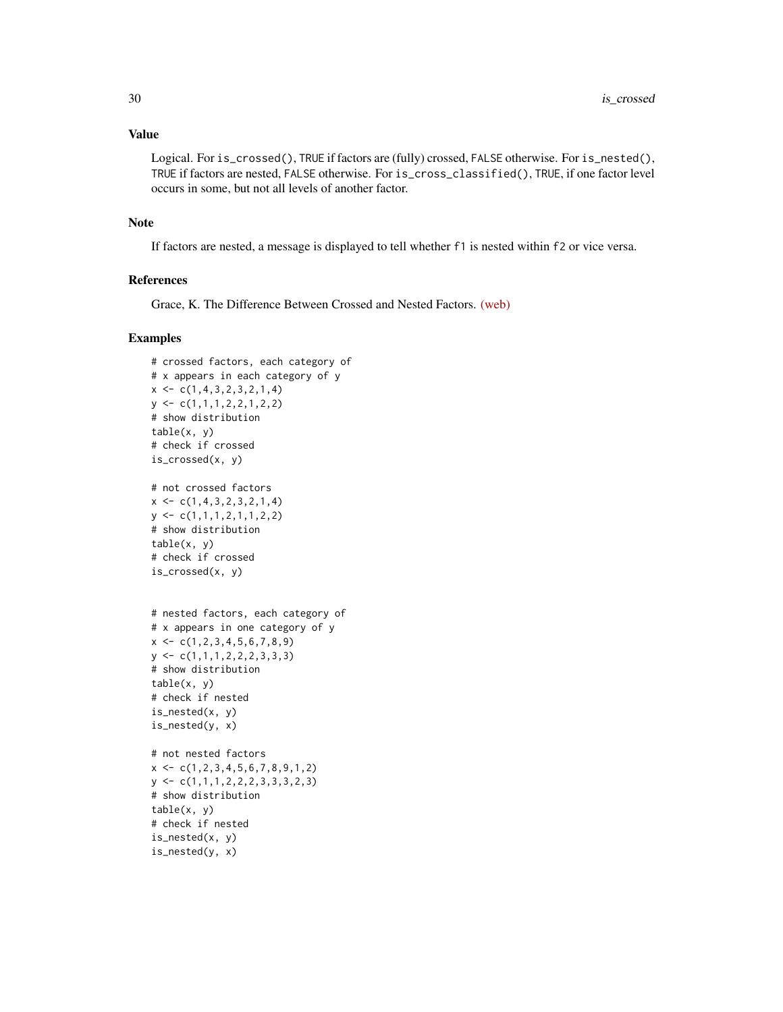# Value

Logical. For is\_crossed(), TRUE if factors are (fully) crossed, FALSE otherwise. For is\_nested(), TRUE if factors are nested, FALSE otherwise. For is\_cross\_classified(), TRUE, if one factor level occurs in some, but not all levels of another factor.

#### Note

If factors are nested, a message is displayed to tell whether f1 is nested within f2 or vice versa.

# References

Grace, K. The Difference Between Crossed and Nested Factors. [\(web\)](http://www.theanalysisfactor.com/the-difference-between-crossed-and-nested-factors/)

```
# crossed factors, each category of
# x appears in each category of y
x \leftarrow c(1, 4, 3, 2, 3, 2, 1, 4)y \leftarrow c(1,1,1,2,2,1,2,2)# show distribution
table(x, y)# check if crossed
is_crossed(x, y)
# not crossed factors
x \leftarrow c(1, 4, 3, 2, 3, 2, 1, 4)y \leq -c(1,1,1,2,1,1,2,2)# show distribution
table(x, y)# check if crossed
is_crossed(x, y)
# nested factors, each category of
# x appears in one category of y
x \leftarrow c(1, 2, 3, 4, 5, 6, 7, 8, 9)y \leftarrow c(1,1,1,2,2,2,3,3,3)# show distribution
table(x, y)
# check if nested
is_nested(x, y)
is_nested(y, x)
# not nested factors
x \leftarrow c(1, 2, 3, 4, 5, 6, 7, 8, 9, 1, 2)y \leftarrow c(1,1,1,2,2,2,3,3,3,2,3)# show distribution
table(x, y)
# check if nested
is_nested(x, y)
is_nested(y, x)
```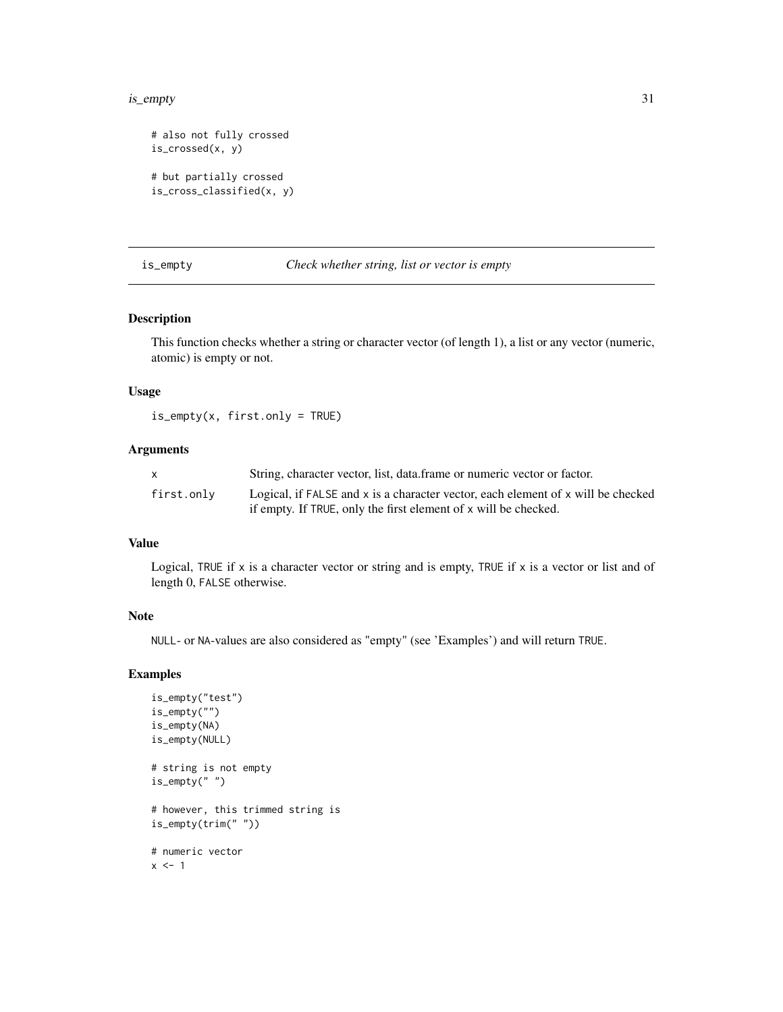#### <span id="page-30-0"></span>is\_empty 31

```
# also not fully crossed
is_crossed(x, y)
# but partially crossed
is_cross_classified(x, y)
```
#### is\_empty *Check whether string, list or vector is empty*

#### Description

This function checks whether a string or character vector (of length 1), a list or any vector (numeric, atomic) is empty or not.

#### Usage

is\_empty(x, first.only = TRUE)

# Arguments

|            | String, character vector, list, data frame or numeric vector or factor.          |
|------------|----------------------------------------------------------------------------------|
| first.only | Logical, if FALSE and x is a character vector, each element of x will be checked |
|            | if empty. If TRUE, only the first element of x will be checked.                  |

# Value

Logical, TRUE if x is a character vector or string and is empty, TRUE if x is a vector or list and of length 0, FALSE otherwise.

#### Note

NULL- or NA-values are also considered as "empty" (see 'Examples') and will return TRUE.

```
is_empty("test")
is_empty("")
is_empty(NA)
is_empty(NULL)
# string is not empty
is_empty(" ")
# however, this trimmed string is
is_empty(trim(" "))
# numeric vector
x \le -1
```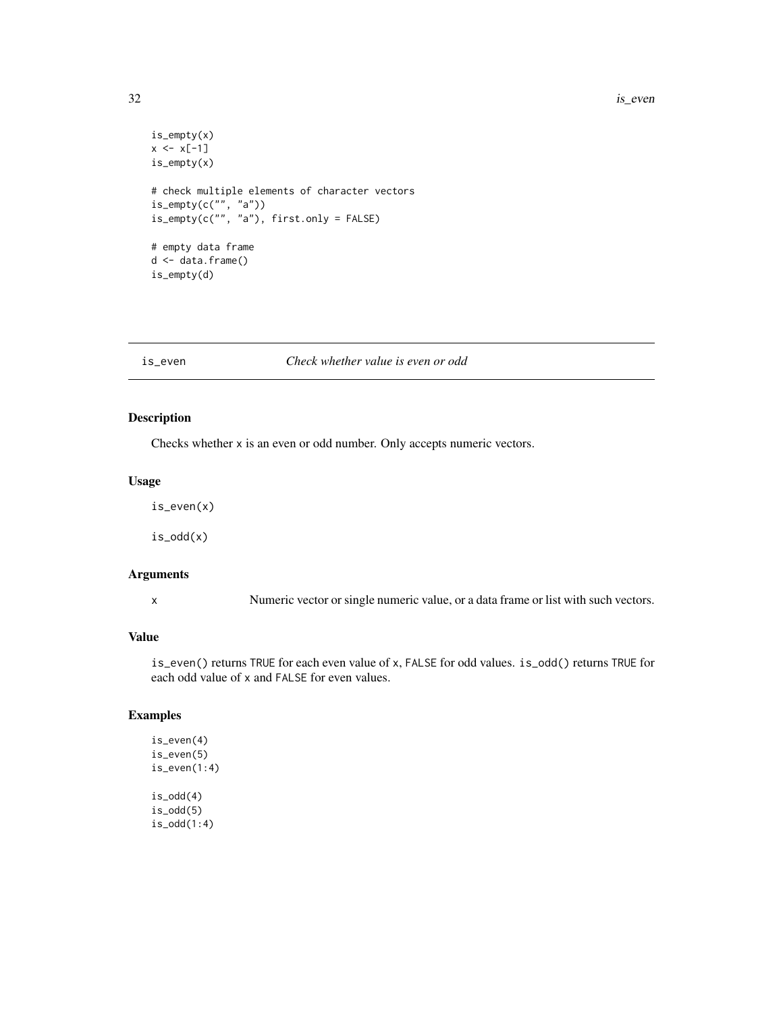```
is_empty(x)
x \le -x[-1]is_empty(x)
# check multiple elements of character vectors
is_empty(c("", "a"))
is_empty(c("", "a"), first.only = FALSE)
# empty data frame
d <- data.frame()
is_empty(d)
```
# is\_even *Check whether value is even or odd*

# Description

Checks whether x is an even or odd number. Only accepts numeric vectors.

# Usage

is\_even(x)

is\_odd(x)

# Arguments

x Numeric vector or single numeric value, or a data frame or list with such vectors.

#### Value

is\_even() returns TRUE for each even value of x, FALSE for odd values. is\_odd() returns TRUE for each odd value of x and FALSE for even values.

# Examples

is\_even(4) is\_even(5) is\_even(1:4)  $is\_odd(4)$ is\_odd(5) is\_odd(1:4)

<span id="page-31-0"></span>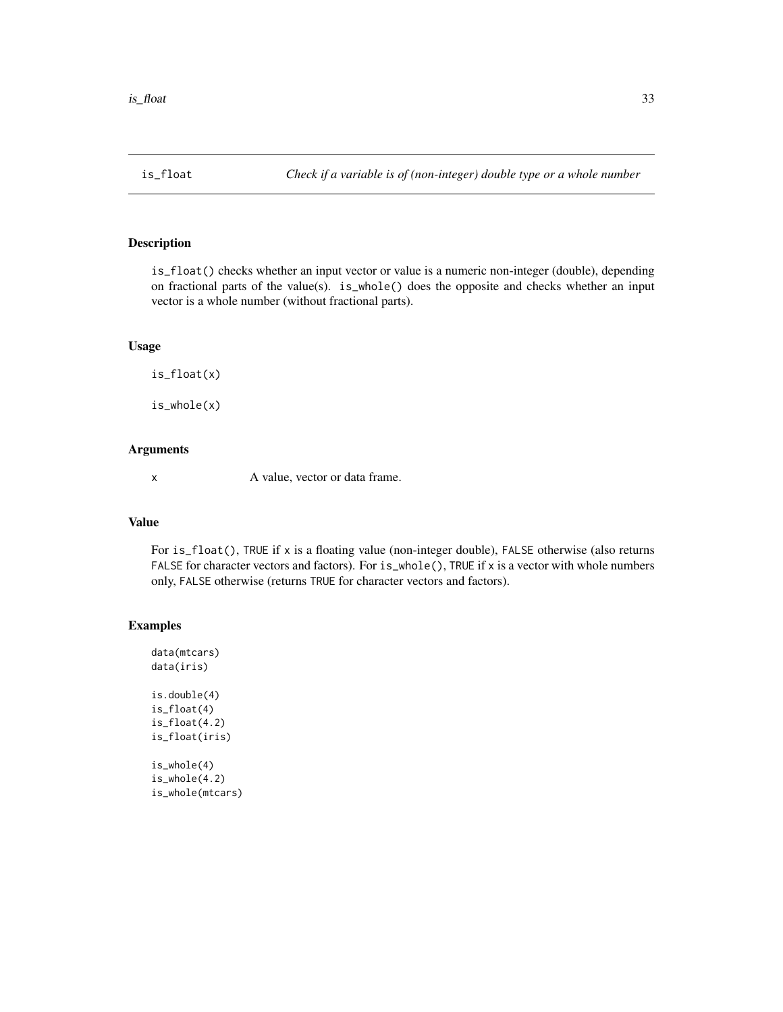<span id="page-32-0"></span>

#### Description

is\_float() checks whether an input vector or value is a numeric non-integer (double), depending on fractional parts of the value(s). is\_whole() does the opposite and checks whether an input vector is a whole number (without fractional parts).

# Usage

is\_float(x)

is\_whole(x)

# Arguments

x A value, vector or data frame.

#### Value

For is\_float(), TRUE if x is a floating value (non-integer double), FALSE otherwise (also returns FALSE for character vectors and factors). For is\_whole(), TRUE if x is a vector with whole numbers only, FALSE otherwise (returns TRUE for character vectors and factors).

# Examples

data(mtcars) data(iris) is.double(4) is\_float(4) is\_float(4.2) is\_float(iris) is\_whole(4) is\_whole(4.2) is\_whole(mtcars)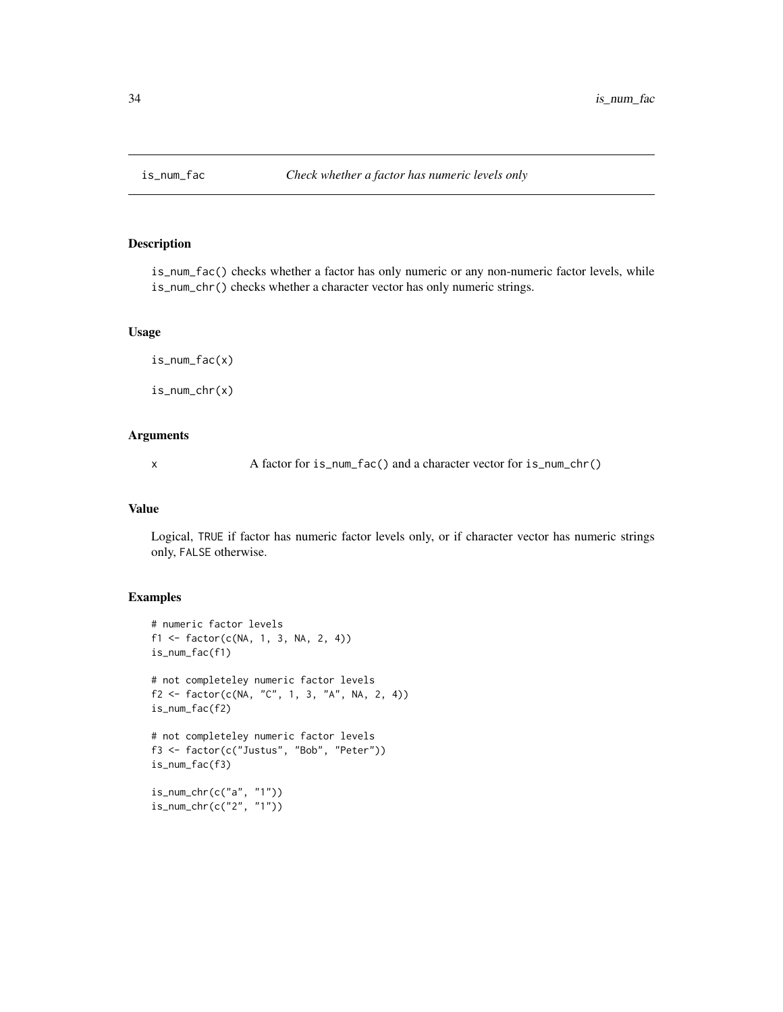<span id="page-33-0"></span>

#### Description

is\_num\_fac() checks whether a factor has only numeric or any non-numeric factor levels, while is\_num\_chr() checks whether a character vector has only numeric strings.

# Usage

```
is_num_fac(x)
is_num_chr(x)
```
# Arguments

x A factor for is\_num\_fac() and a character vector for is\_num\_chr()

#### Value

Logical, TRUE if factor has numeric factor levels only, or if character vector has numeric strings only, FALSE otherwise.

```
# numeric factor levels
f1 <- factor(c(NA, 1, 3, NA, 2, 4))
is_num_fac(f1)
# not completeley numeric factor levels
f2 <- factor(c(NA, "C", 1, 3, "A", NA, 2, 4))
is_num_fac(f2)
# not completeley numeric factor levels
f3 <- factor(c("Justus", "Bob", "Peter"))
is_num_fac(f3)
is_num_chr(c("a", "1"))
is_num_chr(c("2", "1"))
```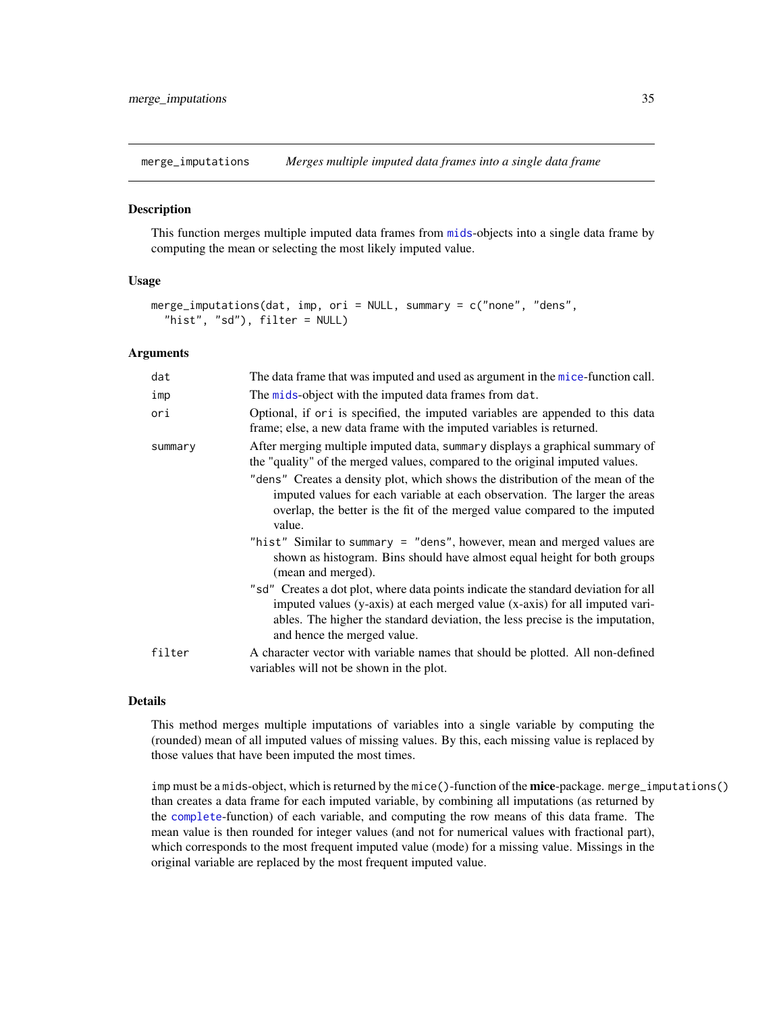<span id="page-34-0"></span>merge\_imputations *Merges multiple imputed data frames into a single data frame*

# Description

This function merges multiple imputed data frames from [mids](#page-0-0)-objects into a single data frame by computing the mean or selecting the most likely imputed value.

# Usage

```
merge_imputations(dat, imp, ori = NULL, summary = c("none", "dens",
  "hist", "sd"), filter = NULL)
```
#### Arguments

| dat     | The data frame that was imputed and used as argument in the mice-function call.                                                                                                                                                                                                   |
|---------|-----------------------------------------------------------------------------------------------------------------------------------------------------------------------------------------------------------------------------------------------------------------------------------|
| imp     | The mids-object with the imputed data frames from dat.                                                                                                                                                                                                                            |
| ori     | Optional, if or i is specified, the imputed variables are appended to this data<br>frame; else, a new data frame with the imputed variables is returned.                                                                                                                          |
| summary | After merging multiple imputed data, summary displays a graphical summary of<br>the "quality" of the merged values, compared to the original imputed values.                                                                                                                      |
|         | "dens" Creates a density plot, which shows the distribution of the mean of the<br>imputed values for each variable at each observation. The larger the areas<br>overlap, the better is the fit of the merged value compared to the imputed<br>value.                              |
|         | "hist" Similar to summary = "dens", however, mean and merged values are<br>shown as histogram. Bins should have almost equal height for both groups<br>(mean and merged).                                                                                                         |
|         | "sd" Creates a dot plot, where data points indicate the standard deviation for all<br>imputed values (y-axis) at each merged value (x-axis) for all imputed vari-<br>ables. The higher the standard deviation, the less precise is the imputation,<br>and hence the merged value. |
| filter  | A character vector with variable names that should be plotted. All non-defined<br>variables will not be shown in the plot.                                                                                                                                                        |

#### Details

This method merges multiple imputations of variables into a single variable by computing the (rounded) mean of all imputed values of missing values. By this, each missing value is replaced by those values that have been imputed the most times.

imp must be a mids-object, which is returned by the mice()-function of the mice-package. merge\_imputations() than creates a data frame for each imputed variable, by combining all imputations (as returned by the [complete](#page-0-0)-function) of each variable, and computing the row means of this data frame. The mean value is then rounded for integer values (and not for numerical values with fractional part), which corresponds to the most frequent imputed value (mode) for a missing value. Missings in the original variable are replaced by the most frequent imputed value.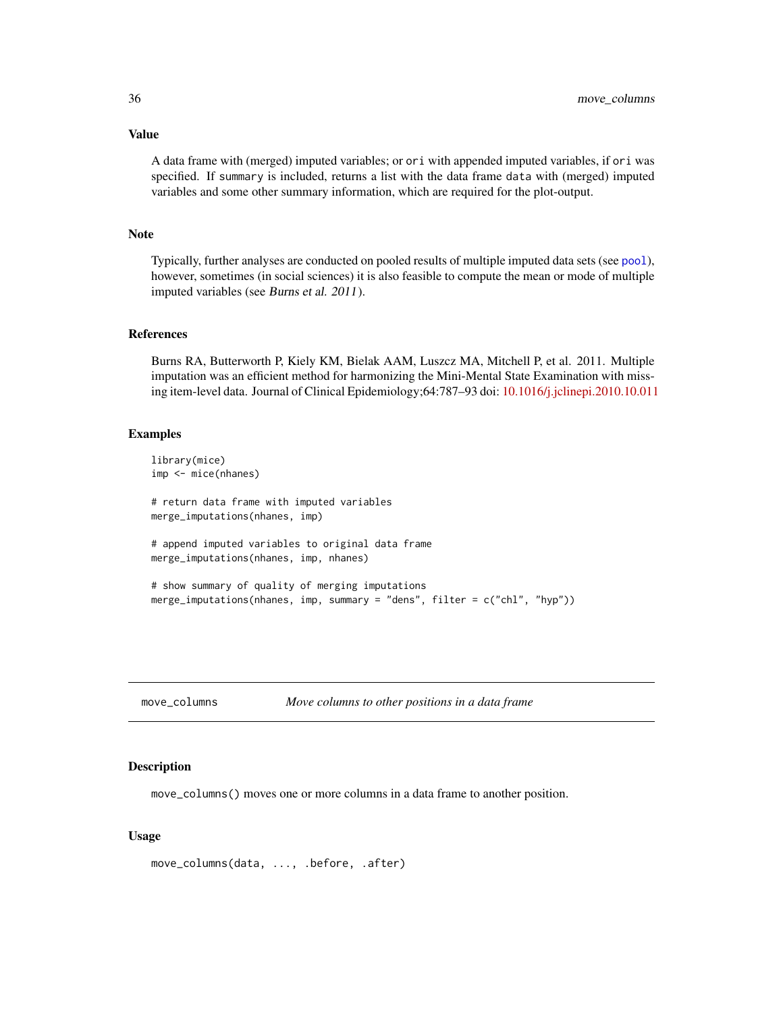<span id="page-35-0"></span>Value

A data frame with (merged) imputed variables; or ori with appended imputed variables, if ori was specified. If summary is included, returns a list with the data frame data with (merged) imputed variables and some other summary information, which are required for the plot-output.

#### Note

Typically, further analyses are conducted on pooled results of multiple imputed data sets (see [pool](#page-0-0)), however, sometimes (in social sciences) it is also feasible to compute the mean or mode of multiple imputed variables (see Burns et al. 2011).

#### References

Burns RA, Butterworth P, Kiely KM, Bielak AAM, Luszcz MA, Mitchell P, et al. 2011. Multiple imputation was an efficient method for harmonizing the Mini-Mental State Examination with missing item-level data. Journal of Clinical Epidemiology;64:787–93 doi: [10.1016/j.jclinepi.2010.10.011](http://doi.org/10.1016/j.jclinepi.2010.10.011)

#### Examples

```
library(mice)
imp <- mice(nhanes)
# return data frame with imputed variables
merge_imputations(nhanes, imp)
# append imputed variables to original data frame
merge_imputations(nhanes, imp, nhanes)
# show summary of quality of merging imputations
merge_imputations(nhanes, imp, summary = "dens", filter = c("chl", "hyp"))
```

| move_columns | Move columns to other positions in a data frame |  |
|--------------|-------------------------------------------------|--|
|              |                                                 |  |

# Description

move\_columns() moves one or more columns in a data frame to another position.

#### Usage

```
move_columns(data, ..., .before, .after)
```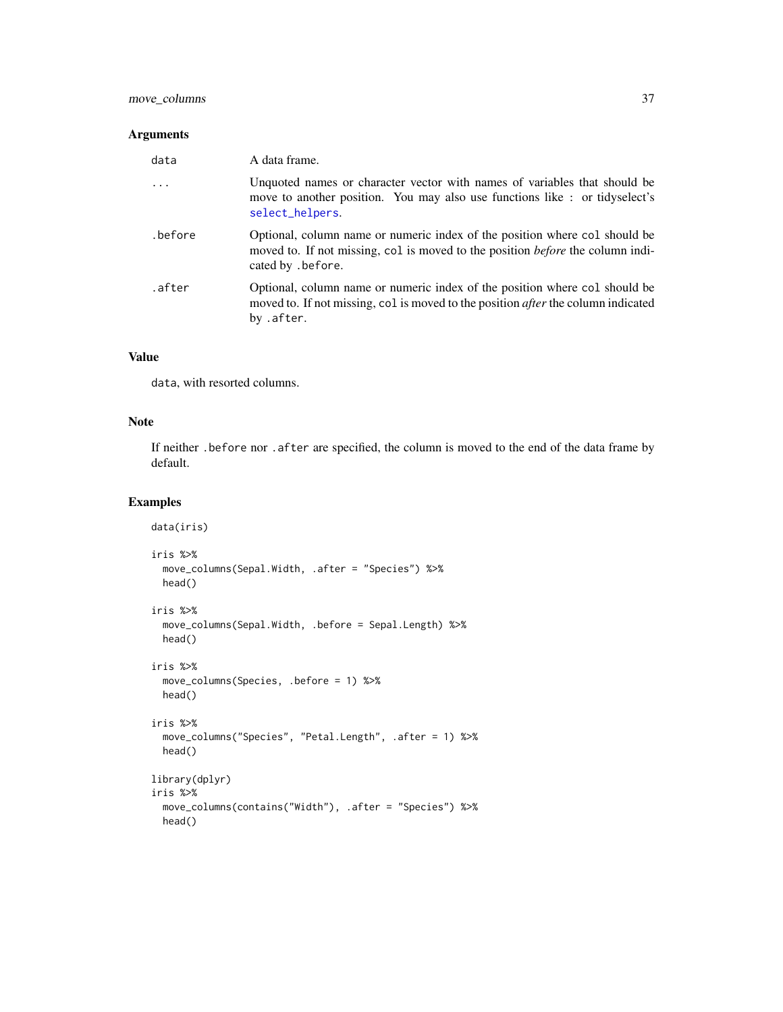### Arguments

| data    | A data frame.                                                                                                                                                                            |
|---------|------------------------------------------------------------------------------------------------------------------------------------------------------------------------------------------|
|         | Unquoted names or character vector with names of variables that should be<br>move to another position. You may also use functions like : or tidyselect's<br>select_helpers.              |
| .before | Optional, column name or numeric index of the position where col should be<br>moved to. If not missing, col is moved to the position <i>before</i> the column indi-<br>cated by .before. |
| .after  | Optional, column name or numeric index of the position where col should be<br>moved to. If not missing, col is moved to the position <i>after</i> the column indicated<br>by .after.     |

## Value

data, with resorted columns.

## Note

If neither .before nor .after are specified, the column is moved to the end of the data frame by default.

```
data(iris)
iris %>%
 move_columns(Sepal.Width, .after = "Species") %>%
 head()
iris %>%
  move_columns(Sepal.Width, .before = Sepal.Length) %>%
  head()
iris %>%
  move_columns(Species, .before = 1) %>%
  head()
iris %>%
  move_columns("Species", "Petal.Length", .after = 1) %>%
  head()
library(dplyr)
iris %>%
  move_columns(contains("Width"), .after = "Species") %>%
  head()
```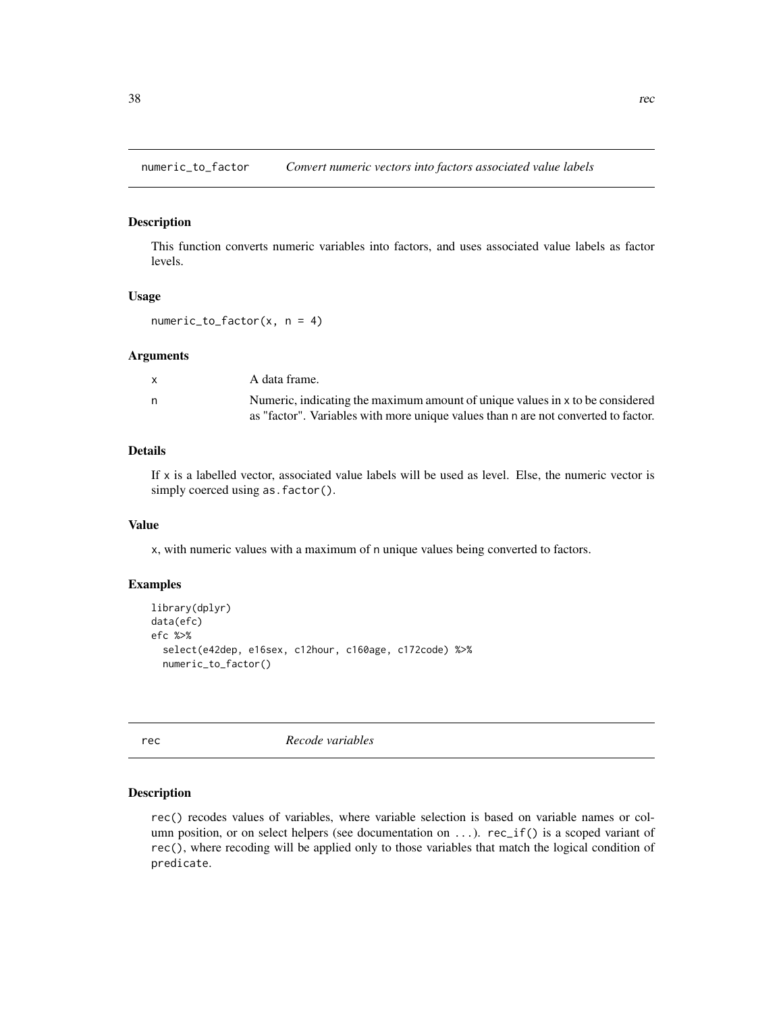numeric\_to\_factor *Convert numeric vectors into factors associated value labels*

### Description

This function converts numeric variables into factors, and uses associated value labels as factor levels.

#### Usage

 $numeric_to_factor(x, n = 4)$ 

### Arguments

| $\mathsf{x}$ | A data frame.                                                                      |
|--------------|------------------------------------------------------------------------------------|
| n            | Numeric, indicating the maximum amount of unique values in x to be considered      |
|              | as "factor". Variables with more unique values than n are not converted to factor. |

# Details

If  $x$  is a labelled vector, associated value labels will be used as level. Else, the numeric vector is simply coerced using as.factor().

### Value

x, with numeric values with a maximum of n unique values being converted to factors.

## Examples

```
library(dplyr)
data(efc)
efc %>%
  select(e42dep, e16sex, c12hour, c160age, c172code) %>%
  numeric_to_factor()
```
<span id="page-37-0"></span>rec *Recode variables*

### Description

rec() recodes values of variables, where variable selection is based on variable names or column position, or on select helpers (see documentation on  $\dots$ ). rec $_if()$  is a scoped variant of rec(), where recoding will be applied only to those variables that match the logical condition of predicate.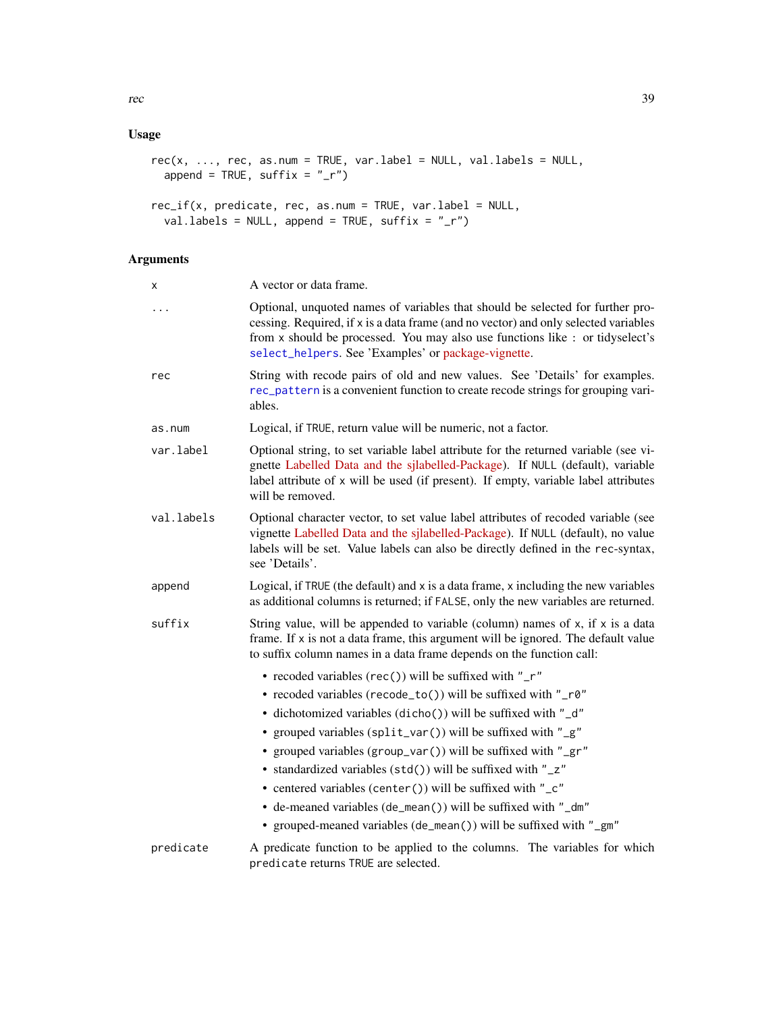# Usage

```
rec(x, ..., rec, as.num = TRUE, var.label = NULL, val.labels = NULL,append = TRUE, suffix = "r")
```

```
rec_if(x, predicate, rec, as.num = TRUE, var.label = NULL,
 val.labels = NULL, append = TRUE, suffix = "_r")
```
# Arguments

| х          | A vector or data frame.                                                                                                                                                                                                                                                                                       |
|------------|---------------------------------------------------------------------------------------------------------------------------------------------------------------------------------------------------------------------------------------------------------------------------------------------------------------|
| .          | Optional, unquoted names of variables that should be selected for further pro-<br>cessing. Required, if x is a data frame (and no vector) and only selected variables<br>from x should be processed. You may also use functions like : or tidyselect's<br>select_helpers. See 'Examples' or package-vignette. |
| rec        | String with recode pairs of old and new values. See 'Details' for examples.<br>rec_pattern is a convenient function to create recode strings for grouping vari-<br>ables.                                                                                                                                     |
| as.num     | Logical, if TRUE, return value will be numeric, not a factor.                                                                                                                                                                                                                                                 |
| var.label  | Optional string, to set variable label attribute for the returned variable (see vi-<br>gnette Labelled Data and the sjlabelled-Package). If NULL (default), variable<br>label attribute of x will be used (if present). If empty, variable label attributes<br>will be removed.                               |
| val.labels | Optional character vector, to set value label attributes of recoded variable (see<br>vignette Labelled Data and the sjlabelled-Package). If NULL (default), no value<br>labels will be set. Value labels can also be directly defined in the rec-syntax,<br>see 'Details'.                                    |
| append     | Logical, if TRUE (the default) and x is a data frame, x including the new variables<br>as additional columns is returned; if FALSE, only the new variables are returned.                                                                                                                                      |
| suffix     | String value, will be appended to variable (column) names of $x$ , if $x$ is a data<br>frame. If x is not a data frame, this argument will be ignored. The default value<br>to suffix column names in a data frame depends on the function call:                                                              |
|            | • recoded variables (rec()) will be suffixed with "_r"                                                                                                                                                                                                                                                        |
|            | • recoded variables (recode_to()) will be suffixed with "_r0"                                                                                                                                                                                                                                                 |
|            | • dichotomized variables (dicho()) will be suffixed with "_d"                                                                                                                                                                                                                                                 |
|            | • grouped variables (split_var()) will be suffixed with "_g"                                                                                                                                                                                                                                                  |
|            | • grouped variables (group_var()) will be suffixed with "_gr"                                                                                                                                                                                                                                                 |
|            | • standardized variables (std()) will be suffixed with "_z"                                                                                                                                                                                                                                                   |
|            | • centered variables (center()) will be suffixed with "_c"                                                                                                                                                                                                                                                    |
|            | • de-meaned variables (de_mean()) will be suffixed with "_dm"<br>• grouped-meaned variables (de_mean()) will be suffixed with "_gm"                                                                                                                                                                           |
|            |                                                                                                                                                                                                                                                                                                               |
| predicate  | A predicate function to be applied to the columns. The variables for which<br>predicate returns TRUE are selected.                                                                                                                                                                                            |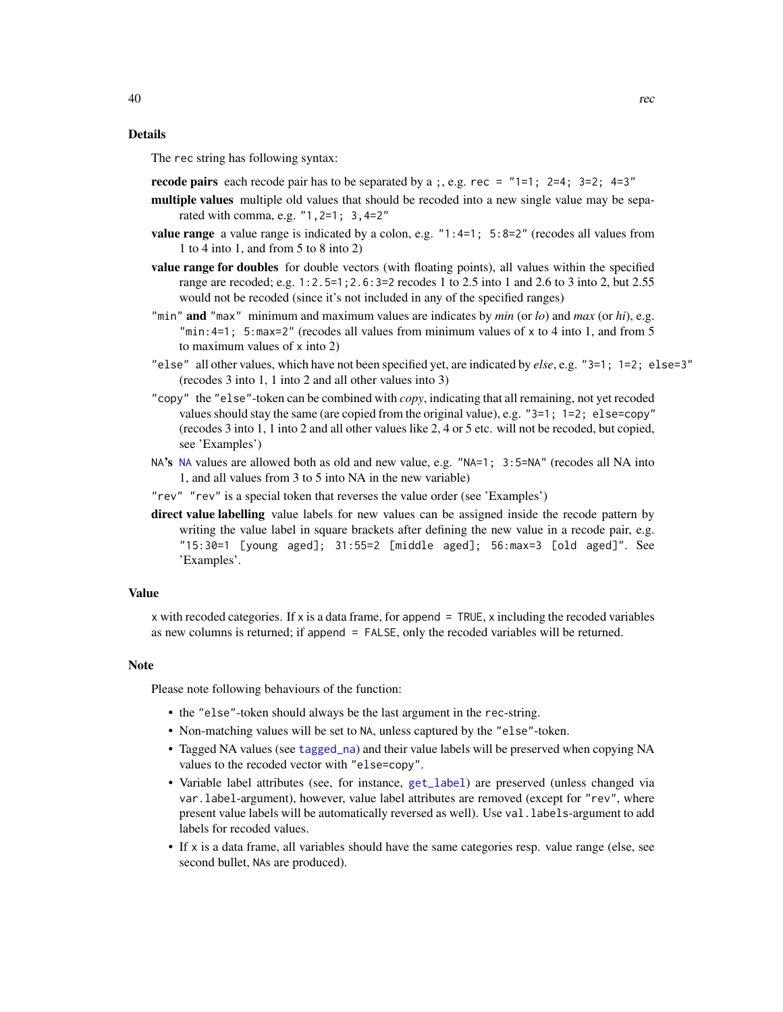### Details

The rec string has following syntax:

- **recode pairs** each recode pair has to be separated by a ;, e.g. rec =  $"1=1; 2=4; 3=2; 4=3"$
- multiple values multiple old values that should be recoded into a new single value may be separated with comma, e.g. "1,2=1; 3,4=2"
- **value range** a value range is indicated by a colon, e.g.  $"1:4=1; 5:8=2"$  (recodes all values from 1 to 4 into 1, and from 5 to 8 into 2)
- value range for doubles for double vectors (with floating points), all values within the specified range are recoded; e.g. 1:2.5=1;2.6:3=2 recodes 1 to 2.5 into 1 and 2.6 to 3 into 2, but 2.55 would not be recoded (since it's not included in any of the specified ranges)
- "min" and "max" minimum and maximum values are indicates by *min* (or *lo*) and *max* (or *hi*), e.g. "min: 4=1; 5: max = 2" (recodes all values from minimum values of x to 4 into 1, and from 5 to maximum values of x into 2)
- "else" all other values, which have not been specified yet, are indicated by *else*, e.g. "3=1; 1=2; else=3" (recodes 3 into 1, 1 into 2 and all other values into 3)
- "copy" the "else"-token can be combined with *copy*, indicating that all remaining, not yet recoded values should stay the same (are copied from the original value), e.g. "3=1; 1=2; else=copy" (recodes 3 into 1, 1 into 2 and all other values like 2, 4 or 5 etc. will not be recoded, but copied, see 'Examples')
- [NA](#page-0-0)'s NA values are allowed both as old and new value, e.g. "NA=1; 3:5=NA" (recodes all NA into 1, and all values from 3 to 5 into NA in the new variable)
- "rev" "rev" is a special token that reverses the value order (see 'Examples')
- direct value labelling value labels for new values can be assigned inside the recode pattern by writing the value label in square brackets after defining the new value in a recode pair, e.g. "15:30=1 [young aged]; 31:55=2 [middle aged]; 56:max=3 [old aged]". See 'Examples'.

#### Value

 $x$  with recoded categories. If x is a data frame, for append  $=$  TRUE, x including the recoded variables as new columns is returned; if append = FALSE, only the recoded variables will be returned.

#### Note

Please note following behaviours of the function:

- the "else"-token should always be the last argument in the rec-string.
- Non-matching values will be set to NA, unless captured by the "else"-token.
- Tagged NA values (see [tagged\\_na](#page-0-0)) and their value labels will be preserved when copying NA values to the recoded vector with "else=copy".
- Variable label attributes (see, for instance, [get\\_label](#page-0-0)) are preserved (unless changed via var.label-argument), however, value label attributes are removed (except for "rev", where present value labels will be automatically reversed as well). Use val.labels-argument to add labels for recoded values.
- If x is a data frame, all variables should have the same categories resp. value range (else, see second bullet, NAs are produced).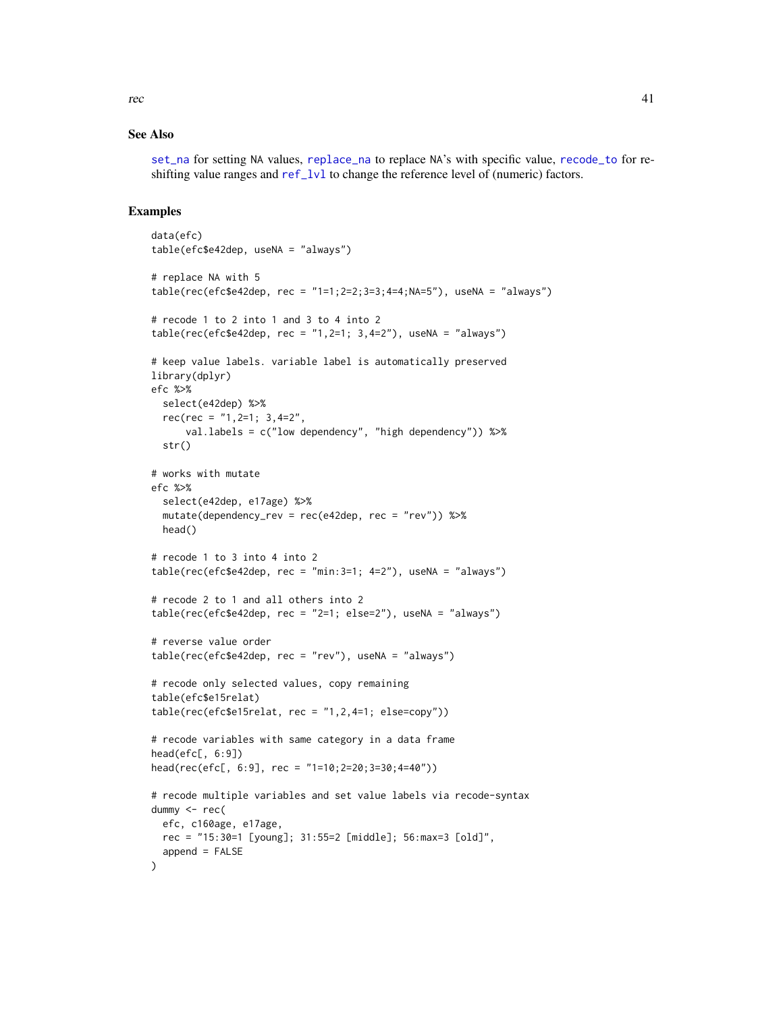[set\\_na](#page-55-0) for setting NA values, [replace\\_na](#page-47-0) to replace NA's with specific value, [recode\\_to](#page-42-0) for reshifting value ranges and [ref\\_lvl](#page-45-0) to change the reference level of (numeric) factors.

### Examples

```
data(efc)
table(efc$e42dep, useNA = "always")
# replace NA with 5
table(rec(efc$e42dep, rec = "1=1;2=2;3=3;4=4;NA=5"), useNA = "always")
# recode 1 to 2 into 1 and 3 to 4 into 2
table(rec(efc$e42dep, rec = "1,2=1; 3,4=2"), useNA = "always")
# keep value labels. variable label is automatically preserved
library(dplyr)
efc %>%
  select(e42dep) %>%
  rec(rec = "1, 2=1; 3, 4=2",val.labels = c("low dependency", "high dependency")) %>%
  str()
# works with mutate
efc %>%
  select(e42dep, e17age) %>%
  mutate(dependency_rev = rec(e42dep, rec = "rev")) %>%
 head()
# recode 1 to 3 into 4 into 2
table(rec(efc$e42dep, rec = "min:3=1; 4=2"), useNA = "always")
# recode 2 to 1 and all others into 2
table(rec(efc$e42dep, rec = "2=1; else=2"), useNA = "always")# reverse value order
table(rec(efc$e42dep, rec = "rev"), useNA = "always")
# recode only selected values, copy remaining
table(efc$e15relat)
table(rec(efc$e15relat, rec = "1, 2, 4=1; else=copy"))# recode variables with same category in a data frame
head(efc[, 6:9])
head(rec(efc[, 6:9], rec = "1=10;2=20;3=30;4=40"))
# recode multiple variables and set value labels via recode-syntax
dummy <- rec(
  efc, c160age, e17age,
 rec = "15:30=1 [young]; 31:55=2 [middle]; 56:max=3 [old]",
  append = FALSE
)
```
rec and the state of  $\sim$  41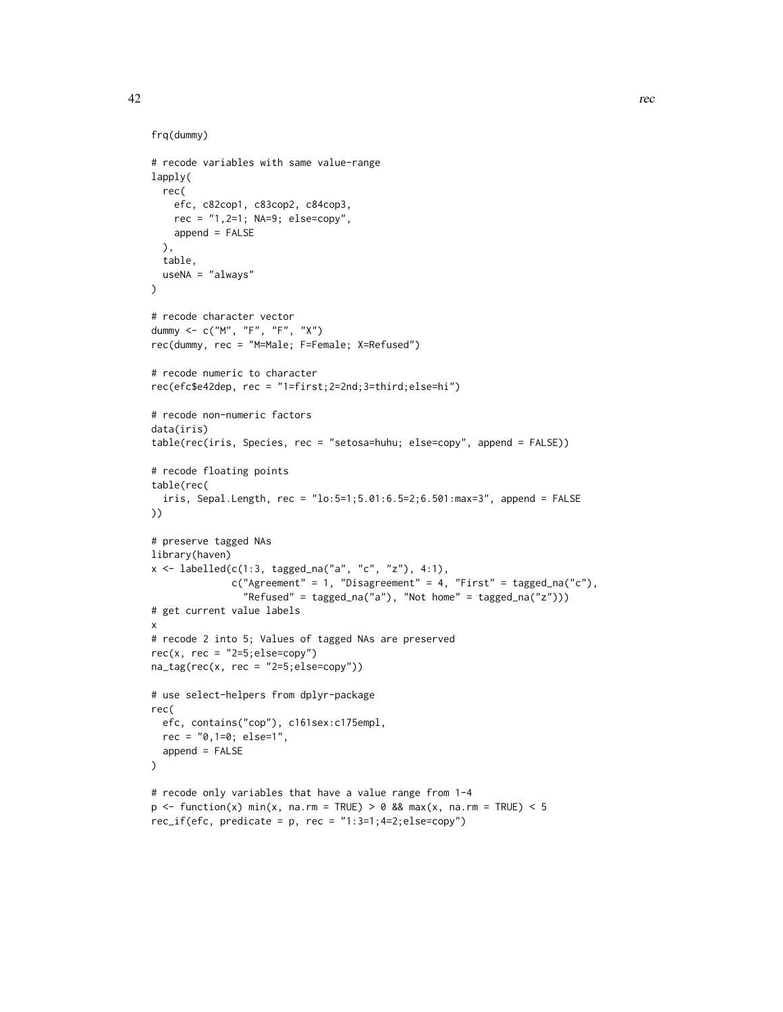```
frq(dummy)
# recode variables with same value-range
lapply(
  rec(
   efc, c82cop1, c83cop2, c84cop3,
   rec = "1,2=1; NA=9; else=copy",
   append = FALSE
  ),
  table,
  useNA = "always"
\lambda# recode character vector
dummy <- c("M", "F", "F", "X")
rec(dummy, rec = "M=Male; F=Female; X=Refused")
# recode numeric to character
rec(efc$e42dep, rec = "1=first;2=2nd;3=third;else=hi")
# recode non-numeric factors
data(iris)
table(rec(iris, Species, rec = "setosa=huhu; else=copy", append = FALSE))
# recode floating points
table(rec(
  iris, Sepal.Length, rec = "lo:5=1;5.01:6.5=2;6.501:max=3", append = FALSE
))
# preserve tagged NAs
library(haven)
x \le - labelled(c(1:3, tagged_na("a", "c", "z"), 4:1),
              c("Agreement" = 1, "Disagreement" = 4, "First" = tagged_na("c"),"Refused" = tagged_na("a"), "Not home" = tagged_na("z")))
# get current value labels
x
# recode 2 into 5; Values of tagged NAs are preserved
rec(x, rec = "2=5; else=copy")na\_tag(rec(x, rec = "2=5; else=copy"))# use select-helpers from dplyr-package
rec(
  efc, contains("cop"), c161sex:c175empl,
 rec = "0,1=0; else=1",
  append = FALSE
\lambda# recode only variables that have a value range from 1-4
p \le function(x) min(x, na.rm = TRUE) > 0 && max(x, na.rm = TRUE) < 5
rec_i f(efc, predicate = p, rec = "1:3=1;4=2;else=copy")
```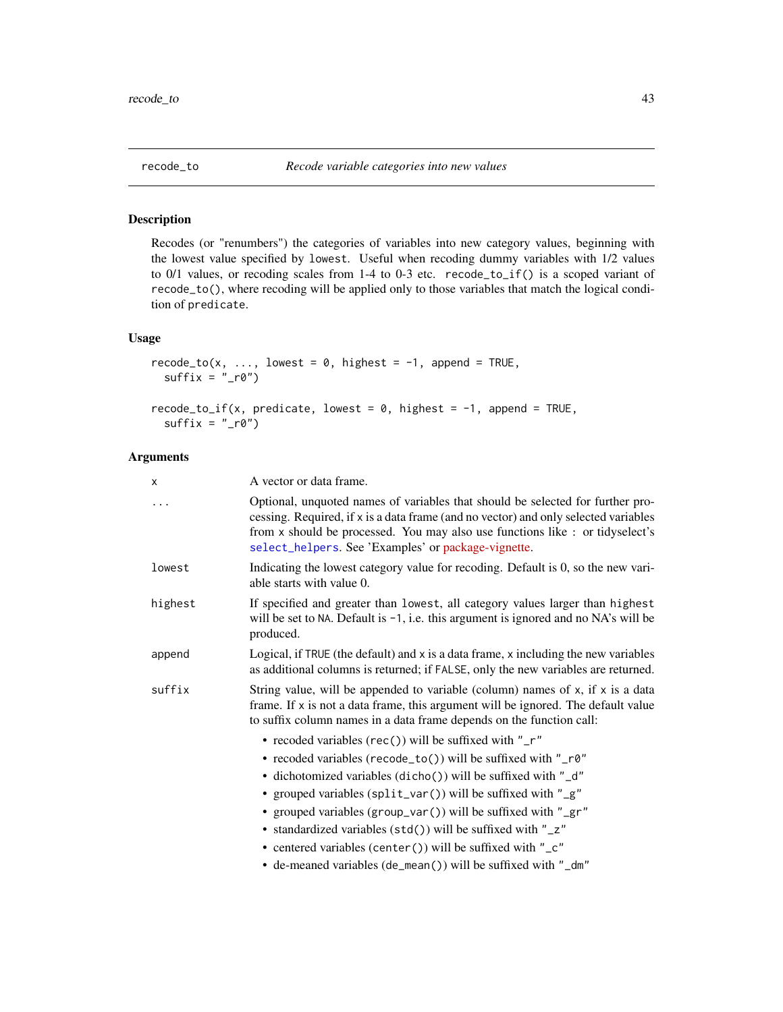<span id="page-42-0"></span>

# Description

Recodes (or "renumbers") the categories of variables into new category values, beginning with the lowest value specified by lowest. Useful when recoding dummy variables with 1/2 values to 0/1 values, or recoding scales from 1-4 to 0-3 etc. recode\_to\_if() is a scoped variant of recode\_to(), where recoding will be applied only to those variables that match the logical condition of predicate.

# Usage

```
recode_to(x, ..., lowest = 0, highest = -1, append = TRUE,sufficient = "_r0")recode_to_if(x, predicate, lowest = 0, highest = -1, append = TRUE,suffix = "_r0")
```
# Arguments

| X       | A vector or data frame.                                                                                                                                                                                                                                                                                                                                                                                                                                                                                                    |
|---------|----------------------------------------------------------------------------------------------------------------------------------------------------------------------------------------------------------------------------------------------------------------------------------------------------------------------------------------------------------------------------------------------------------------------------------------------------------------------------------------------------------------------------|
|         | Optional, unquoted names of variables that should be selected for further pro-<br>cessing. Required, if x is a data frame (and no vector) and only selected variables<br>from x should be processed. You may also use functions like : or tidyselect's<br>select_helpers. See 'Examples' or package-vignette.                                                                                                                                                                                                              |
| lowest  | Indicating the lowest category value for recoding. Default is 0, so the new vari-<br>able starts with value 0.                                                                                                                                                                                                                                                                                                                                                                                                             |
| highest | If specified and greater than lowest, all category values larger than highest<br>will be set to NA. Default is $-1$ , i.e. this argument is ignored and no NA's will be<br>produced.                                                                                                                                                                                                                                                                                                                                       |
| append  | Logical, if TRUE (the default) and x is a data frame, x including the new variables<br>as additional columns is returned; if FALSE, only the new variables are returned.                                                                                                                                                                                                                                                                                                                                                   |
| suffix  | String value, will be appended to variable (column) names of $x$ , if $x$ is a data<br>frame. If x is not a data frame, this argument will be ignored. The default value<br>to suffix column names in a data frame depends on the function call:                                                                                                                                                                                                                                                                           |
|         | • recoded variables (rec()) will be suffixed with " $r$ "<br>• recoded variables (recode_to()) will be suffixed with "_r0"<br>• dichotomized variables (dicho()) will be suffixed with "_d"<br>• grouped variables (split_var()) will be suffixed with "_g"<br>• grouped variables (group_var()) will be suffixed with "_gr"<br>• standardized variables (std()) will be suffixed with "_z"<br>• centered variables (center()) will be suffixed with "_c"<br>• de-meaned variables (de_mean()) will be suffixed with "_dm" |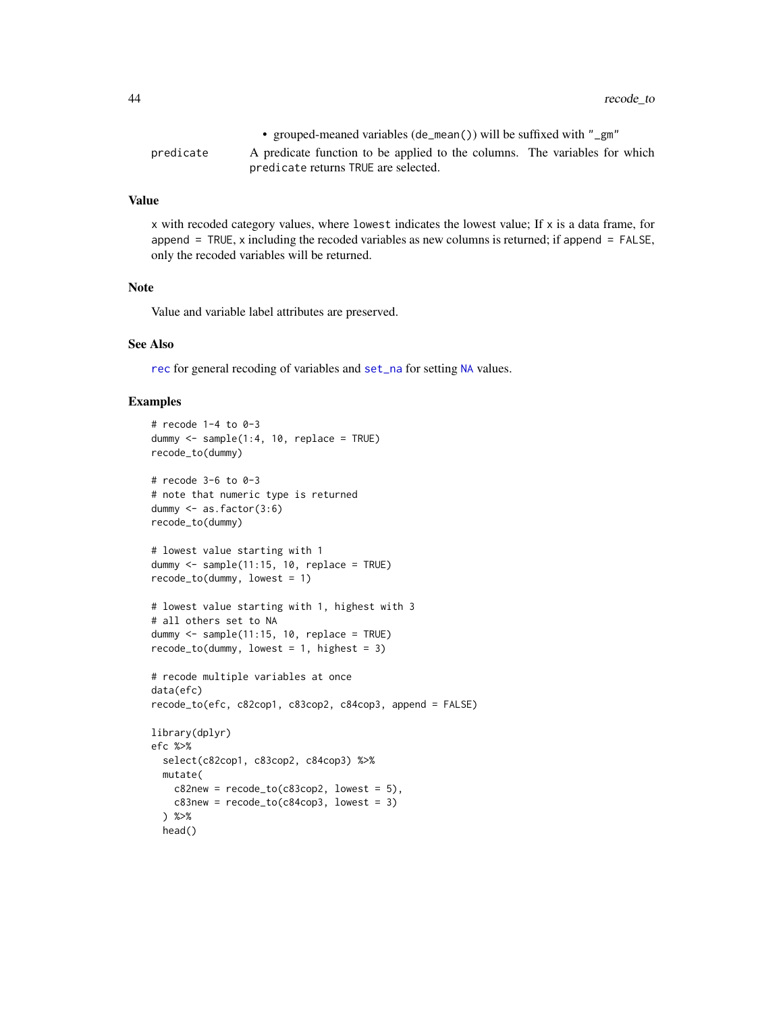44 recode\_to

|           | • grouped-meaned variables (de_mean()) will be suffixed with "_gm"         |  |
|-----------|----------------------------------------------------------------------------|--|
| predicate | A predicate function to be applied to the columns. The variables for which |  |
|           | predicate returns TRUE are selected.                                       |  |

## Value

x with recoded category values, where lowest indicates the lowest value; If x is a data frame, for append =  $TRUE$ , x including the recoded variables as new columns is returned; if append =  $FALSE$ , only the recoded variables will be returned.

## Note

Value and variable label attributes are preserved.

# See Also

[rec](#page-37-0) for general recoding of variables and [set\\_na](#page-55-0) for setting [NA](#page-0-0) values.

```
# recode 1-4 to 0-3
dummy \leq sample(1:4, 10, replace = TRUE)
recode_to(dummy)
# recode 3-6 to 0-3
# note that numeric type is returned
dummy <- as.factor(3:6)
recode_to(dummy)
# lowest value starting with 1
dummy \le sample(11:15, 10, replace = TRUE)
recode_to(dummy, lowest = 1)
# lowest value starting with 1, highest with 3
# all others set to NA
dummy \leq sample(11:15, 10, replace = TRUE)
recode_to(dummy, lowest = 1, highest = 3)# recode multiple variables at once
data(efc)
recode_to(efc, c82cop1, c83cop2, c84cop3, append = FALSE)
library(dplyr)
efc %>%
  select(c82cop1, c83cop2, c84cop3) %>%
  mutate(
   c82new = recode\_to(c83cop2, lowest = 5),
    c83new = recode\_to(c84cop3, lowest = 3)) %>%
  head()
```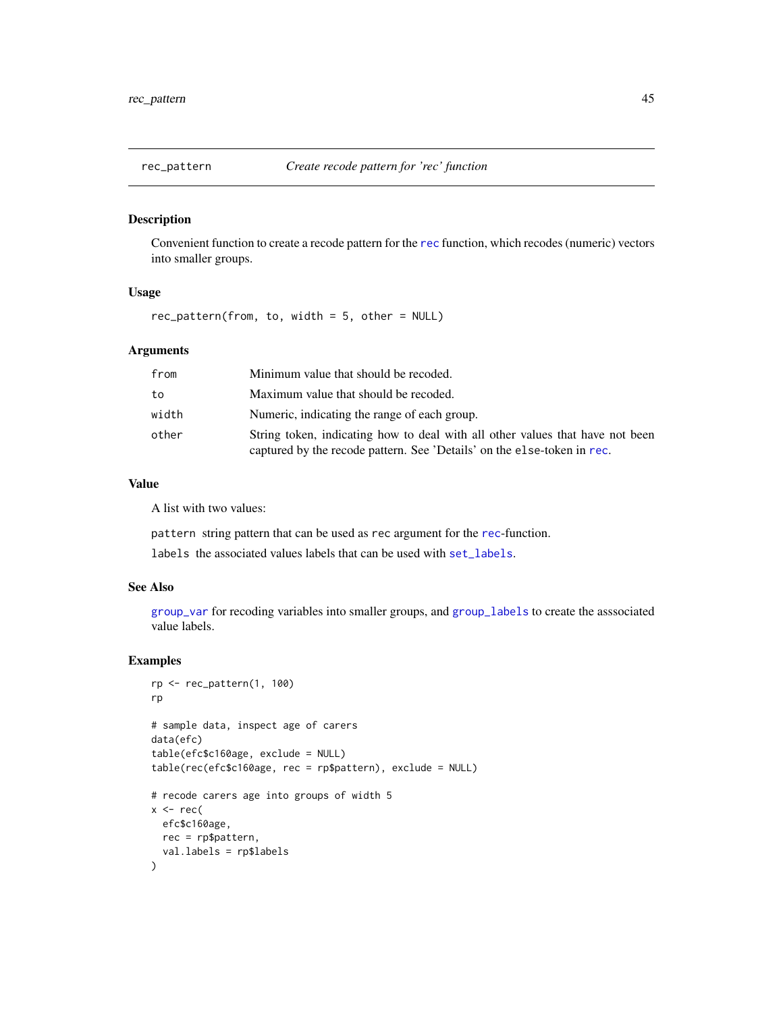<span id="page-44-0"></span>

## Description

Convenient function to create a recode pattern for the [rec](#page-37-0) function, which recodes (numeric) vectors into smaller groups.

### Usage

rec\_pattern(from, to, width = 5, other = NULL)

# Arguments

| from  | Minimum value that should be recoded.                                                                                                                    |
|-------|----------------------------------------------------------------------------------------------------------------------------------------------------------|
| to    | Maximum value that should be recoded.                                                                                                                    |
| width | Numeric, indicating the range of each group.                                                                                                             |
| other | String token, indicating how to deal with all other values that have not been<br>captured by the recode pattern. See 'Details' on the else-token in rec. |

# Value

A list with two values:

pattern string pattern that can be used as rec argument for the [rec](#page-37-0)-function.

labels the associated values labels that can be used with [set\\_labels](#page-0-0).

### See Also

[group\\_var](#page-24-0) for recoding variables into smaller groups, and [group\\_labels](#page-24-1) to create the asssociated value labels.

```
rp <- rec_pattern(1, 100)
rp
# sample data, inspect age of carers
data(efc)
table(efc$c160age, exclude = NULL)
table(rec(efc$c160age, rec = rp$pattern), exclude = NULL)
# recode carers age into groups of width 5
x < - rec(
 efc$c160age,
 rec = rp$pattern,
 val.labels = rp$labels
)
```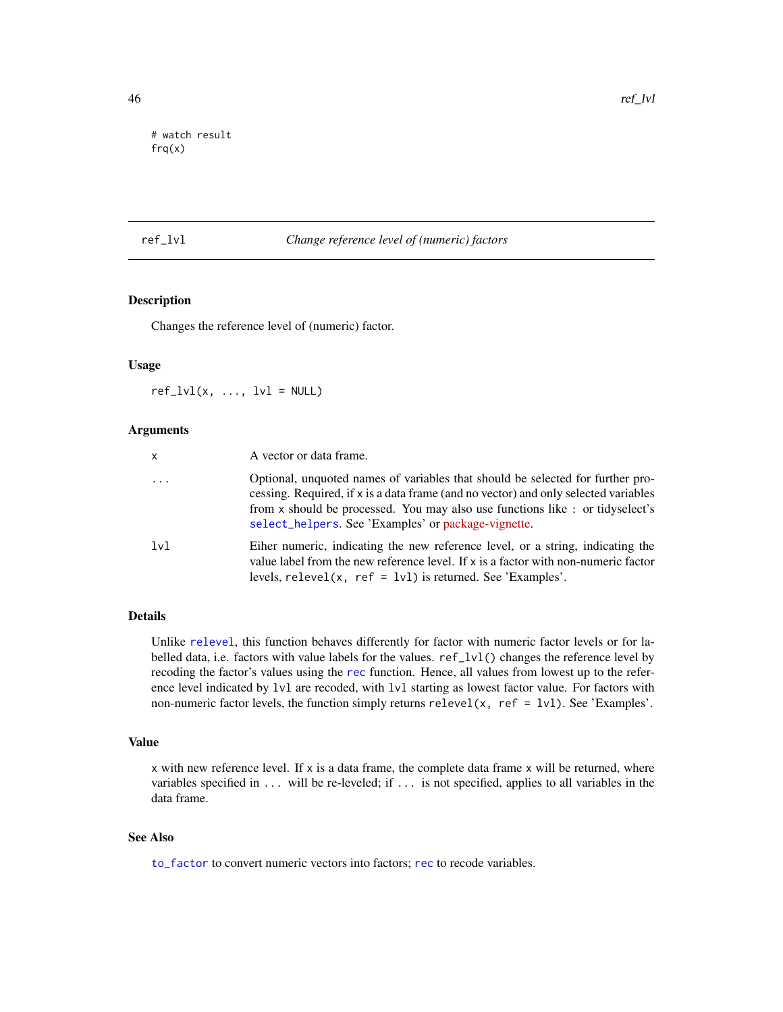```
# watch result
frq(x)
```
## <span id="page-45-0"></span>ref\_lvl *Change reference level of (numeric) factors*

# Description

Changes the reference level of (numeric) factor.

## Usage

 $ref_lvl(x, ..., lvl = NULL)$ 

### Arguments

| x        | A vector or data frame.                                                                                                                                                                                                                                                                                      |
|----------|--------------------------------------------------------------------------------------------------------------------------------------------------------------------------------------------------------------------------------------------------------------------------------------------------------------|
| $\cdots$ | Optional, unquoted names of variables that should be selected for further pro-<br>cessing. Required, if x is a data frame (and no vector) and only selected variables<br>from x should be processed. You may also use functions like: or tidyselect's<br>select_helpers. See 'Examples' or package-vignette. |
| lvl      | Eiher numeric, indicating the new reference level, or a string, indicating the<br>value label from the new reference level. If $x$ is a factor with non-numeric factor<br>levels, $relevel(x, ref = lvl)$ is returned. See 'Examples'.                                                                       |

# Details

Unlike [relevel](#page-0-0), this function behaves differently for factor with numeric factor levels or for labelled data, i.e. factors with value labels for the values. ref\_lvl() changes the reference level by recoding the factor's values using the [rec](#page-37-0) function. Hence, all values from lowest up to the reference level indicated by lvl are recoded, with lvl starting as lowest factor value. For factors with non-numeric factor levels, the function simply returns  $relevant(x, ref = lvl)$ . See 'Examples'.

### Value

 $x$  with new reference level. If  $x$  is a data frame, the complete data frame  $x$  will be returned, where variables specified in ... will be re-leveled; if ... is not specified, applies to all variables in the data frame.

## See Also

[to\\_factor](#page-74-0) to convert numeric vectors into factors; [rec](#page-37-0) to recode variables.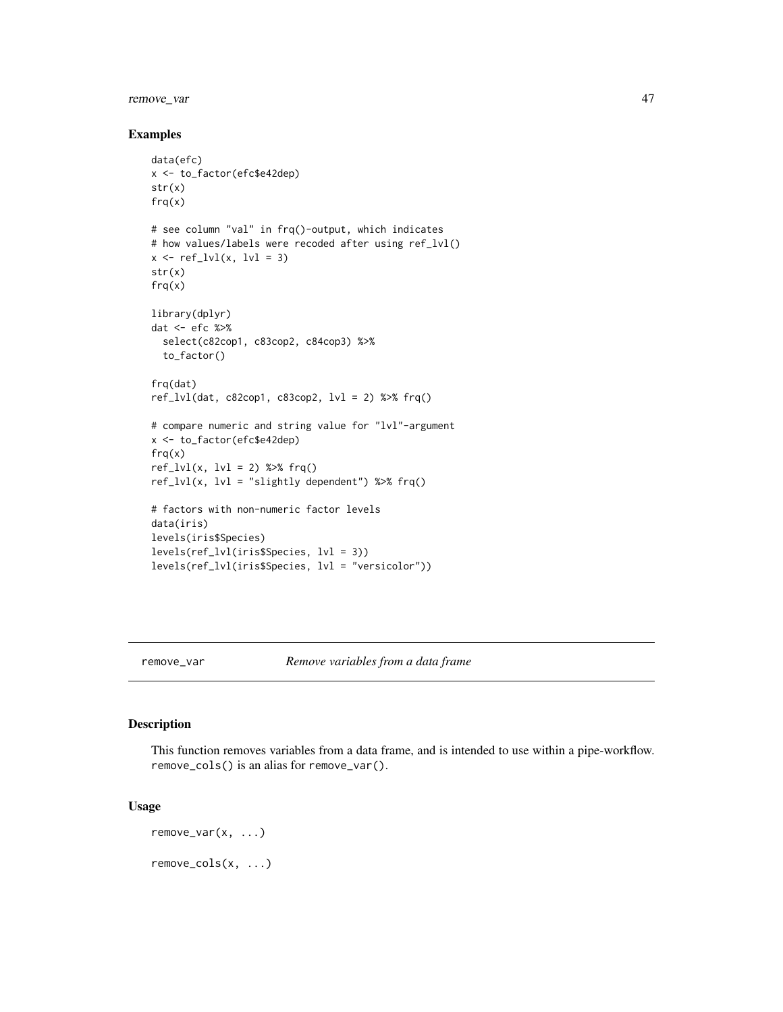# remove\_var 47

#### Examples

```
data(efc)
x <- to_factor(efc$e42dep)
str(x)
frq(x)# see column "val" in frq()-output, which indicates
# how values/labels were recoded after using ref_lvl()
x \leftarrow ref_lvl(x, lvl = 3)str(x)
frq(x)library(dplyr)
dat <- efc %>%
  select(c82cop1, c83cop2, c84cop3) %>%
  to_factor()
frq(dat)
ref_lvl(data, c82cop1, c83cop2, lvl = 2) % frq()
# compare numeric and string value for "lvl"-argument
x <- to_factor(efc$e42dep)
frq(x)
ref_lvl(x, lvl = 2) %>% frq()ref_lvl(x, lvl = "slightly dependent") %>% frq()# factors with non-numeric factor levels
data(iris)
levels(iris$Species)
levels(ref_lvl(iris$Species, lvl = 3))
levels(ref_lvl(iris$Species, lvl = "versicolor"))
```
remove\_var *Remove variables from a data frame*

## Description

This function removes variables from a data frame, and is intended to use within a pipe-workflow. remove\_cols() is an alias for remove\_var().

### Usage

remove\_var(x, ...) remove\_cols(x, ...)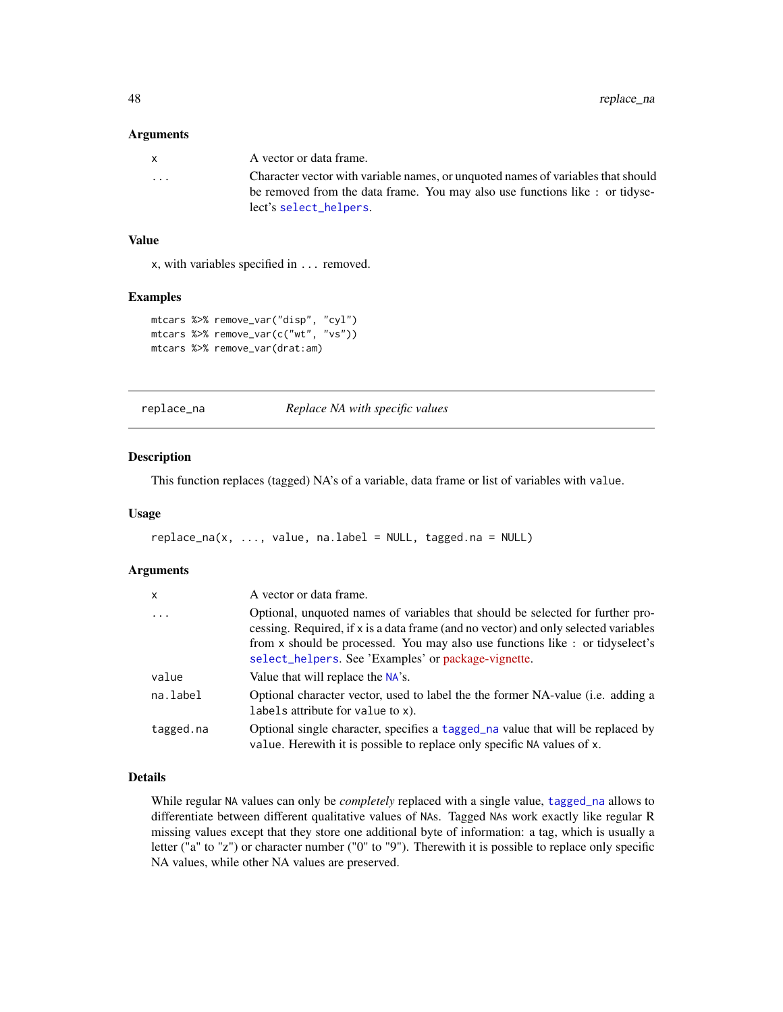#### Arguments

| X | A vector or data frame.                                                          |
|---|----------------------------------------------------------------------------------|
| . | Character vector with variable names, or unquoted names of variables that should |
|   | be removed from the data frame. You may also use functions like: or tidyse-      |
|   | lect's select_helpers.                                                           |

# Value

x, with variables specified in ... removed.

#### Examples

```
mtcars %>% remove_var("disp", "cyl")
mtcars %>% remove_var(c("wt", "vs"))
mtcars %>% remove_var(drat:am)
```
<span id="page-47-0"></span>replace\_na *Replace NA with specific values*

# Description

This function replaces (tagged) NA's of a variable, data frame or list of variables with value.

## Usage

```
replace_na(x, ..., value, na-label = NULL, tagged, na = NULL)
```
## Arguments

| $\mathsf{x}$ | A vector or data frame.                                                                                                                                                                                                                                                                                       |
|--------------|---------------------------------------------------------------------------------------------------------------------------------------------------------------------------------------------------------------------------------------------------------------------------------------------------------------|
| $\cdot$      | Optional, unquoted names of variables that should be selected for further pro-<br>cessing. Required, if x is a data frame (and no vector) and only selected variables<br>from x should be processed. You may also use functions like : or tidyselect's<br>select_helpers. See 'Examples' or package-vignette. |
| value        | Value that will replace the NA's.                                                                                                                                                                                                                                                                             |
| na.label     | Optional character vector, used to label the the former NA-value (i.e. adding a<br>labels attribute for value to x).                                                                                                                                                                                          |
| tagged.na    | Optional single character, specifies a tagged_na value that will be replaced by<br>value. Here with it is possible to replace only specific NA values of x.                                                                                                                                                   |

### Details

While regular NA values can only be *completely* replaced with a single value, [tagged\\_na](#page-0-0) allows to differentiate between different qualitative values of NAs. Tagged NAs work exactly like regular R missing values except that they store one additional byte of information: a tag, which is usually a letter ("a" to "z") or character number ("0" to "9"). Therewith it is possible to replace only specific NA values, while other NA values are preserved.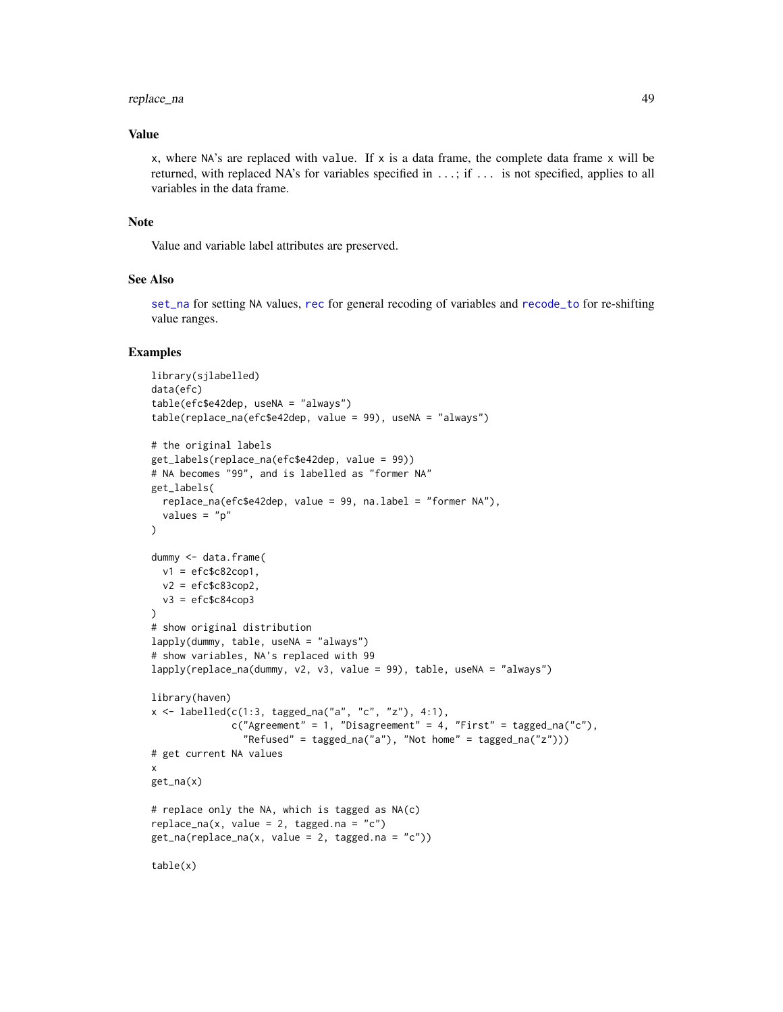#### replace\_na 49

### Value

x, where  $NA$ 's are replaced with value. If x is a data frame, the complete data frame x will be returned, with replaced NA's for variables specified in ...; if ... is not specified, applies to all variables in the data frame.

#### Note

Value and variable label attributes are preserved.

### See Also

[set\\_na](#page-55-0) for setting NA values, [rec](#page-37-0) for general recoding of variables and [recode\\_to](#page-42-0) for re-shifting value ranges.

```
library(sjlabelled)
data(efc)
table(efc$e42dep, useNA = "always")
table(replace_na(efc$e42dep, value = 99), useNA = "always")
# the original labels
get_labels(replace_na(efc$e42dep, value = 99))
# NA becomes "99", and is labelled as "former NA"
get_labels(
  replace_na(efc$e42dep, value = 99, na.label = "former NA"),
  values = "p"
\lambdadummy <- data.frame(
 v1 = efc$c82cop1,
  v2 = efc$c83cop2,
  v3 = efc$c84cop3)
# show original distribution
lapply(dummy, table, useNA = "always")# show variables, NA's replaced with 99
lapply(replace_na(dummy, v2, v3, value = 99), table, useNA = "always")
library(haven)
x \le - labelled(c(1:3, tagged_na("a", "c", "z"), 4:1),
              c("Agreement" = 1, "Disagreement" = 4, "First" = tagged_na("c"),"Refused" = tagged_na("a"), "Not home" = tagged_na("z")))
# get current NA values
x
get_na(x)
# replace only the NA, which is tagged as NA(c)
replace_na(x, value = 2, tagged.na = "c")get\_na(replace\_na(x, value = 2, taggedina = "c"))table(x)
```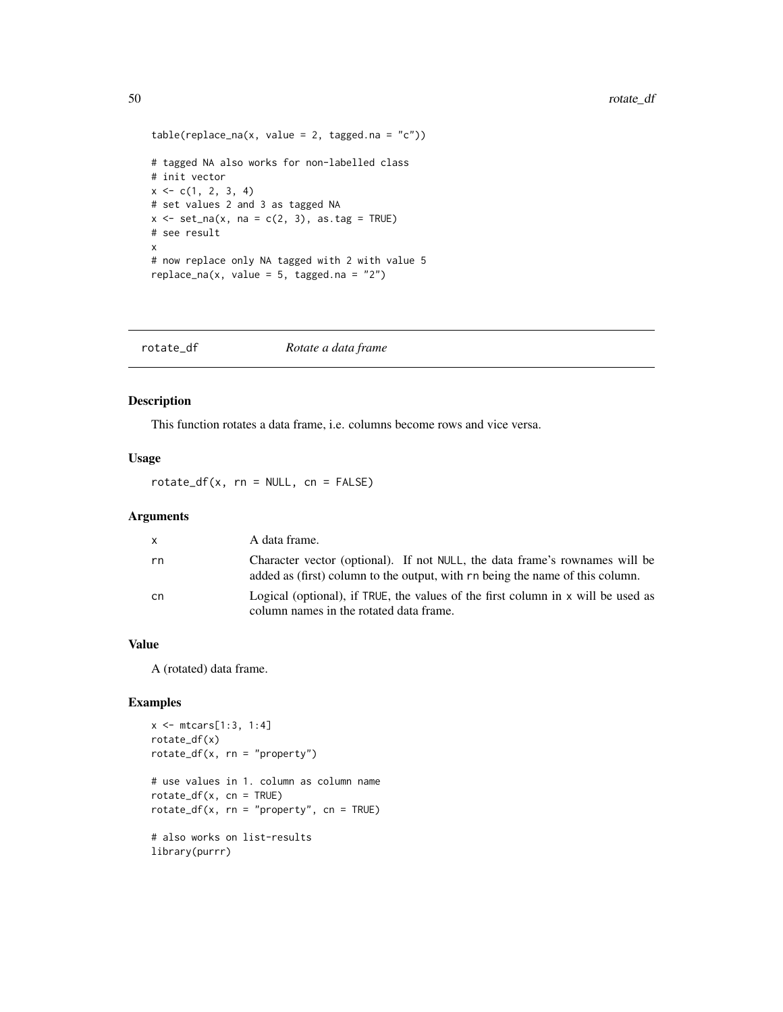```
table(replace_na(x, value = 2, taggedina = "c"))# tagged NA also works for non-labelled class
# init vector
x \leq -c(1, 2, 3, 4)# set values 2 and 3 as tagged NA
x \le -\text{set\_na}(x, \text{na} = \text{c}(2, 3), \text{as.tag} = \text{TRUE})# see result
x
# now replace only NA tagged with 2 with value 5
replace_na(x, value = 5, tagged.na = "2")
```

|  | rotate df | Rotate a data frame |  |
|--|-----------|---------------------|--|
|--|-----------|---------------------|--|

## Description

This function rotates a data frame, i.e. columns become rows and vice versa.

### Usage

 $rotate\_df(x, rn = NULL, cn = FALSE)$ 

### Arguments

| X  | A data frame.                                                                                                                                                |
|----|--------------------------------------------------------------------------------------------------------------------------------------------------------------|
| rn | Character vector (optional). If not NULL, the data frame's rownames will be<br>added as (first) column to the output, with rn being the name of this column. |
| cn | Logical (optional), if TRUE, the values of the first column in x will be used as<br>column names in the rotated data frame.                                  |

### Value

A (rotated) data frame.

```
x \le - mtcars[1:3, 1:4]
rotate_df(x)
rotate\_df(x, rn = "property")# use values in 1. column as column name
rotate\_df(x, cn = TRUE)rotate_df(x, rn = "property", cn = TRUE)
# also works on list-results
library(purrr)
```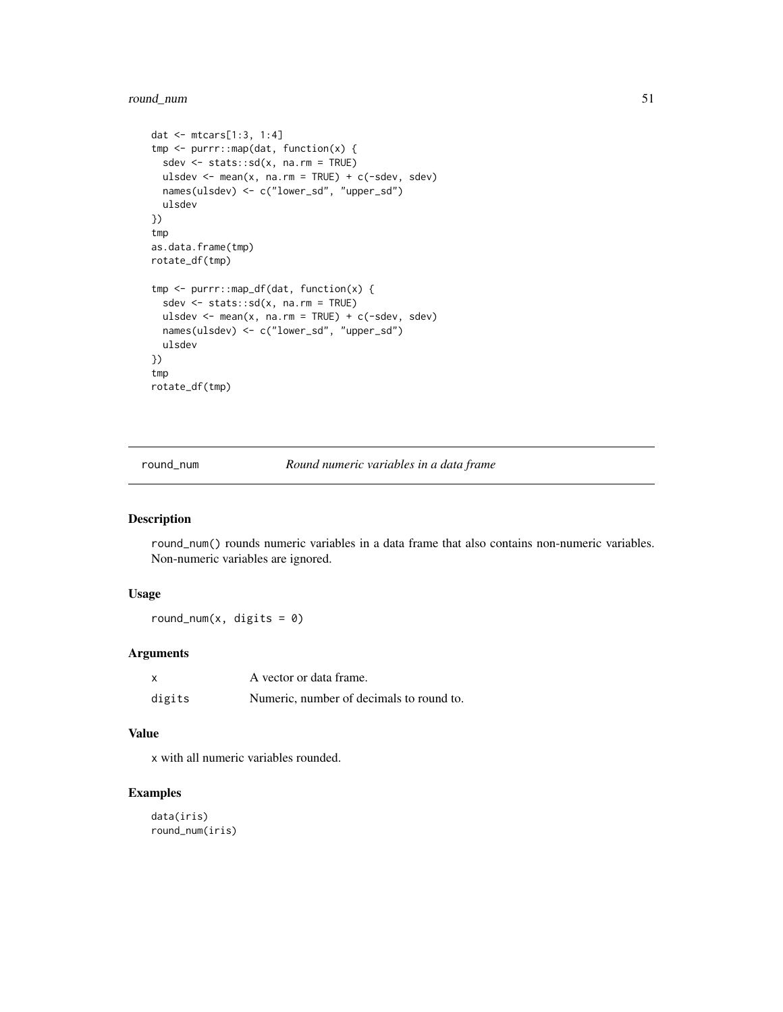# round\_num 51

```
dat <- mtcars[1:3, 1:4]
tmp <- purrr::map(dat, function(x) {
 sdev <- stats::sd(x, na.rm = TRUE)
 ulsdev \leq mean(x, na.rm = TRUE) + c(-sdev, sdev)
 names(ulsdev) <- c("lower_sd", "upper_sd")
 ulsdev
})
tmp
as.data.frame(tmp)
rotate_df(tmp)
tmp <- purrr::map_df(dat, function(x) {
 sdev <- stats::sd(x, na.rm = TRUE)
 ulsdev <- mean(x, na.rm = TRUE) + c(-sdev, sdev)
 names(ulsdev) <- c("lower_sd", "upper_sd")
 ulsdev
})
tmp
rotate_df(tmp)
```
round\_num *Round numeric variables in a data frame*

# Description

round\_num() rounds numeric variables in a data frame that also contains non-numeric variables. Non-numeric variables are ignored.

## Usage

round\_num(x, digits =  $0$ )

# Arguments

| X      | A vector or data frame.                  |
|--------|------------------------------------------|
| digits | Numeric, number of decimals to round to. |

## Value

x with all numeric variables rounded.

```
data(iris)
round_num(iris)
```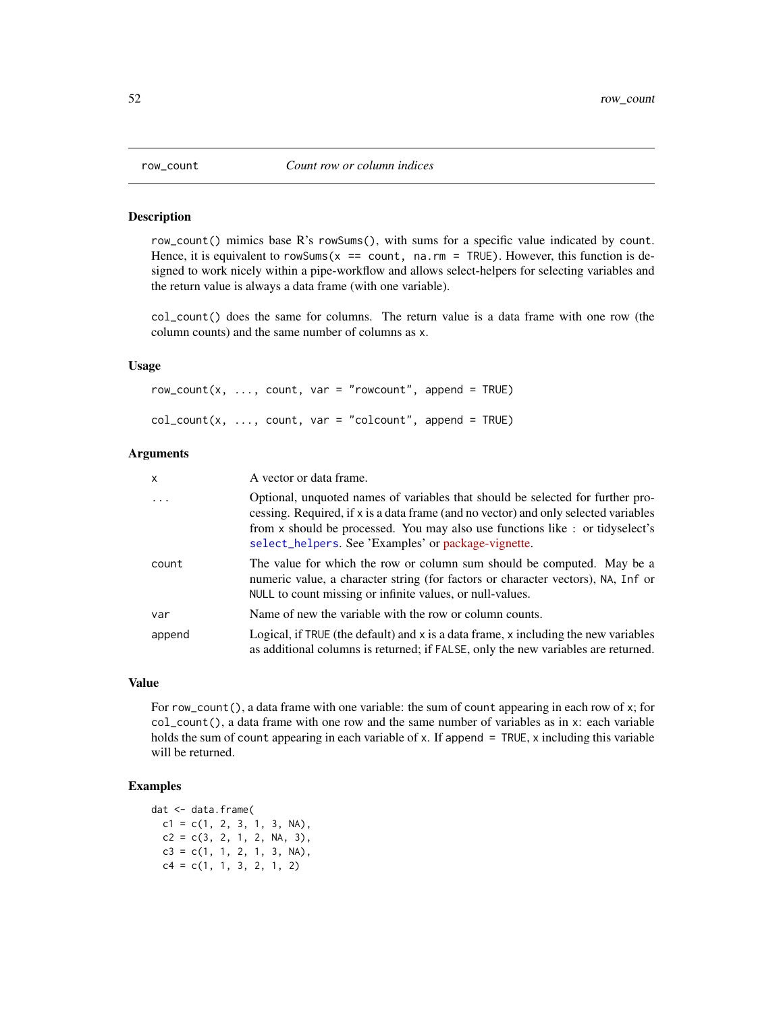#### Description

row\_count() mimics base R's rowSums(), with sums for a specific value indicated by count. Hence, it is equivalent to rowSums( $x =$  count, na.rm = TRUE). However, this function is designed to work nicely within a pipe-workflow and allows select-helpers for selecting variables and the return value is always a data frame (with one variable).

col\_count() does the same for columns. The return value is a data frame with one row (the column counts) and the same number of columns as x.

# Usage

 $row\_count(x, ..., count, var = "rowcount", append = TRUE)$  $col_count(x, ..., count, var = "colcount", append = TRUE)$ 

### Arguments

| x       | A vector or data frame.                                                                                                                                                                                                                                                                                       |
|---------|---------------------------------------------------------------------------------------------------------------------------------------------------------------------------------------------------------------------------------------------------------------------------------------------------------------|
| $\cdot$ | Optional, unquoted names of variables that should be selected for further pro-<br>cessing. Required, if x is a data frame (and no vector) and only selected variables<br>from x should be processed. You may also use functions like : or tidyselect's<br>select_helpers. See 'Examples' or package-vignette. |
| count   | The value for which the row or column sum should be computed. May be a<br>numeric value, a character string (for factors or character vectors), NA, Inf or<br>NULL to count missing or infinite values, or null-values.                                                                                       |
| var     | Name of new the variable with the row or column counts.                                                                                                                                                                                                                                                       |
| append  | Logical, if TRUE (the default) and x is a data frame, x including the new variables<br>as additional columns is returned; if FALSE, only the new variables are returned.                                                                                                                                      |

# Value

For row\_count(), a data frame with one variable: the sum of count appearing in each row of x; for  $col_count()$ , a data frame with one row and the same number of variables as in x: each variable holds the sum of count appearing in each variable of x. If append  $=$  TRUE, x including this variable will be returned.

# Examples

dat <- data.frame(  $c1 = c(1, 2, 3, 1, 3, NA),$  $c2 = c(3, 2, 1, 2, NA, 3),$  $c3 = c(1, 1, 2, 1, 3, NA)$ ,  $c4 = c(1, 1, 3, 2, 1, 2)$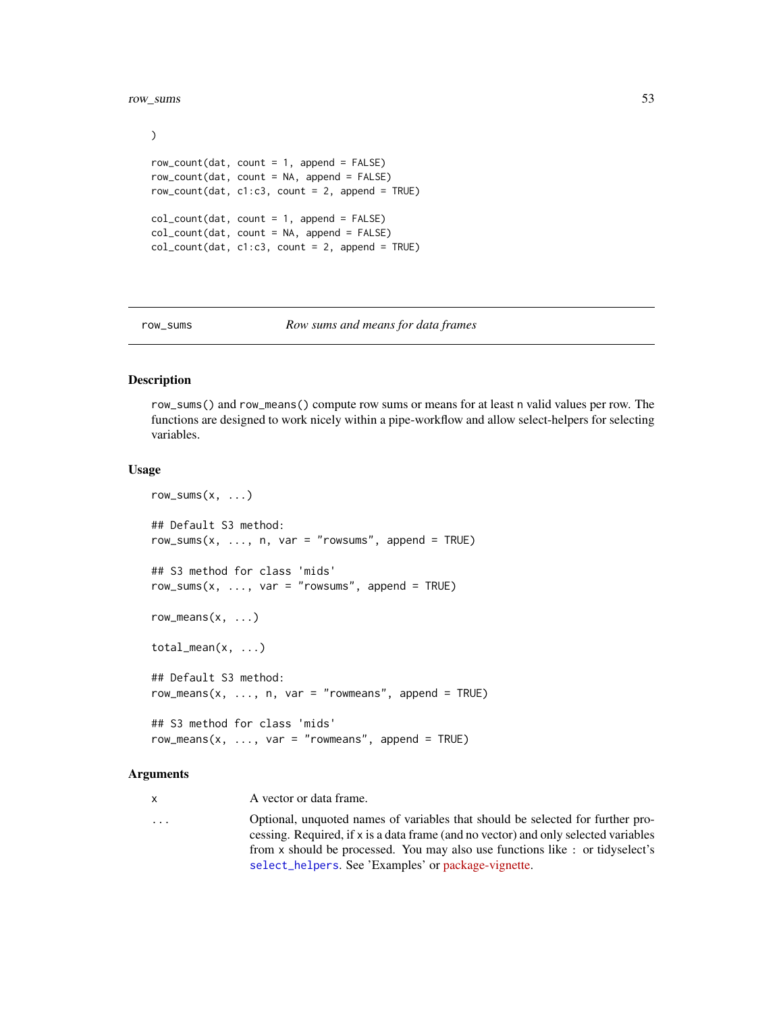#### row\_sums 53

```
)
row\_count(data, count = 1, append = FALSE)row_count(data, count = NA, append = FALSE)row_count(dat, c1:c3, count = 2, append = TRUE)
col_count(data, count = 1, append = FALSE)col_count(dat, count = NA, append = FALSE)
col_count(data, c1:c3, count = 2, append = TRUE)
```
row\_sums *Row sums and means for data frames*

### Description

row\_sums() and row\_means() compute row sums or means for at least n valid values per row. The functions are designed to work nicely within a pipe-workflow and allow select-helpers for selecting variables.

### Usage

```
row\_sum(x, \ldots)## Default S3 method:
row_sums(x, \ldots, n, var = "rowsums", append = TRUE)
## S3 method for class 'mids'
row\_sum(x, ..., var = "rowsums", append = TRUE)row\_means(x, \ldots)total_mean(x, ...)
## Default S3 method:
row_means(x, ..., n, var = "rowmeans", append = TRUE)
## S3 method for class 'mids'
row\_means(x, ..., var = "rowmeans", append = TRUE)
```
### Arguments

x A vector or data frame.

... Optional, unquoted names of variables that should be selected for further processing. Required, if x is a data frame (and no vector) and only selected variables from x should be processed. You may also use functions like : or tidyselect's [select\\_helpers](#page-0-0). See 'Examples' or [package-vignette.](../doc/design_philosophy.html)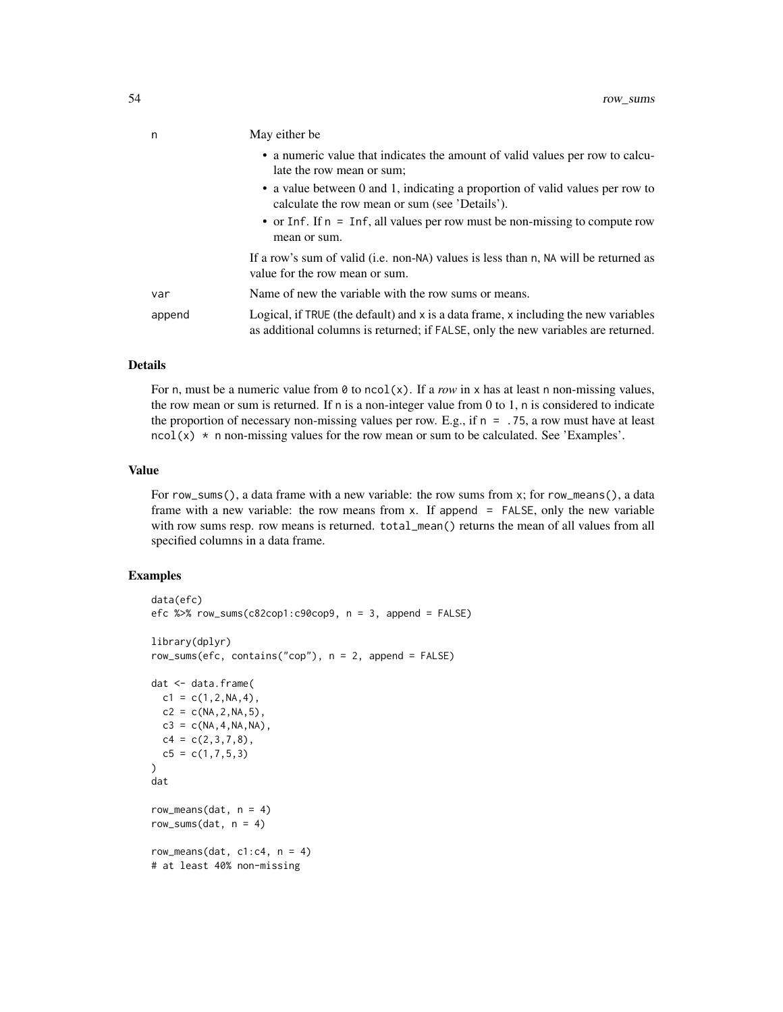| n      | May either be                                                                                                                                                                |  |
|--------|------------------------------------------------------------------------------------------------------------------------------------------------------------------------------|--|
|        | • a numeric value that indicates the amount of valid values per row to calcu-<br>late the row mean or sum;                                                                   |  |
|        | • a value between 0 and 1, indicating a proportion of valid values per row to<br>calculate the row mean or sum (see 'Details').                                              |  |
|        | • or Inf. If $n = \text{Inf}$ , all values per row must be non-missing to compute row<br>mean or sum.                                                                        |  |
|        | If a row's sum of valid (i.e. non-NA) values is less than n, NA will be returned as<br>value for the row mean or sum.                                                        |  |
| var    | Name of new the variable with the row sums or means.                                                                                                                         |  |
| append | Logical, if TRUE (the default) and $x$ is a data frame, $x$ including the new variables<br>as additional columns is returned; if FALSE, only the new variables are returned. |  |

## Details

For n, must be a numeric value from  $\emptyset$  to ncol(x). If a *row* in x has at least n non-missing values, the row mean or sum is returned. If n is a non-integer value from 0 to 1, n is considered to indicate the proportion of necessary non-missing values per row. E.g., if  $n = 0.75$ , a row must have at least ncol(x) \* n non-missing values for the row mean or sum to be calculated. See 'Examples'.

### Value

For row\_sums(), a data frame with a new variable: the row sums from x; for row\_means(), a data frame with a new variable: the row means from x. If append = FALSE, only the new variable with row sums resp. row means is returned. total\_mean() returns the mean of all values from all specified columns in a data frame.

```
data(efc)
efc %>% row_sums(c82cop1:c90cop9, n = 3, append = FALSE)
library(dplyr)
row_sums(efc, contains("cop"), n = 2, append = FALSE)
dat <- data.frame(
  c1 = c(1, 2, NA, 4),
  c2 = c(NA, 2, NA, 5),
 c3 = c(NA, 4, NA, NA),
  c4 = c(2,3,7,8),
  c5 = c(1, 7, 5, 3)\mathcal{L}dat
row_means(dat, n = 4)
row_sums(dat, n = 4)
row_means(dat, cl: c4, n = 4)
# at least 40% non-missing
```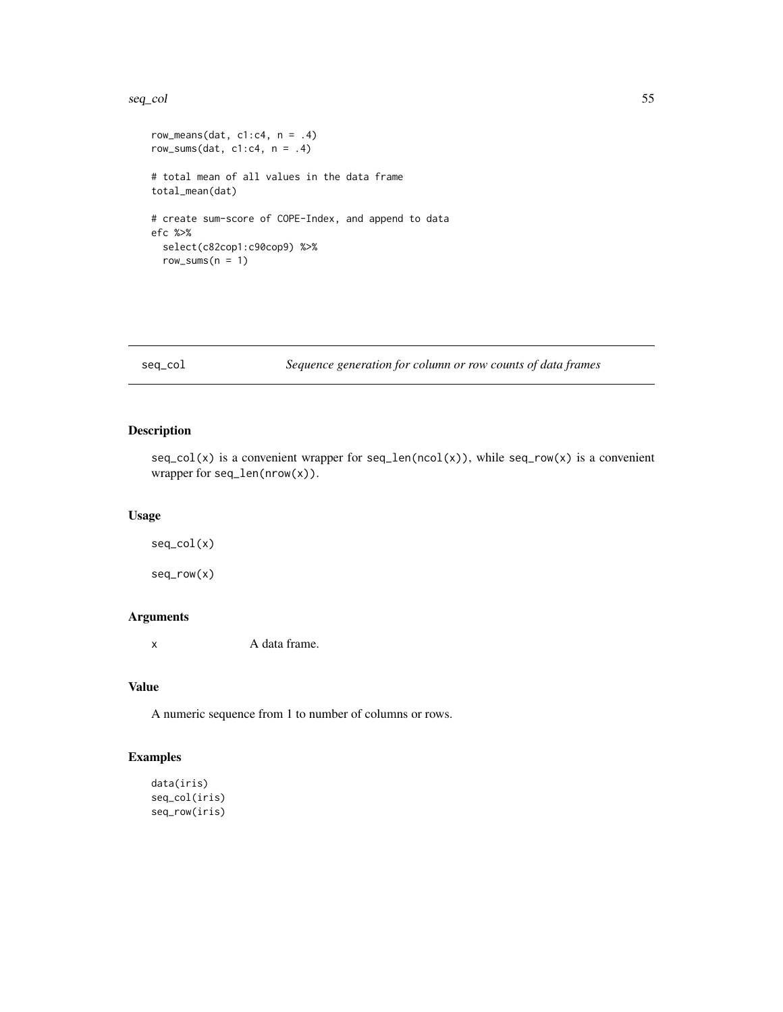#### seq\_col 55

```
row_means(dat, cl: c4, n = .4)
row_sums(dat, c1: c4, n = .4)
# total mean of all values in the data frame
total_mean(dat)
# create sum-score of COPE-Index, and append to data
efc %>%
  select(c82cop1:c90cop9) %>%
  row\_sum(n = 1)
```
# seq\_col *Sequence generation for column or row counts of data frames*

### Description

 $seq\_col(x)$  is a convenient wrapper for  $seq\_len(ncol(x))$ , while  $seq\_row(x)$  is a convenient wrapper for seq\_len(nrow(x)).

#### Usage

seq\_col(x) seq\_row(x)

# Arguments

x A data frame.

### Value

A numeric sequence from 1 to number of columns or rows.

```
data(iris)
seq_col(iris)
seq_row(iris)
```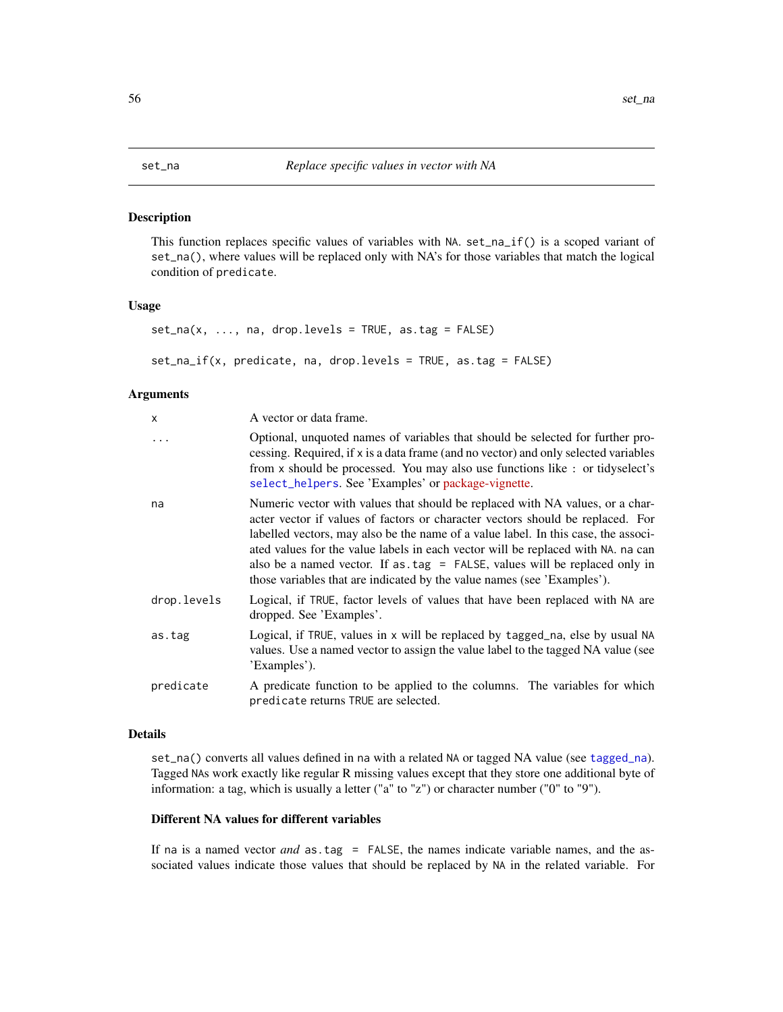<span id="page-55-0"></span>

# **Description**

This function replaces specific values of variables with NA. set\_na\_if() is a scoped variant of set\_na(), where values will be replaced only with NA's for those variables that match the logical condition of predicate.

#### Usage

```
set_na(x, ..., na, drop.levels = TRUE, as.tag = FALSE)
```
set\_na\_if(x, predicate, na, drop.levels = TRUE, as.tag = FALSE)

#### Arguments

| x           | A vector or data frame.                                                                                                                                                                                                                                                                                                                                                                                                                                                                               |  |
|-------------|-------------------------------------------------------------------------------------------------------------------------------------------------------------------------------------------------------------------------------------------------------------------------------------------------------------------------------------------------------------------------------------------------------------------------------------------------------------------------------------------------------|--|
| .           | Optional, unquoted names of variables that should be selected for further pro-<br>cessing. Required, if x is a data frame (and no vector) and only selected variables<br>from x should be processed. You may also use functions like : or tidyselect's<br>select_helpers. See 'Examples' or package-vignette.                                                                                                                                                                                         |  |
| na          | Numeric vector with values that should be replaced with NA values, or a char-<br>acter vector if values of factors or character vectors should be replaced. For<br>labelled vectors, may also be the name of a value label. In this case, the associ-<br>ated values for the value labels in each vector will be replaced with NA. na can<br>also be a named vector. If as $tag = FALSE$ , values will be replaced only in<br>those variables that are indicated by the value names (see 'Examples'). |  |
| drop.levels | Logical, if TRUE, factor levels of values that have been replaced with NA are<br>dropped. See 'Examples'.                                                                                                                                                                                                                                                                                                                                                                                             |  |
| as.tag      | Logical, if TRUE, values in x will be replaced by tagged_na, else by usual NA<br>values. Use a named vector to assign the value label to the tagged NA value (see<br>'Examples').                                                                                                                                                                                                                                                                                                                     |  |
| predicate   | A predicate function to be applied to the columns. The variables for which<br>predicate returns TRUE are selected.                                                                                                                                                                                                                                                                                                                                                                                    |  |

#### Details

set\_na() converts all values defined in na with a related NA or tagged NA value (see [tagged\\_na](#page-0-0)). Tagged NAs work exactly like regular R missing values except that they store one additional byte of information: a tag, which is usually a letter ("a" to "z") or character number ("0" to "9").

#### Different NA values for different variables

If na is a named vector *and* as.tag = FALSE, the names indicate variable names, and the associated values indicate those values that should be replaced by NA in the related variable. For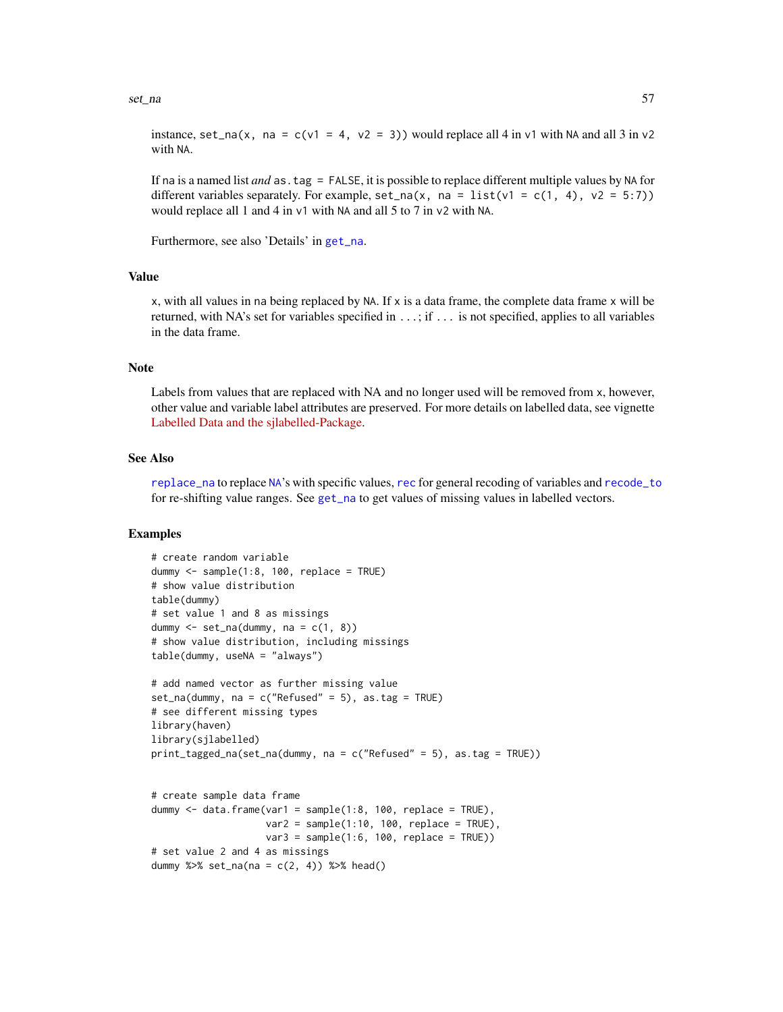#### set\_na 57

instance, set\_na(x, na = c(v1 = 4, v2 = 3)) would replace all 4 in v1 with NA and all 3 in v2 with NA.

If na is a named list *and* as.tag = FALSE, it is possible to replace different multiple values by NA for different variables separately. For example,  $set_na(x, na = list(v1 = c(1, 4), v2 = 5:7))$ would replace all 1 and 4 in v1 with NA and all 5 to 7 in v2 with NA.

Furthermore, see also 'Details' in [get\\_na](#page-0-0).

### Value

x, with all values in na being replaced by NA. If x is a data frame, the complete data frame x will be returned, with NA's set for variables specified in ...; if ... is not specified, applies to all variables in the data frame.

### Note

Labels from values that are replaced with NA and no longer used will be removed from x, however, other value and variable label attributes are preserved. For more details on labelled data, see vignette [Labelled Data and the sjlabelled-Package.](https://cran.r-project.org/package=sjlabelled/vignettes/intro_sjlabelled.html)

### See Also

[replace\\_na](#page-47-0) to replace [NA](#page-0-0)'s with specific values, [rec](#page-37-0) for general recoding of variables and [recode\\_to](#page-42-0) for re-shifting value ranges. See [get\\_na](#page-0-0) to get values of missing values in labelled vectors.

```
# create random variable
dummy <- sample(1:8, 100, replace = TRUE)
# show value distribution
table(dummy)
# set value 1 and 8 as missings
dummy \le set_na(dummy, na = c(1, 8))
# show value distribution, including missings
table(dummy, useNA = "always")
# add named vector as further missing value
set_na(dummy, na = c("Refused" = 5), as.tag = TRUE)
# see different missing types
library(haven)
library(sjlabelled)
print_tagged_na(set_na(dummy, na = c("Refused" = 5), as.tag = TRUE))
# create sample data frame
dummy \leq data.frame(var1 = sample(1:8, 100, replace = TRUE),
                    var2 = sample(1:10, 100, replace = TRUE),var3 = sample(1:6, 100, replace = TRUE))# set value 2 and 4 as missings
dummy %>% set_na(na = c(2, 4)) %>% head()
```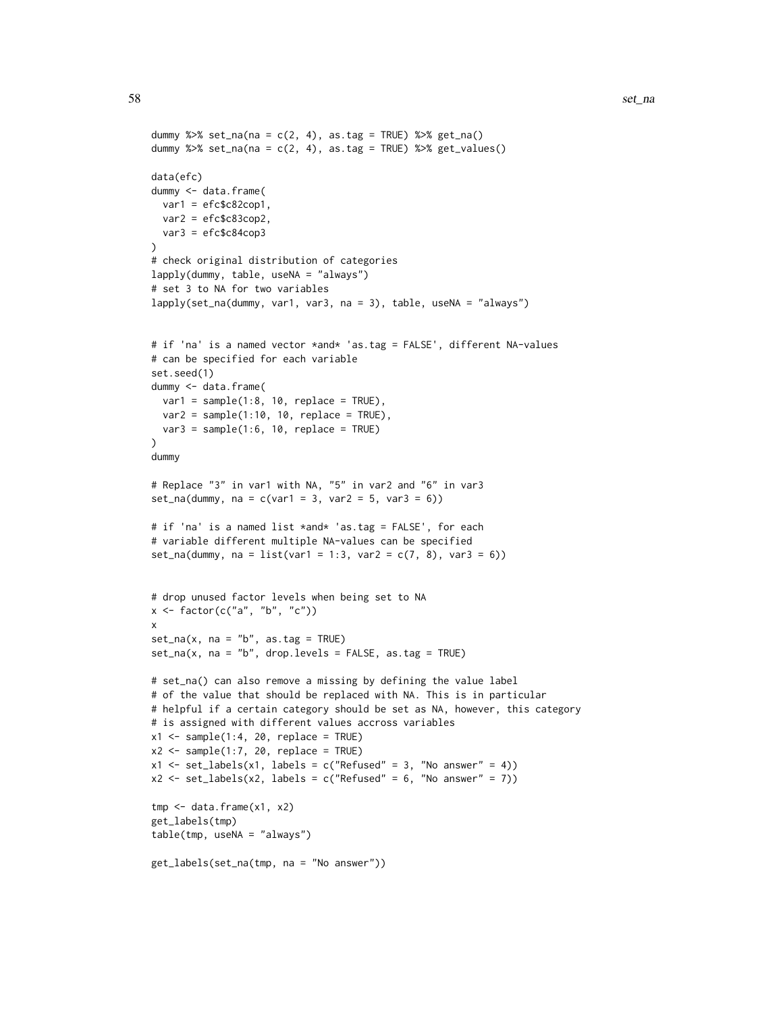```
dummy %>% set_na(na = c(2, 4), as.tag = TRUE) %>% get_na()
dummy %\gg% set_na(na = c(2, 4), as.tag = TRUE) %\gg% get_values()
data(efc)
dummy <- data.frame(
 var1 = efc$c82cop1,
 var2 = efc$c83cop2,
 var3 = efc$c84cop3
\lambda# check original distribution of categories
lapply(dummy, table, useNA = "always")
# set 3 to NA for two variables
lapply(set_na(dummy, var1, var3, na = 3), table, useNA = "always")
# if 'na' is a named vector *and* 'as.tag = FALSE', different NA-values
# can be specified for each variable
set.seed(1)
dummy <- data.frame(
  var1 = sample(1:8, 10, replace = TRUE),var2 = sample(1:10, 10, replace = TRUE),var3 = sample(1:6, 10, replace = TRUE)\mathcal{L}dummy
# Replace "3" in var1 with NA, "5" in var2 and "6" in var3
set_na(dummy, na = c(var1 = 3, var2 = 5, var3 = 6))
# if 'na' is a named list *and* 'as.tag = FALSE', for each
# variable different multiple NA-values can be specified
set_na(dummy, na = list(var1 = 1:3, var2 = c(7, 8), var3 = 6))
# drop unused factor levels when being set to NA
x <- factor(c("a", "b", "c"))
x
set_na(x, na = "b", as.tag = TRUE)set_na(x, na = "b", drop.levels = FALSE, as.tag = TRUE)# set_na() can also remove a missing by defining the value label
# of the value that should be replaced with NA. This is in particular
# helpful if a certain category should be set as NA, however, this category
# is assigned with different values accross variables
x1 \leftarrow sample(1:4, 20, replace = TRUE)
x2 \leq - sample(1:7, 20, replace = TRUE)
x1 \le -\text{set\_labels}(x1, \text{labels} = c("Refused" = 3, "No answer" = 4))x2 \le -\text{set\_labels}(x2, \text{ labels} = c("Refused" = 6, "No answer" = 7))tmp < - data frame(x1, x2)get_labels(tmp)
table(tmp, useNA = "always")
get_labels(set_na(tmp, na = "No answer"))
```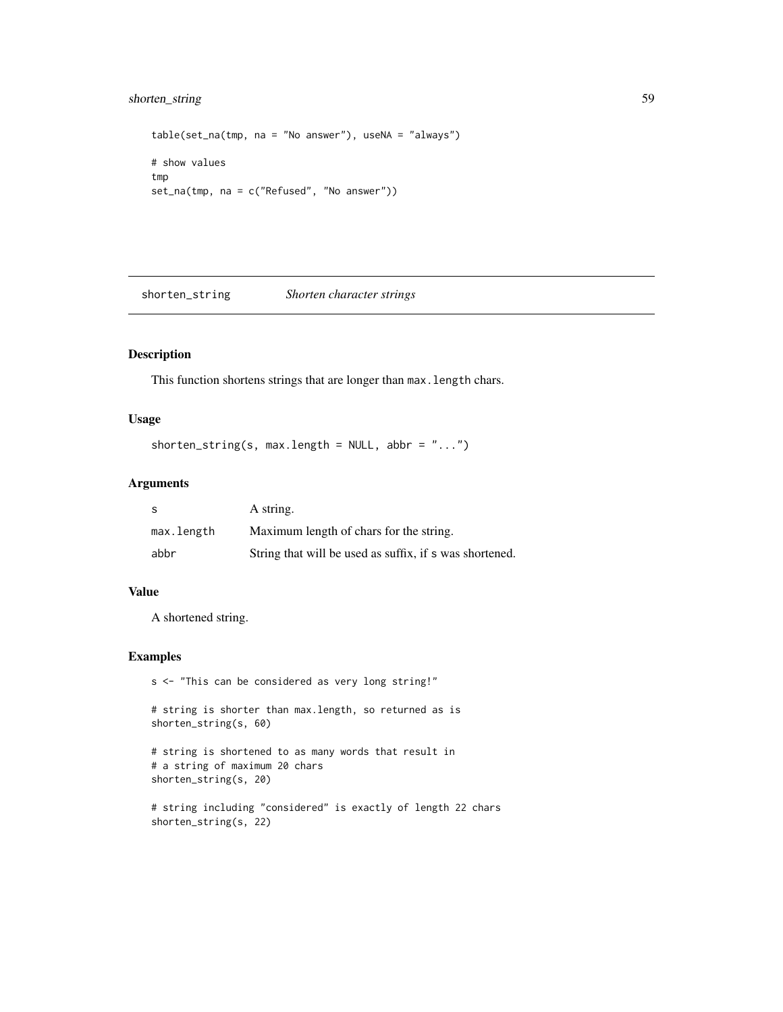# shorten\_string 59

```
table(set_na(tmp, na = "No answer"), useNA = "always")
# show values
tmp
set_na(tmp, na = c("Refused", "No answer"))
```
shorten\_string *Shorten character strings*

#### Description

This function shortens strings that are longer than max.length chars.

# Usage

```
shorten_string(s, max.length = NULL, abbr = "...")
```
# Arguments

| -S         | A string.                                               |
|------------|---------------------------------------------------------|
| max.length | Maximum length of chars for the string.                 |
| abbr       | String that will be used as suffix, if s was shortened. |

# Value

A shortened string.

## Examples

```
s <- "This can be considered as very long string!"
```
# string is shorter than max.length, so returned as is shorten\_string(s, 60)

```
# string is shortened to as many words that result in
# a string of maximum 20 chars
shorten_string(s, 20)
```

```
# string including "considered" is exactly of length 22 chars
shorten_string(s, 22)
```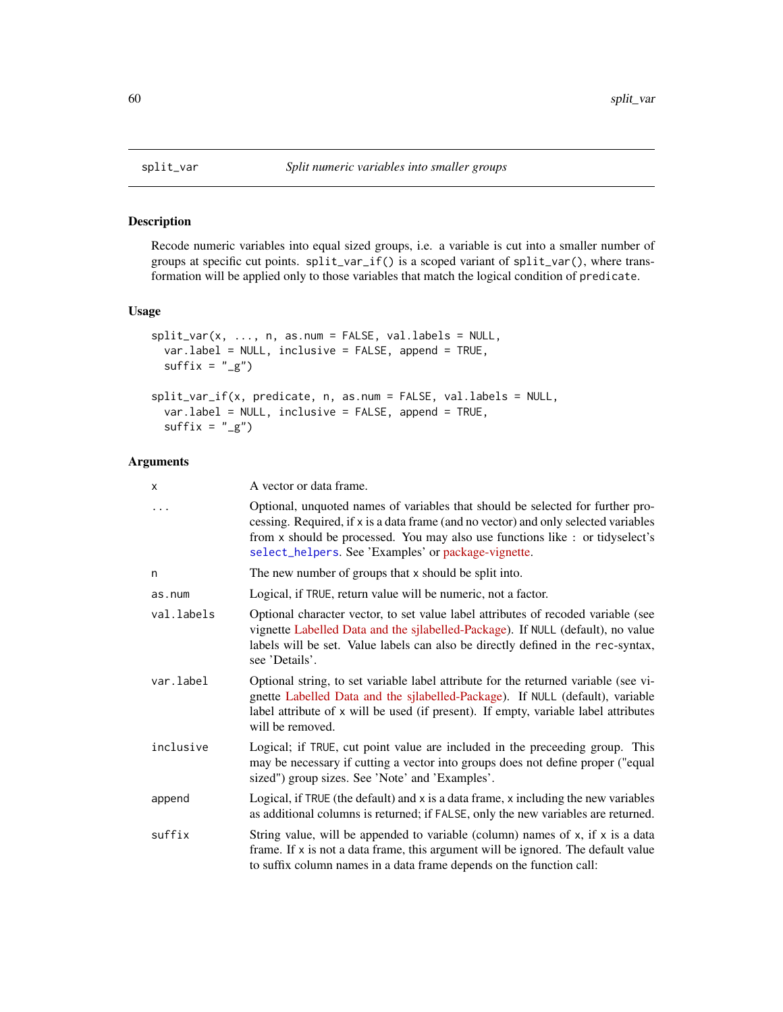#### Description

Recode numeric variables into equal sized groups, i.e. a variable is cut into a smaller number of groups at specific cut points. split\_var\_if() is a scoped variant of split\_var(), where transformation will be applied only to those variables that match the logical condition of predicate.

### Usage

```
split\_var(x, ..., n, as.num = FALSE, val_labels = NULL,var.label = NULL, inclusive = FALSE, append = TRUE,
 suffix = "g")split_var_if(x, predicate, n, as.num = FALSE, val.labels = NULL,
 var.label = NULL, inclusive = FALSE, append = TRUE,
 suffix = "g")
```
### Arguments

| x          | A vector or data frame.                                                                                                                                                                                                                                                                                       |
|------------|---------------------------------------------------------------------------------------------------------------------------------------------------------------------------------------------------------------------------------------------------------------------------------------------------------------|
| $\cdots$   | Optional, unquoted names of variables that should be selected for further pro-<br>cessing. Required, if x is a data frame (and no vector) and only selected variables<br>from x should be processed. You may also use functions like : or tidyselect's<br>select_helpers. See 'Examples' or package-vignette. |
| n          | The new number of groups that x should be split into.                                                                                                                                                                                                                                                         |
| as.num     | Logical, if TRUE, return value will be numeric, not a factor.                                                                                                                                                                                                                                                 |
| val.labels | Optional character vector, to set value label attributes of recoded variable (see<br>vignette Labelled Data and the sjlabelled-Package). If NULL (default), no value<br>labels will be set. Value labels can also be directly defined in the rec-syntax,<br>see 'Details'.                                    |
| var.label  | Optional string, to set variable label attribute for the returned variable (see vi-<br>gnette Labelled Data and the sjlabelled-Package). If NULL (default), variable<br>label attribute of x will be used (if present). If empty, variable label attributes<br>will be removed.                               |
| inclusive  | Logical; if TRUE, cut point value are included in the preceeding group. This<br>may be necessary if cutting a vector into groups does not define proper ("equal<br>sized") group sizes. See 'Note' and 'Examples'.                                                                                            |
| append     | Logical, if TRUE (the default) and x is a data frame, x including the new variables<br>as additional columns is returned; if FALSE, only the new variables are returned.                                                                                                                                      |
| suffix     | String value, will be appended to variable (column) names of x, if x is a data<br>frame. If x is not a data frame, this argument will be ignored. The default value<br>to suffix column names in a data frame depends on the function call:                                                                   |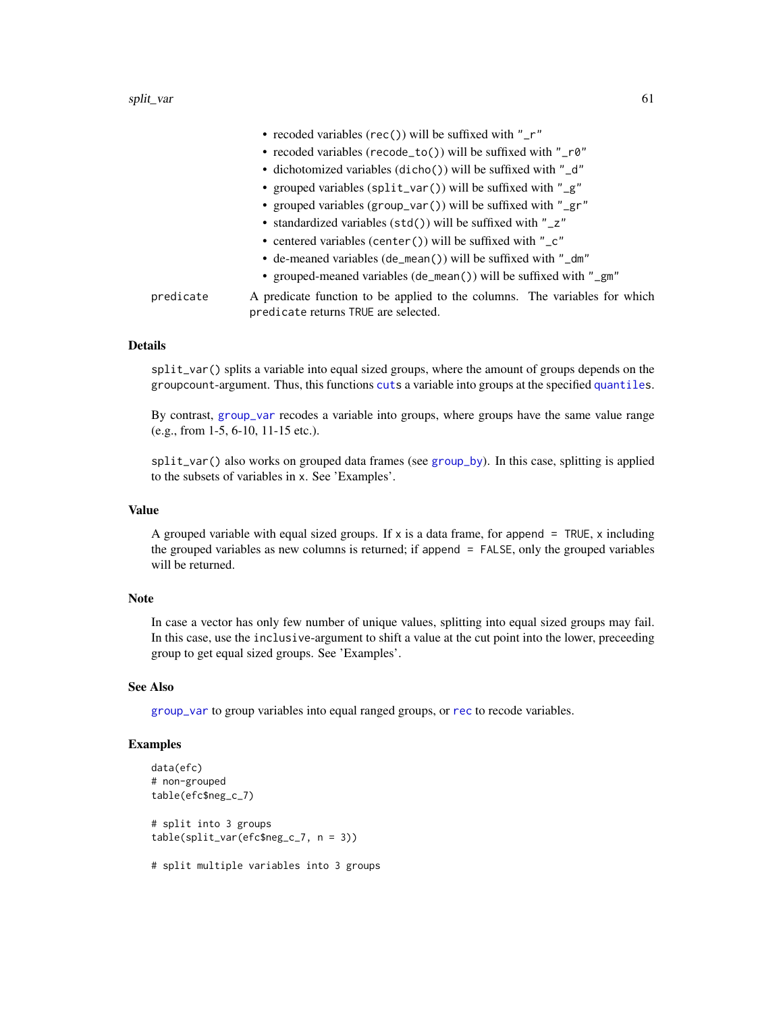|                                                                        | • recoded variables (rec()) will be suffixed with " $r$ "                                                          |
|------------------------------------------------------------------------|--------------------------------------------------------------------------------------------------------------------|
|                                                                        | • recoded variables (recode_to()) will be suffixed with "_r0"                                                      |
|                                                                        | • dichotomized variables (dicho()) will be suffixed with "_d"                                                      |
|                                                                        | • grouped variables (split_var()) will be suffixed with "_g"                                                       |
|                                                                        | • grouped variables (group_var()) will be suffixed with "_gr"                                                      |
|                                                                        | • standardized variables (std()) will be suffixed with "_z"                                                        |
| • centered variables (center()) will be suffixed with " $\mathsf{C}$ " |                                                                                                                    |
|                                                                        | • de-meaned variables (de_mean()) will be suffixed with "_dm"                                                      |
|                                                                        | • grouped-meaned variables (de_mean()) will be suffixed with "_gm"                                                 |
| predicate                                                              | A predicate function to be applied to the columns. The variables for which<br>predicate returns TRUE are selected. |

## Details

split\_var() splits a variable into equal sized groups, where the amount of groups depends on the groupcount-argument. Thus, this functions [cuts](#page-0-0) a variable into groups at the specified [quantiles](#page-0-0).

By contrast, [group\\_var](#page-24-0) recodes a variable into groups, where groups have the same value range (e.g., from 1-5, 6-10, 11-15 etc.).

split\_var() also works on grouped data frames (see [group\\_by](#page-0-0)). In this case, splitting is applied to the subsets of variables in x. See 'Examples'.

# Value

A grouped variable with equal sized groups. If  $x$  is a data frame, for append = TRUE,  $x$  including the grouped variables as new columns is returned; if append = FALSE, only the grouped variables will be returned.

## Note

In case a vector has only few number of unique values, splitting into equal sized groups may fail. In this case, use the inclusive-argument to shift a value at the cut point into the lower, preceeding group to get equal sized groups. See 'Examples'.

# See Also

[group\\_var](#page-24-0) to group variables into equal ranged groups, or [rec](#page-37-0) to recode variables.

### Examples

```
data(efc)
# non-grouped
table(efc$neg_c_7)
# split into 3 groups
table(split_var(efc$neg_c_7, n = 3))
```
# split multiple variables into 3 groups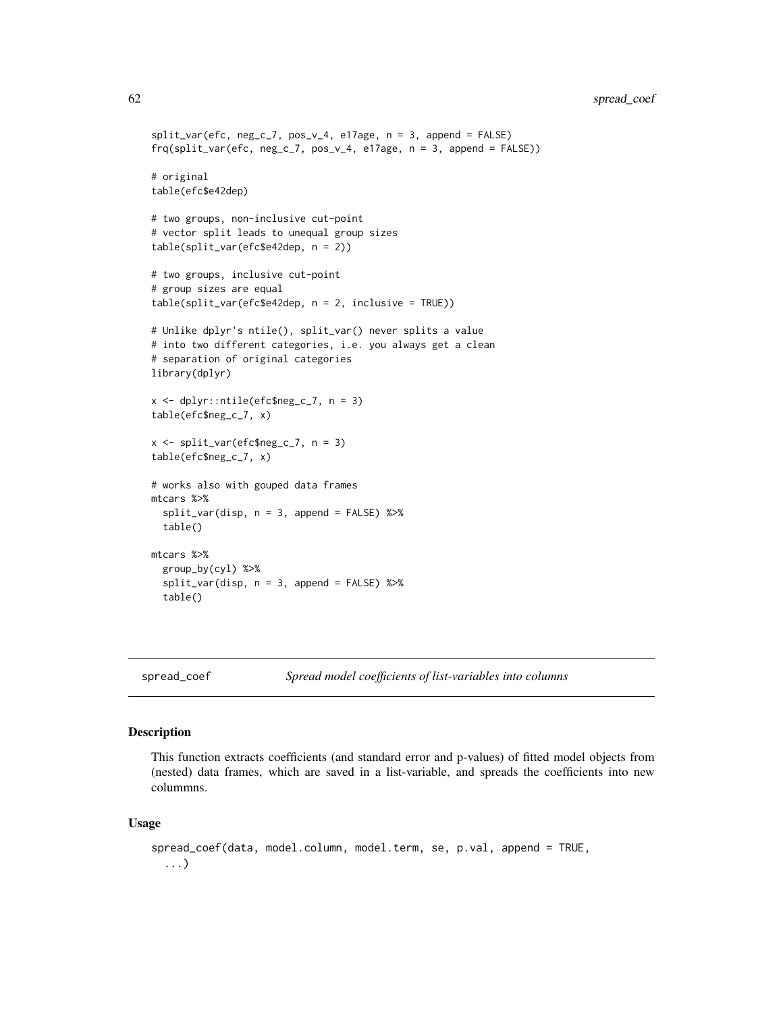```
split\_var(efc, neg_c_7, pos_v_4, el7age, n = 3, append = FALSE)frq(split_var(efc, neg_c_7, pos_v_4, e17age, n = 3, append = FALSE))
# original
table(efc$e42dep)
# two groups, non-inclusive cut-point
# vector split leads to unequal group sizes
table(split_var(efc$e42dep, n = 2))
# two groups, inclusive cut-point
# group sizes are equal
table(split_var(efc$e42dep, n = 2, inclusive = TRUE))
# Unlike dplyr's ntile(), split_var() never splits a value
# into two different categories, i.e. you always get a clean
# separation of original categories
library(dplyr)
x \leq dplyr::ntile(efc$neg_c_7, n = 3)
table(efc$neg_c_7, x)
x <- split_var(efc$neg_c_7, n = 3)
table(efc$neg_c_7, x)
# works also with gouped data frames
mtcars %>%
  split_var(disp, n = 3, append = FALSE) %>%
  table()
mtcars %>%
  group_by(cyl) %>%
  split\_var(disp, n = 3, append = FALSE) %>%
  table()
```
spread\_coef *Spread model coefficients of list-variables into columns*

### Description

This function extracts coefficients (and standard error and p-values) of fitted model objects from (nested) data frames, which are saved in a list-variable, and spreads the coefficients into new colummns.

### Usage

```
spread_coef(data, model.column, model.term, se, p.val, append = TRUE,
  ...)
```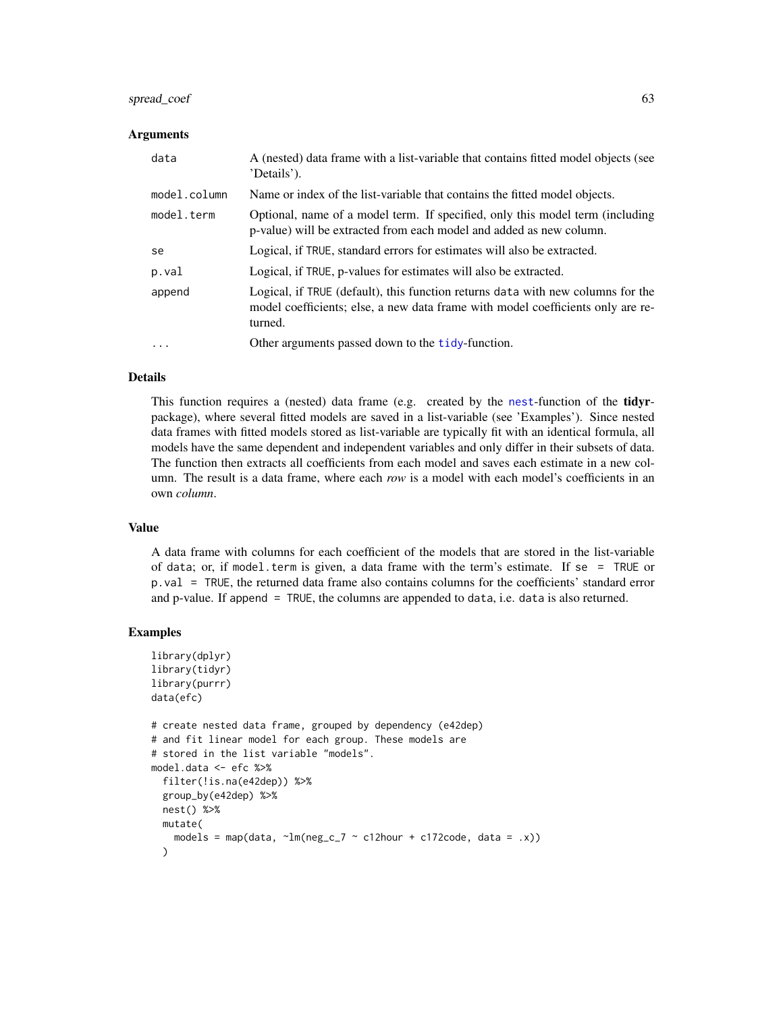# spread\_coef 63

#### Arguments

| data         | A (nested) data frame with a list-variable that contains fitted model objects (see<br>'Details').                                                                             |
|--------------|-------------------------------------------------------------------------------------------------------------------------------------------------------------------------------|
| model.column | Name or index of the list-variable that contains the fitted model objects.                                                                                                    |
| model.term   | Optional, name of a model term. If specified, only this model term (including<br>p-value) will be extracted from each model and added as new column.                          |
| se           | Logical, if TRUE, standard errors for estimates will also be extracted.                                                                                                       |
| p.val        | Logical, if TRUE, p-values for estimates will also be extracted.                                                                                                              |
| append       | Logical, if TRUE (default), this function returns data with new columns for the<br>model coefficients; else, a new data frame with model coefficients only are re-<br>turned. |
| $\ddotsc$    | Other arguments passed down to the <b>tidy</b> -function.                                                                                                                     |

#### Details

This function requires a (nested) data frame (e.g. created by the [nest](#page-0-0)-function of the tidyrpackage), where several fitted models are saved in a list-variable (see 'Examples'). Since nested data frames with fitted models stored as list-variable are typically fit with an identical formula, all models have the same dependent and independent variables and only differ in their subsets of data. The function then extracts all coefficients from each model and saves each estimate in a new column. The result is a data frame, where each *row* is a model with each model's coefficients in an own *column*.

#### Value

A data frame with columns for each coefficient of the models that are stored in the list-variable of data; or, if model.term is given, a data frame with the term's estimate. If se = TRUE or p.val = TRUE, the returned data frame also contains columns for the coefficients' standard error and p-value. If append = TRUE, the columns are appended to data, i.e. data is also returned.

```
library(dplyr)
library(tidyr)
library(purrr)
data(efc)
# create nested data frame, grouped by dependency (e42dep)
# and fit linear model for each group. These models are
# stored in the list variable "models".
model.data <- efc %>%
 filter(!is.na(e42dep)) %>%
 group_by(e42dep) %>%
 nest() %>%
 mutate(
   models = map(data, \text{~1m(neg_c27 \sim c12hour + c172code, data = .x)})\lambda
```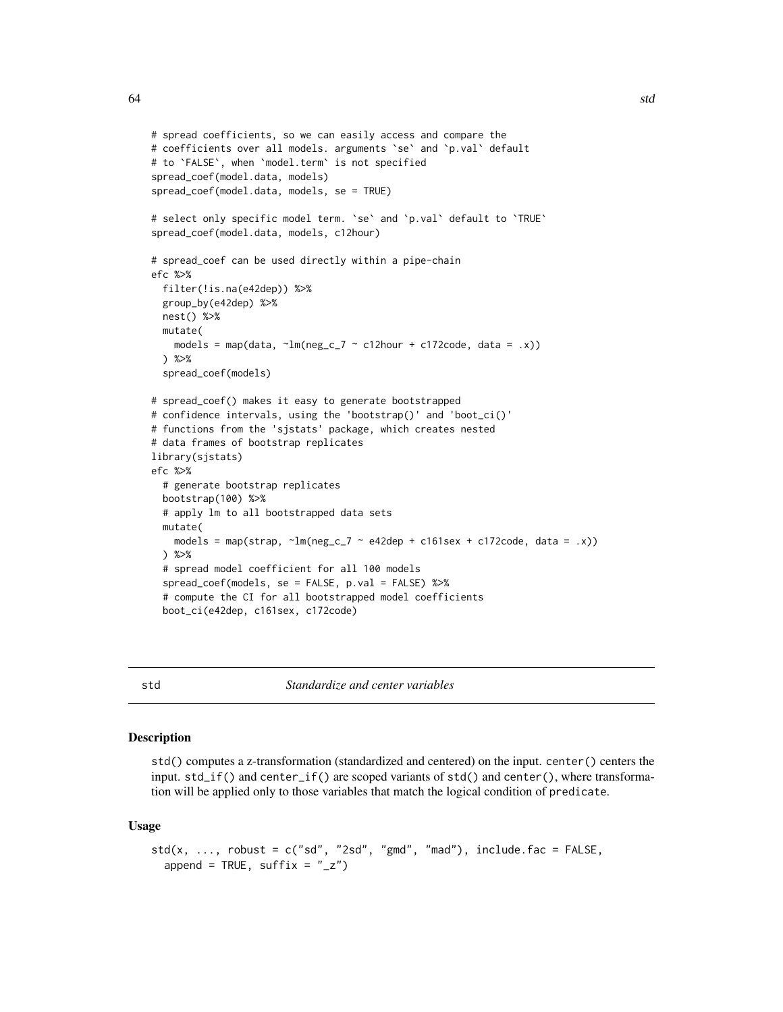```
# spread coefficients, so we can easily access and compare the
# coefficients over all models. arguments `se` and `p.val` default
# to `FALSE`, when `model.term` is not specified
spread_coef(model.data, models)
spread_coef(model.data, models, se = TRUE)
# select only specific model term. `se` and `p.val` default to `TRUE`
spread_coef(model.data, models, c12hour)
# spread_coef can be used directly within a pipe-chain
efc %>%
  filter(!is.na(e42dep)) %>%
  group_by(e42dep) %>%
  nest() %>%
  mutate(
    models = map(data, \text{Im(neg_c27} \sim \text{c12hour} + \text{c172code}, data = .x))
  ) %>%
  spread_coef(models)
# spread_coef() makes it easy to generate bootstrapped
# confidence intervals, using the 'bootstrap()' and 'boot_ci()'
# functions from the 'sjstats' package, which creates nested
# data frames of bootstrap replicates
library(sjstats)
efc %>%
  # generate bootstrap replicates
  bootstrap(100) %>%
  # apply lm to all bootstrapped data sets
  mutate(
   models = map(strap, \text{Im(neg_c27 - e42dep + c161sex + c172code, data = .x)})) %>%
  # spread model coefficient for all 100 models
  spread_coef(models, se = FALSE, p.val = FALSE) %>%
  # compute the CI for all bootstrapped model coefficients
  boot_ci(e42dep, c161sex, c172code)
```
std *Standardize and center variables*

### Description

std() computes a z-transformation (standardized and centered) on the input. center() centers the input. std\_if() and center\_if() are scoped variants of std() and center(), where transformation will be applied only to those variables that match the logical condition of predicate.

#### Usage

```
std(x, ..., robust = c("sd", "2sd", "gmd", "mad"), include fac = FALSE,append = TRUE, suffix = "_{-}z")
```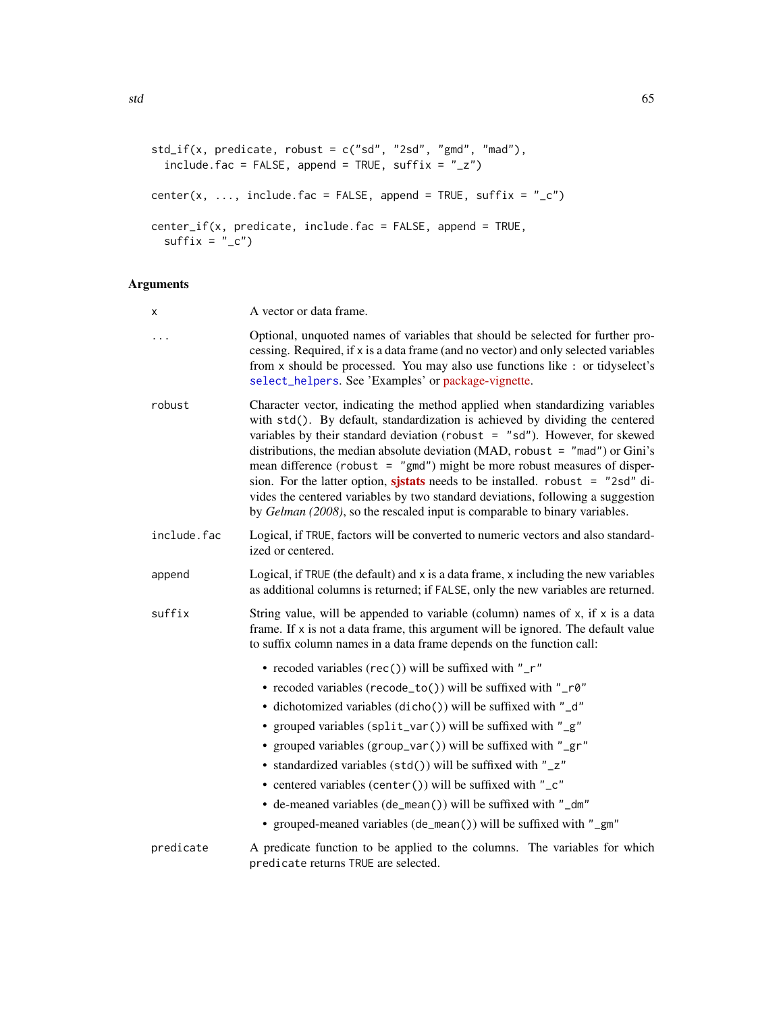```
std_if(x, predicate, robust = c("sd", "2sd", "gmd", "mad"),include.fac = FALSE, append = TRUE, suffix = "_{-}z")
center(x, ..., include.fac = FALSE, append = TRUE, suffix = "_c")
center_if(x, predicate, include.fac = FALSE, append = TRUE,
  sufficient = "_c")
```
# Arguments

| x           | A vector or data frame.                                                                                                                                                                                                                                                                                                                                                                                                                                                                                                                                                                                                                                              |  |
|-------------|----------------------------------------------------------------------------------------------------------------------------------------------------------------------------------------------------------------------------------------------------------------------------------------------------------------------------------------------------------------------------------------------------------------------------------------------------------------------------------------------------------------------------------------------------------------------------------------------------------------------------------------------------------------------|--|
|             | Optional, unquoted names of variables that should be selected for further pro-<br>cessing. Required, if x is a data frame (and no vector) and only selected variables<br>from x should be processed. You may also use functions like : or tidyselect's<br>select_helpers. See 'Examples' or package-vignette.                                                                                                                                                                                                                                                                                                                                                        |  |
| robust      | Character vector, indicating the method applied when standardizing variables<br>with std(). By default, standardization is achieved by dividing the centered<br>variables by their standard deviation (robust $=$ "sd"). However, for skewed<br>distributions, the median absolute deviation (MAD, robust = $"$ mad") or Gini's<br>mean difference (robust = $"gmd"$ ) might be more robust measures of disper-<br>sion. For the latter option, sistats needs to be installed. robust $=$ "2sd" di-<br>vides the centered variables by two standard deviations, following a suggestion<br>by Gelman (2008), so the rescaled input is comparable to binary variables. |  |
| include.fac | Logical, if TRUE, factors will be converted to numeric vectors and also standard-<br>ized or centered.                                                                                                                                                                                                                                                                                                                                                                                                                                                                                                                                                               |  |
| append      | Logical, if TRUE (the default) and x is a data frame, x including the new variables<br>as additional columns is returned; if FALSE, only the new variables are returned.                                                                                                                                                                                                                                                                                                                                                                                                                                                                                             |  |
| suffix      | String value, will be appended to variable (column) names of $x$ , if $x$ is a data<br>frame. If x is not a data frame, this argument will be ignored. The default value<br>to suffix column names in a data frame depends on the function call:                                                                                                                                                                                                                                                                                                                                                                                                                     |  |
|             | • recoded variables (rec()) will be suffixed with "_r"                                                                                                                                                                                                                                                                                                                                                                                                                                                                                                                                                                                                               |  |
|             | • recoded variables (recode_to()) will be suffixed with "_r0"                                                                                                                                                                                                                                                                                                                                                                                                                                                                                                                                                                                                        |  |
|             | • dichotomized variables (dicho()) will be suffixed with "_d"                                                                                                                                                                                                                                                                                                                                                                                                                                                                                                                                                                                                        |  |
|             | • grouped variables (split_var()) will be suffixed with "_g"                                                                                                                                                                                                                                                                                                                                                                                                                                                                                                                                                                                                         |  |
|             | • grouped variables (group_var()) will be suffixed with "_gr"                                                                                                                                                                                                                                                                                                                                                                                                                                                                                                                                                                                                        |  |
|             | • standardized variables (std()) will be suffixed with "_z"                                                                                                                                                                                                                                                                                                                                                                                                                                                                                                                                                                                                          |  |
|             | • centered variables (center()) will be suffixed with "_c"                                                                                                                                                                                                                                                                                                                                                                                                                                                                                                                                                                                                           |  |
|             | • de-meaned variables (de_mean()) will be suffixed with "_dm"                                                                                                                                                                                                                                                                                                                                                                                                                                                                                                                                                                                                        |  |
|             | • grouped-meaned variables (de_mean()) will be suffixed with "_gm"                                                                                                                                                                                                                                                                                                                                                                                                                                                                                                                                                                                                   |  |
| predicate   | A predicate function to be applied to the columns. The variables for which<br>predicate returns TRUE are selected.                                                                                                                                                                                                                                                                                                                                                                                                                                                                                                                                                   |  |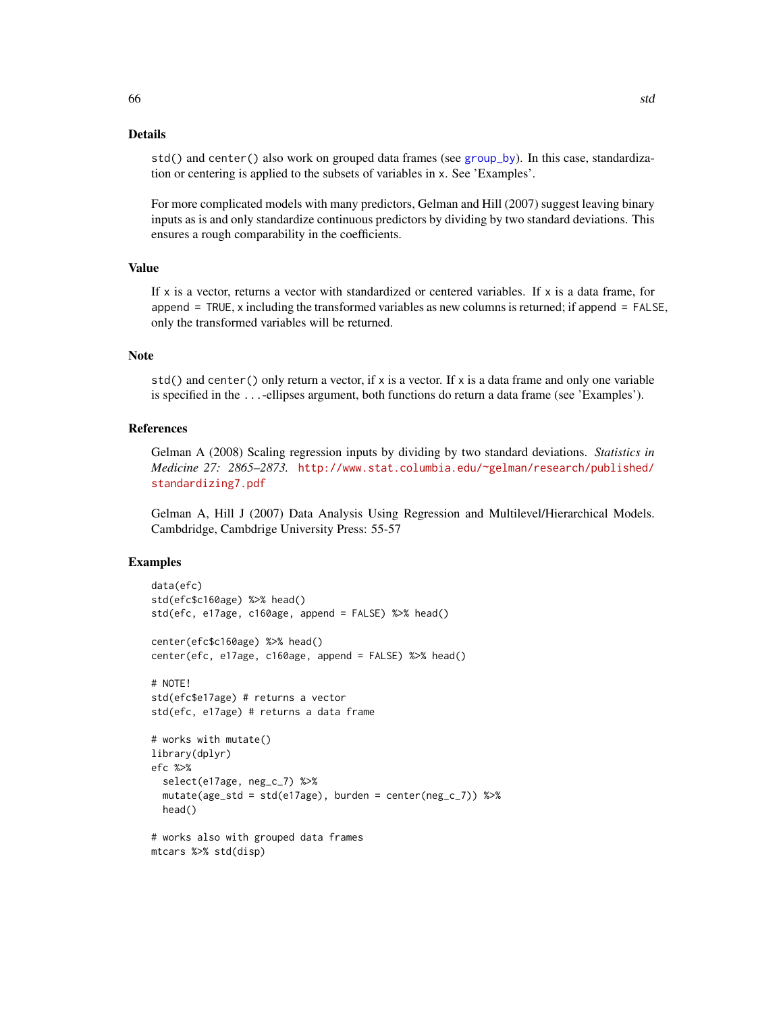std() and center() also work on grouped data frames (see [group\\_by](#page-0-0)). In this case, standardization or centering is applied to the subsets of variables in x. See 'Examples'.

For more complicated models with many predictors, Gelman and Hill (2007) suggest leaving binary inputs as is and only standardize continuous predictors by dividing by two standard deviations. This ensures a rough comparability in the coefficients.

## Value

If  $x$  is a vector, returns a vector with standardized or centered variables. If  $x$  is a data frame, for append = TRUE, x including the transformed variables as new columns is returned; if append = FALSE, only the transformed variables will be returned.

### **Note**

std() and center() only return a vector, if  $x$  is a vector. If  $x$  is a data frame and only one variable is specified in the ...-ellipses argument, both functions do return a data frame (see 'Examples').

## References

Gelman A (2008) Scaling regression inputs by dividing by two standard deviations. *Statistics in Medicine 27: 2865–2873.* [http://www.stat.columbia.edu/~gelman/research/published/](http://www.stat.columbia.edu/~gelman/research/published/standardizing7.pdf) [standardizing7.pdf](http://www.stat.columbia.edu/~gelman/research/published/standardizing7.pdf)

Gelman A, Hill J (2007) Data Analysis Using Regression and Multilevel/Hierarchical Models. Cambdridge, Cambdrige University Press: 55-57

```
data(efc)
std(efc$c160age) %>% head()
std(efc, e17age, c160age, append = FALSE) %>% head()
center(efc$c160age) %>% head()
center(efc, e17age, c160age, append = FALSE) %>% head()
# NOTE!
std(efc$e17age) # returns a vector
std(efc, e17age) # returns a data frame
# works with mutate()
library(dplyr)
efc %>%
  select(e17age, neg_c_7) %>%
  mutate(age_std = std(e17age), burden = center(neg_c_7)) %>%
  head()
# works also with grouped data frames
mtcars %>% std(disp)
```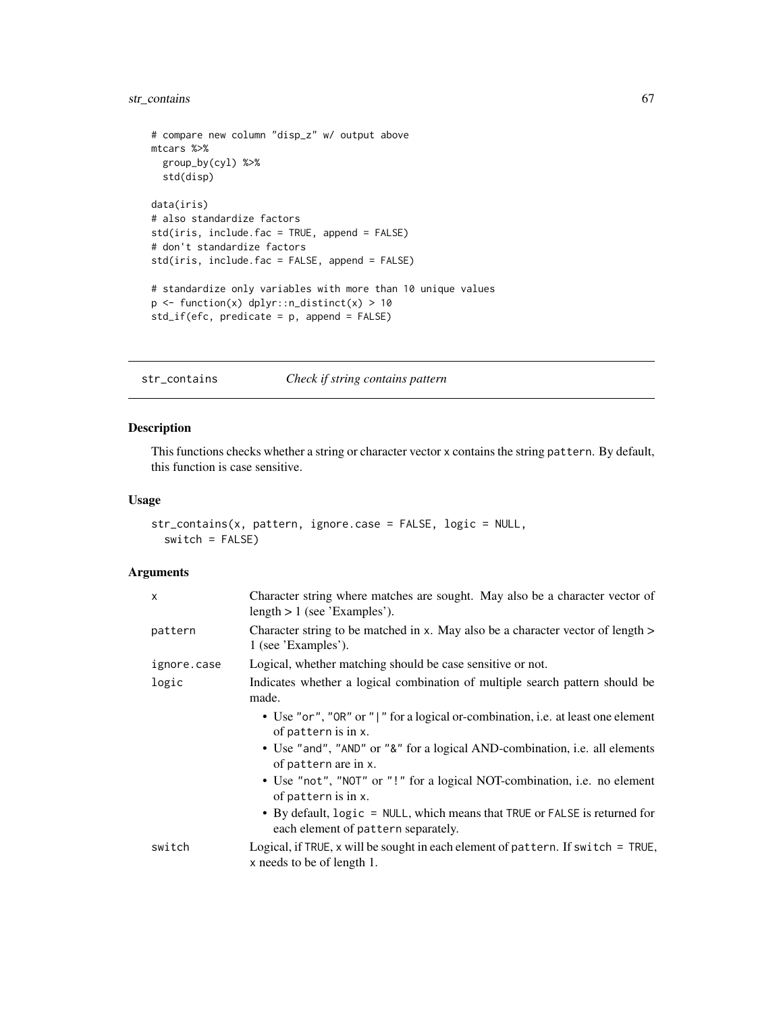# str\_contains 67

```
# compare new column "disp_z" w/ output above
mtcars %>%
 group_by(cyl) %>%
 std(disp)
data(iris)
# also standardize factors
std(iris, include.fac = TRUE, append = FALSE)
# don't standardize factors
std(iris, include.fac = FALSE, append = FALSE)
# standardize only variables with more than 10 unique values
p <- function(x) dplyr::n_distinct(x) > 10
std_if(efc, predicate = p, append = FALSE)
```
str\_contains *Check if string contains pattern*

### Description

This functions checks whether a string or character vector x contains the string pattern. By default, this function is case sensitive.

### Usage

```
str_contains(x, pattern, ignore.case = FALSE, logic = NULL,
  switch = FALSE)
```
#### Arguments

| X           | Character string where matches are sought. May also be a character vector of<br>length $> 1$ (see 'Examples').    |
|-------------|-------------------------------------------------------------------------------------------------------------------|
| pattern     | Character string to be matched in x. May also be a character vector of length ><br>1 (see 'Examples').            |
| ignore.case | Logical, whether matching should be case sensitive or not.                                                        |
| logic       | Indicates whether a logical combination of multiple search pattern should be<br>made.                             |
|             | • Use "or", "OR" or " " for a logical or-combination, i.e. at least one element<br>of pattern is in x.            |
|             | • Use "and", "AND" or "&" for a logical AND-combination, i.e. all elements<br>of pattern are in x.                |
|             | • Use "not", "NOT" or "!" for a logical NOT-combination, i.e. no element<br>of pattern is in x.                   |
|             | • By default, logic = NULL, which means that TRUE or FALSE is returned for<br>each element of pattern separately. |
| switch      | Logical, if TRUE, x will be sought in each element of pattern. If switch $=$ TRUE,<br>x needs to be of length 1.  |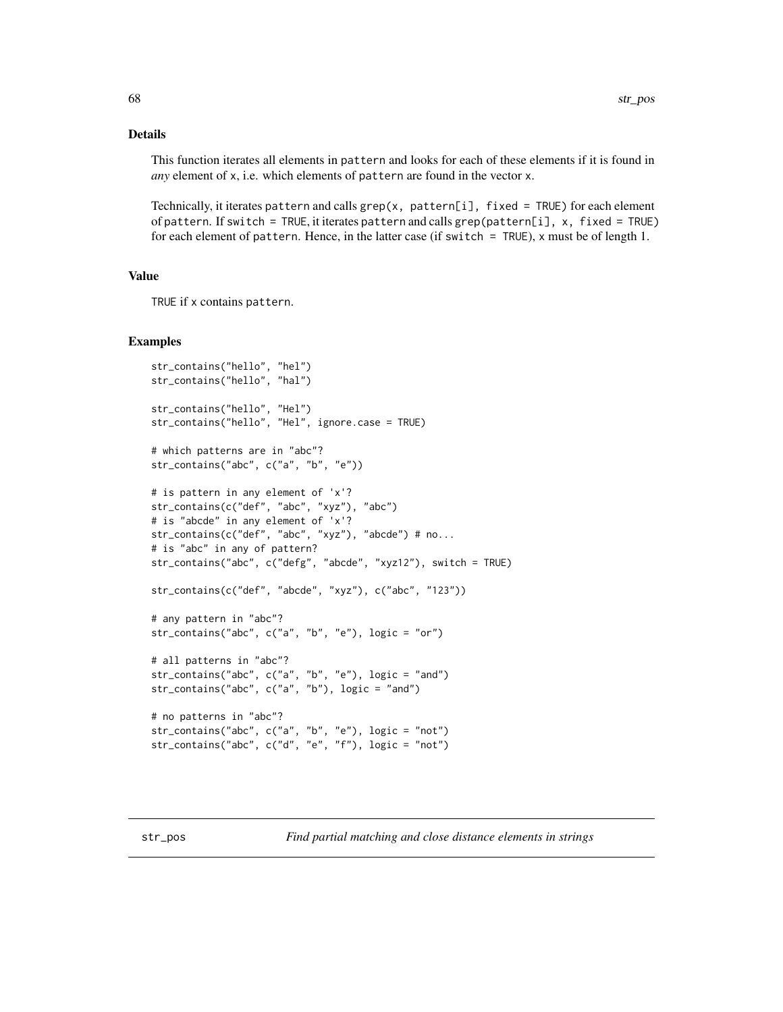### Details

This function iterates all elements in pattern and looks for each of these elements if it is found in *any* element of x, i.e. which elements of pattern are found in the vector x.

Technically, it iterates pattern and calls  $\text{grey}(x, \text{pattern}[i], \text{fixed} = \text{TRUE})$  for each element of pattern. If switch = TRUE, it iterates pattern and calls grep(pattern[i], x, fixed = TRUE) for each element of pattern. Hence, in the latter case (if switch = TRUE), x must be of length 1.

#### Value

TRUE if x contains pattern.

```
str_contains("hello", "hel")
str_contains("hello", "hal")
str_contains("hello", "Hel")
str_contains("hello", "Hel", ignore.case = TRUE)
# which patterns are in "abc"?
str_contains("abc", c("a", "b", "e"))
# is pattern in any element of 'x'?
str_contains(c("def", "abc", "xyz"), "abc")
# is "abcde" in any element of 'x'?
str_contains(c("def", "abc", "xyz"), "abcde") # no...
# is "abc" in any of pattern?
str_contains("abc", c("defg", "abcde", "xyz12"), switch = TRUE)
str_contains(c("def", "abcde", "xyz"), c("abc", "123"))
# any pattern in "abc"?
str_contains("abc", c("a", "b", "e"), logic = "or")
# all patterns in "abc"?
str_contains("abc", c("a", "b", "e"), logic = "and")
str_contains("abc", c("a", "b"), logic = "and")
# no patterns in "abc"?
str_contains("abc", c("a", "b", "e"), logic = "not")
str_contains("abc", c("d", "e", "f"), logic = "not")
```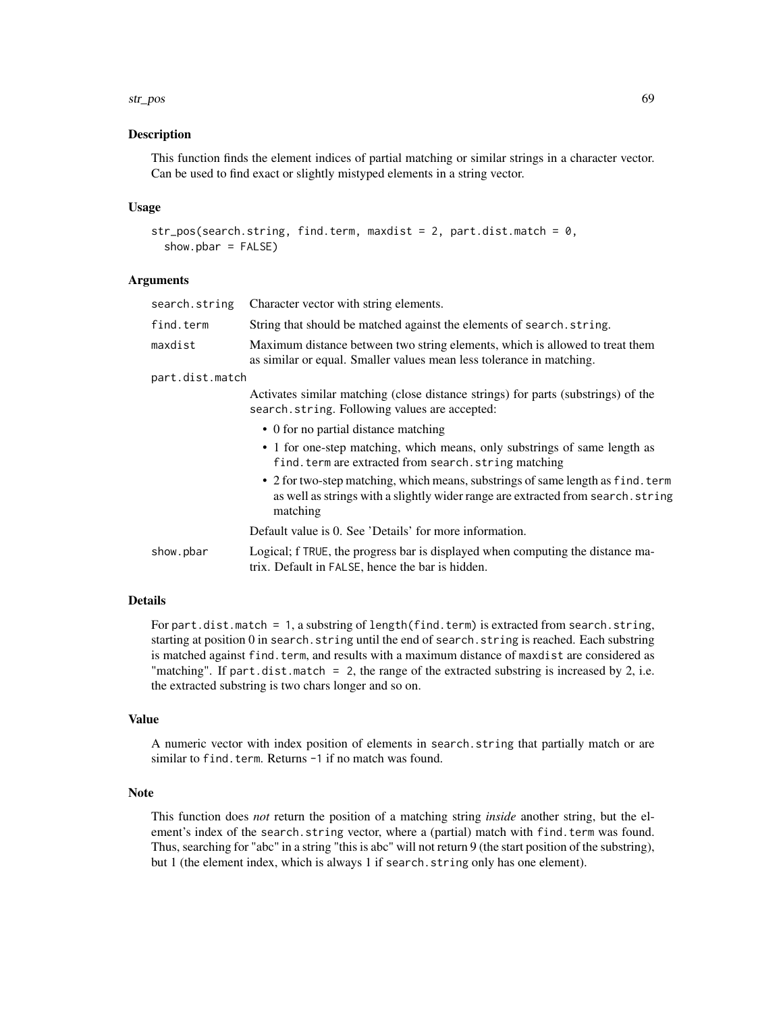#### str\_pos 69

### **Description**

This function finds the element indices of partial matching or similar strings in a character vector. Can be used to find exact or slightly mistyped elements in a string vector.

### Usage

```
str_pos(search.string, find.term, maxdist = 2, part.dist.match = 0,
  show. <i>bar</i> = <math>FALSE</math>)
```
# Arguments

| search.string   | Character vector with string elements.                                                                                                                                          |  |
|-----------------|---------------------------------------------------------------------------------------------------------------------------------------------------------------------------------|--|
| find.term       | String that should be matched against the elements of search, string.                                                                                                           |  |
| maxdist         | Maximum distance between two string elements, which is allowed to treat them<br>as similar or equal. Smaller values mean less tolerance in matching.                            |  |
| part.dist.match |                                                                                                                                                                                 |  |
|                 | Activates similar matching (close distance strings) for parts (substrings) of the<br>search.string. Following values are accepted:                                              |  |
|                 | • 0 for no partial distance matching                                                                                                                                            |  |
|                 | • 1 for one-step matching, which means, only substrings of same length as<br>find. term are extracted from search. string matching                                              |  |
|                 | • 2 for two-step matching, which means, substrings of same length as find. term<br>as well as strings with a slightly wider range are extracted from search. string<br>matching |  |
|                 | Default value is 0. See 'Details' for more information.                                                                                                                         |  |
| show.pbar       | Logical; f TRUE, the progress bar is displayed when computing the distance ma-<br>trix. Default in FALSE, hence the bar is hidden.                                              |  |
|                 |                                                                                                                                                                                 |  |

### Details

For part.dist.match = 1, a substring of length(find.term) is extracted from search.string, starting at position 0 in search.string until the end of search.string is reached. Each substring is matched against find.term, and results with a maximum distance of maxdist are considered as "matching". If part.dist.match = 2, the range of the extracted substring is increased by 2, i.e. the extracted substring is two chars longer and so on.

### Value

A numeric vector with index position of elements in search.string that partially match or are similar to find.term. Returns -1 if no match was found.

### Note

This function does *not* return the position of a matching string *inside* another string, but the element's index of the search.string vector, where a (partial) match with find.term was found. Thus, searching for "abc" in a string "this is abc" will not return 9 (the start position of the substring), but 1 (the element index, which is always 1 if search.string only has one element).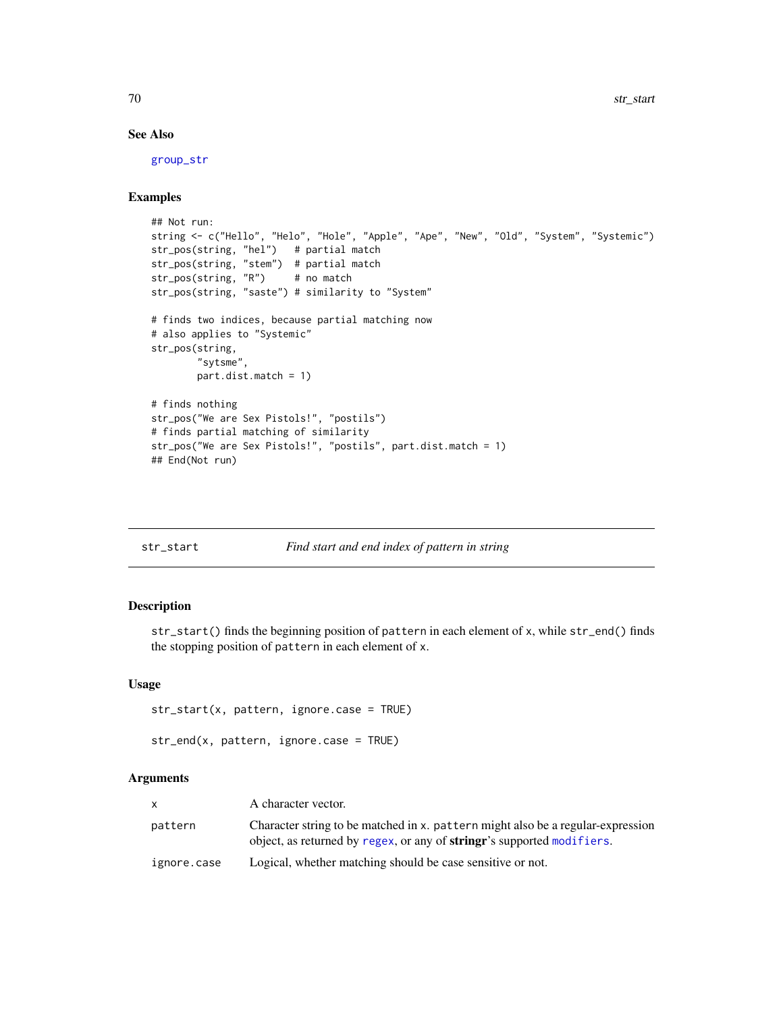## See Also

[group\\_str](#page-22-0)

# Examples

```
## Not run:
string <- c("Hello", "Helo", "Hole", "Apple", "Ape", "New", "Old", "System", "Systemic")
str_pos(string, "hel") # partial match
str_pos(string, "stem") # partial match
str_pos(string, "R") # no match
str_pos(string, "saste") # similarity to "System"
# finds two indices, because partial matching now
# also applies to "Systemic"
str_pos(string,
        "sytsme",
       part.dist.match = 1)
# finds nothing
str_pos("We are Sex Pistols!", "postils")
# finds partial matching of similarity
str_pos("We are Sex Pistols!", "postils", part.dist.match = 1)
## End(Not run)
```

| str start |  |
|-----------|--|
|           |  |

# Find start and end index of pattern in string

### Description

str\_start() finds the beginning position of pattern in each element of x, while str\_end() finds the stopping position of pattern in each element of x.

#### Usage

```
str_start(x, pattern, ignore.case = TRUE)
```

```
str_end(x, pattern, ignore.case = TRUE)
```
#### Arguments

| <b>X</b>    | A character vector.                                                                                                                                               |
|-------------|-------------------------------------------------------------------------------------------------------------------------------------------------------------------|
| pattern     | Character string to be matched in x. pattern might also be a regular-expression<br>object, as returned by regex, or any of <b>stringr</b> 's supported modifiers. |
| ignore.case | Logical, whether matching should be case sensitive or not.                                                                                                        |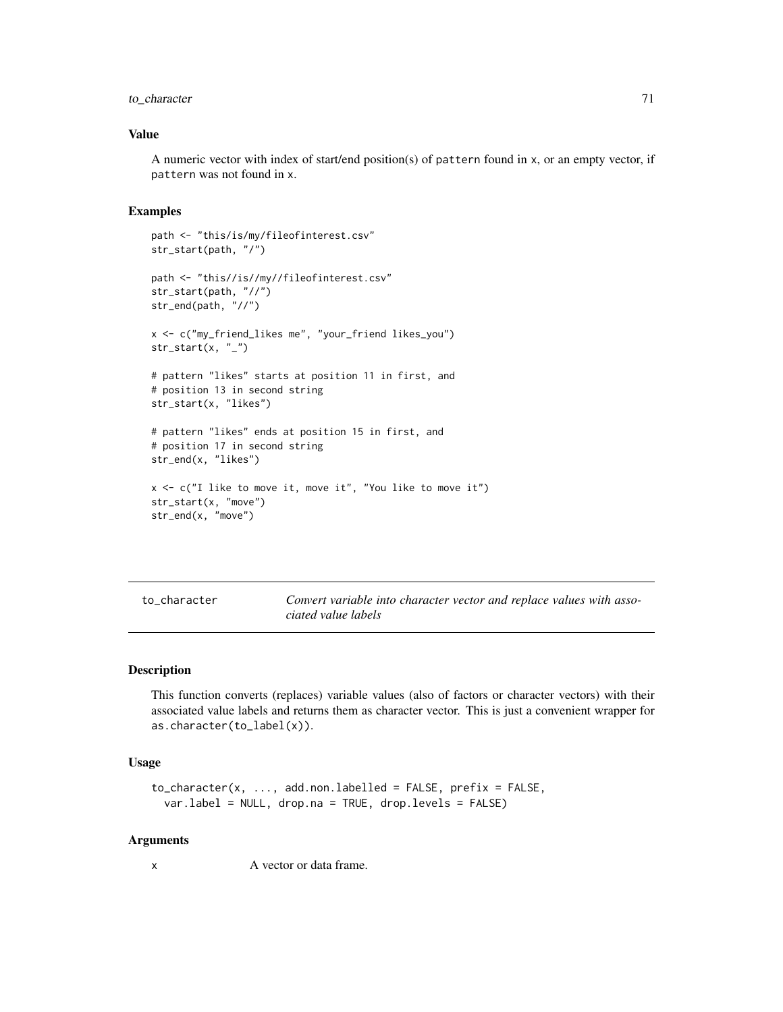## to\_character 71

### Value

A numeric vector with index of start/end position(s) of pattern found in x, or an empty vector, if pattern was not found in x.

#### Examples

```
path <- "this/is/my/fileofinterest.csv"
str_start(path, "/")
path <- "this//is//my//fileofinterest.csv"
str_start(path, "//")
str_end(path, "//")
x <- c("my_friend_likes me", "your_friend likes_you")
str\_start(x, "''_")# pattern "likes" starts at position 11 in first, and
# position 13 in second string
str_start(x, "likes")
# pattern "likes" ends at position 15 in first, and
# position 17 in second string
str_end(x, "likes")
x <- c("I like to move it, move it", "You like to move it")
str_start(x, "move")
str_end(x, "move")
```

| to character | Convert variable into character vector and replace values with asso- |
|--------------|----------------------------------------------------------------------|
|              | ciated value labels                                                  |

### Description

This function converts (replaces) variable values (also of factors or character vectors) with their associated value labels and returns them as character vector. This is just a convenient wrapper for as.character(to\_label(x)).

## Usage

```
to_character(x, ..., add.non.labelled = FALSE, prefix = FALSE,
  var.label = NULL, drop.na = TRUE, drop.levels = FALSE)
```
### Arguments

x A vector or data frame.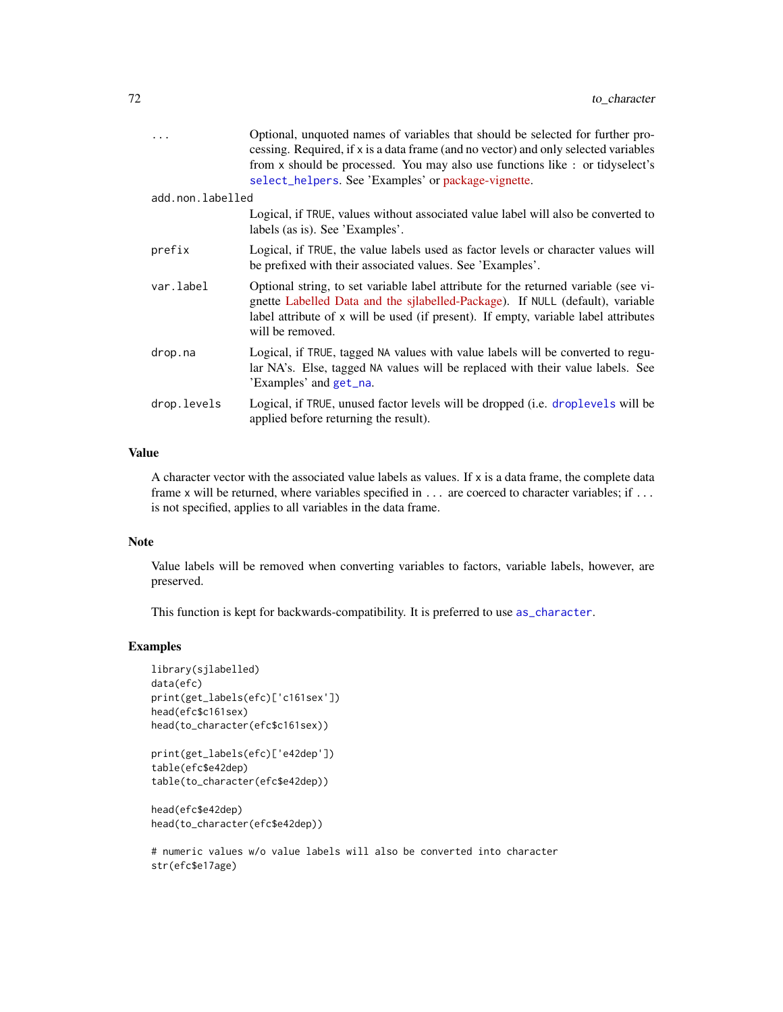| $\cdots$         | Optional, unquoted names of variables that should be selected for further pro-<br>cessing. Required, if x is a data frame (and no vector) and only selected variables<br>from x should be processed. You may also use functions like : or tidyselect's<br>select_helpers. See 'Examples' or package-vignette. |
|------------------|---------------------------------------------------------------------------------------------------------------------------------------------------------------------------------------------------------------------------------------------------------------------------------------------------------------|
| add.non.labelled |                                                                                                                                                                                                                                                                                                               |
|                  | Logical, if TRUE, values without associated value label will also be converted to<br>labels (as is). See 'Examples'.                                                                                                                                                                                          |
| prefix           | Logical, if TRUE, the value labels used as factor levels or character values will<br>be prefixed with their associated values. See 'Examples'.                                                                                                                                                                |
| var.label        | Optional string, to set variable label attribute for the returned variable (see vi-<br>gnette Labelled Data and the sjlabelled-Package). If NULL (default), variable<br>label attribute of x will be used (if present). If empty, variable label attributes<br>will be removed.                               |
| drop.na          | Logical, if TRUE, tagged NA values with value labels will be converted to regu-<br>lar NA's. Else, tagged NA values will be replaced with their value labels. See<br>'Examples' and get_na.                                                                                                                   |
| drop.levels      | Logical, if TRUE, unused factor levels will be dropped (i.e. droplevels will be<br>applied before returning the result).                                                                                                                                                                                      |

# Value

A character vector with the associated value labels as values. If x is a data frame, the complete data frame x will be returned, where variables specified in ... are coerced to character variables; if ... is not specified, applies to all variables in the data frame.

## Note

Value labels will be removed when converting variables to factors, variable labels, however, are preserved.

This function is kept for backwards-compatibility. It is preferred to use [as\\_character](#page-0-0).

```
library(sjlabelled)
data(efc)
print(get_labels(efc)['c161sex'])
head(efc$c161sex)
head(to_character(efc$c161sex))
```

```
print(get_labels(efc)['e42dep'])
table(efc$e42dep)
table(to_character(efc$e42dep))
```

```
head(efc$e42dep)
head(to_character(efc$e42dep))
```

```
# numeric values w/o value labels will also be converted into character
str(efc$e17age)
```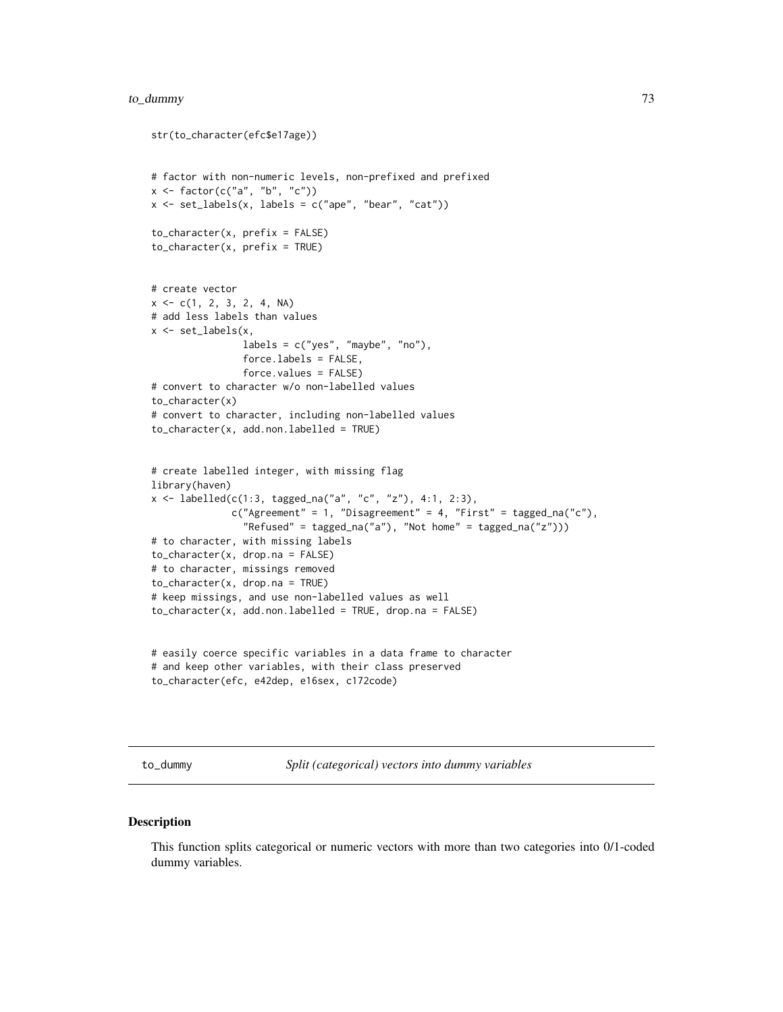# <span id="page-72-0"></span>to\_dummy 73

```
str(to_character(efc$e17age))
# factor with non-numeric levels, non-prefixed and prefixed
x \leftarrow factor(c("a", "b", "c"))
x \le -set\_labels(x, labels = c("ape", "bear", "cat"))to_character(x, prefix = FALSE)
to_{\text{character}}(x, \text{ prefix} = \text{TRUE})# create vector
x \leq -c(1, 2, 3, 2, 4, NA)# add less labels than values
x \leftarrow set_labels(x,labels = c("yes", "maybe", "no"),
                force.labels = FALSE,
                force.values = FALSE)
# convert to character w/o non-labelled values
to_character(x)
# convert to character, including non-labelled values
to_character(x, add.non.labelled = TRUE)
# create labelled integer, with missing flag
library(haven)
x <- labelled(c(1:3, tagged_na("a", "c", "z"), 4:1, 2:3),
              c("Agreement" = 1, "Disagreement" = 4, "First" = tagged_na("c"),"Refused" = tagged_na("a"), "Not home" = tagged_na("z")))
# to character, with missing labels
to_character(x, drop.na = FALSE)
# to character, missings removed
to_character(x, drop.na = TRUE)
# keep missings, and use non-labelled values as well
to_ccharacter(x, add.non.labelled = TRUE, drop.na = FALSE)
# easily coerce specific variables in a data frame to character
# and keep other variables, with their class preserved
```

```
to_character(efc, e42dep, e16sex, c172code)
```
to\_dummy *Split (categorical) vectors into dummy variables*

#### Description

This function splits categorical or numeric vectors with more than two categories into 0/1-coded dummy variables.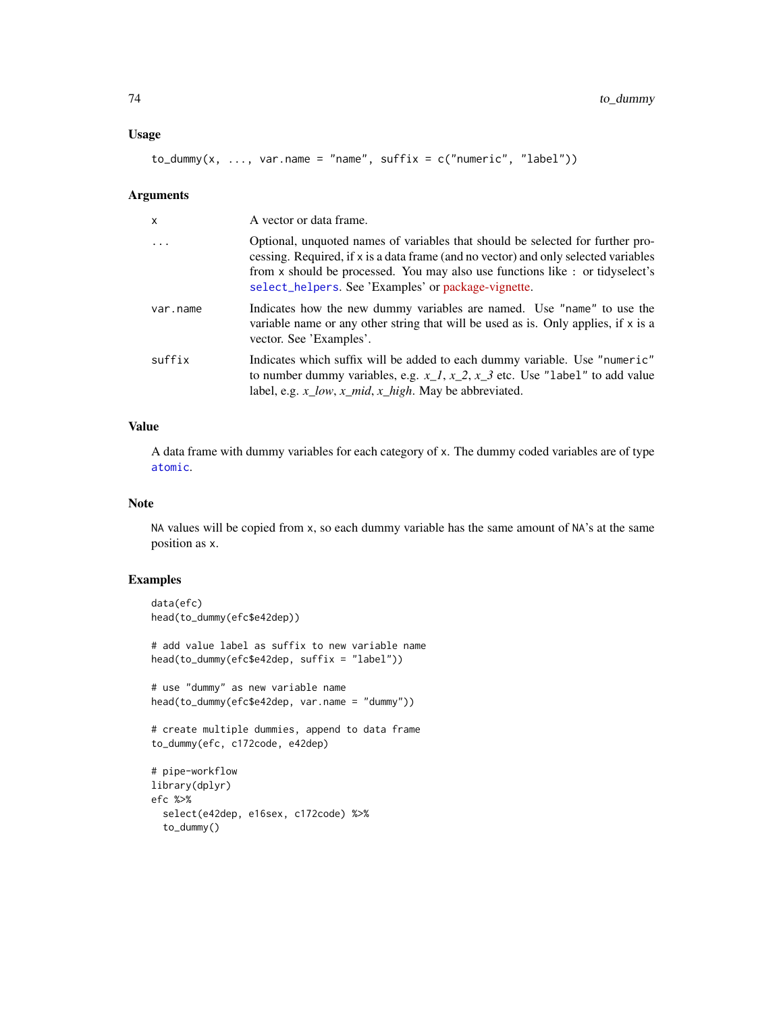# <span id="page-73-0"></span>Usage

 $to_d$ ummy(x, ..., var.name = "name", suffix =  $c("numeric", "label"))$ 

#### Arguments

| $\mathsf{x}$            | A vector or data frame.                                                                                                                                                                                                                                                                                       |
|-------------------------|---------------------------------------------------------------------------------------------------------------------------------------------------------------------------------------------------------------------------------------------------------------------------------------------------------------|
| $\cdot$ $\cdot$ $\cdot$ | Optional, unquoted names of variables that should be selected for further pro-<br>cessing. Required, if x is a data frame (and no vector) and only selected variables<br>from x should be processed. You may also use functions like : or tidyselect's<br>select_helpers. See 'Examples' or package-vignette. |
| var.name                | Indicates how the new dummy variables are named. Use "name" to use the<br>variable name or any other string that will be used as is. Only applies, if $x$ is a<br>vector. See 'Examples'.                                                                                                                     |
| suffix                  | Indicates which suffix will be added to each dummy variable. Use "numeric"<br>to number dummy variables, e.g. $x_1, x_2, x_3$ etc. Use "label" to add value<br>label, e.g. $x_l_0w$ , $x_l$ mid, $x_l$ high. May be abbreviated.                                                                              |

# Value

A data frame with dummy variables for each category of x. The dummy coded variables are of type [atomic](#page-0-0).

#### Note

NA values will be copied from x, so each dummy variable has the same amount of NA's at the same position as x.

```
data(efc)
head(to_dummy(efc$e42dep))
# add value label as suffix to new variable name
head(to_dummy(efc$e42dep, suffix = "label"))
# use "dummy" as new variable name
head(to_dummy(efc$e42dep, var.name = "dummy"))
# create multiple dummies, append to data frame
to_dummy(efc, c172code, e42dep)
# pipe-workflow
library(dplyr)
efc %>%
  select(e42dep, e16sex, c172code) %>%
  to_dummy()
```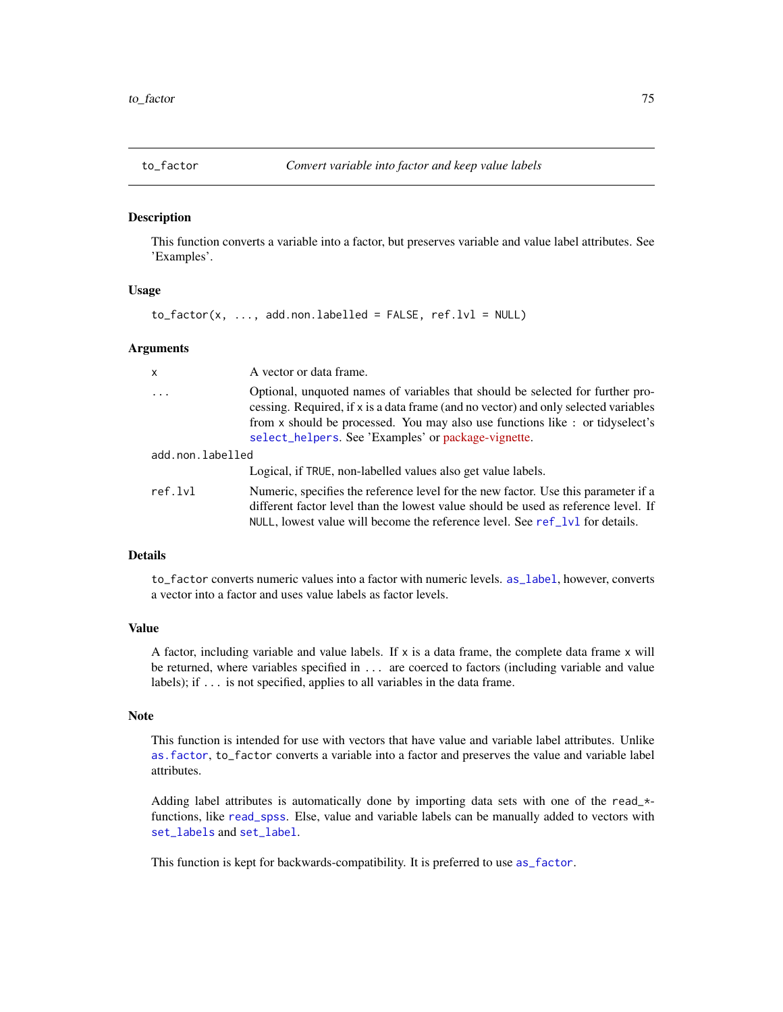<span id="page-74-0"></span>

This function converts a variable into a factor, but preserves variable and value label attributes. See 'Examples'.

### Usage

 $to_factor(x, ..., add.non.labelled = FALSE, ref.lvl = NULL)$ 

#### Arguments

| x                | A vector or data frame.                                                                                                                                                                                                                                                                                       |  |
|------------------|---------------------------------------------------------------------------------------------------------------------------------------------------------------------------------------------------------------------------------------------------------------------------------------------------------------|--|
| $\ddots$         | Optional, unquoted names of variables that should be selected for further pro-<br>cessing. Required, if x is a data frame (and no vector) and only selected variables<br>from x should be processed. You may also use functions like : or tidyselect's<br>select_helpers. See 'Examples' or package-vignette. |  |
| add.non.labelled |                                                                                                                                                                                                                                                                                                               |  |
|                  | Logical, if TRUE, non-labelled values also get value labels.                                                                                                                                                                                                                                                  |  |
| ref.lvl          | Numeric, specifies the reference level for the new factor. Use this parameter if a<br>different factor level than the lowest value should be used as reference level. If<br>NULL, lowest value will become the reference level. See $ref_lvl$ for details.                                                    |  |

# Details

to\_factor converts numeric values into a factor with numeric levels. [as\\_label](#page-0-0), however, converts a vector into a factor and uses value labels as factor levels.

## Value

A factor, including variable and value labels. If  $x$  is a data frame, the complete data frame  $x$  will be returned, where variables specified in ... are coerced to factors (including variable and value labels); if ... is not specified, applies to all variables in the data frame.

# Note

This function is intended for use with vectors that have value and variable label attributes. Unlike [as.factor](#page-0-0), to\_factor converts a variable into a factor and preserves the value and variable label attributes.

Adding label attributes is automatically done by importing data sets with one of the read\_\* functions, like [read\\_spss](#page-0-0). Else, value and variable labels can be manually added to vectors with [set\\_labels](#page-0-0) and [set\\_label](#page-0-0).

This function is kept for backwards-compatibility. It is preferred to use [as\\_factor](#page-0-0).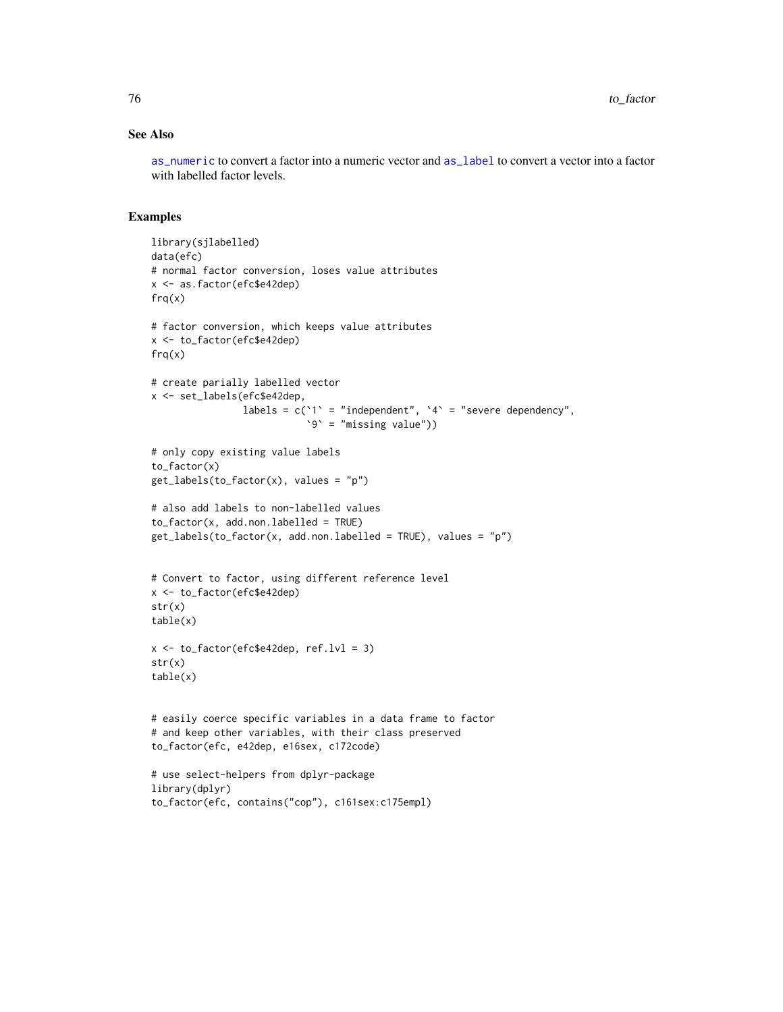# See Also

[as\\_numeric](#page-0-0) to convert a factor into a numeric vector and [as\\_label](#page-0-0) to convert a vector into a factor with labelled factor levels.

```
library(sjlabelled)
data(efc)
# normal factor conversion, loses value attributes
x <- as.factor(efc$e42dep)
frq(x)
# factor conversion, which keeps value attributes
x <- to_factor(efc$e42dep)
frq(x)# create parially labelled vector
x <- set_labels(efc$e42dep,
                labels = c('1) = "independent", 4 = "severe dependency",
                           `9` = "missing value"))
# only copy existing value labels
to_factor(x)
get_labels(to_factor(x), values = "p")
# also add labels to non-labelled values
to_factor(x, add non.labelled = TRUE)get_labels(to_factor(x, add.non.labelled = TRUE), values = "p")
# Convert to factor, using different reference level
x <- to_factor(efc$e42dep)
str(x)
table(x)
x \le -\text{to-factor}(efc$e42dep, ref.lvl = 3)str(x)
table(x)
# easily coerce specific variables in a data frame to factor
# and keep other variables, with their class preserved
to_factor(efc, e42dep, e16sex, c172code)
# use select-helpers from dplyr-package
library(dplyr)
to_factor(efc, contains("cop"), c161sex:c175empl)
```
<span id="page-75-0"></span>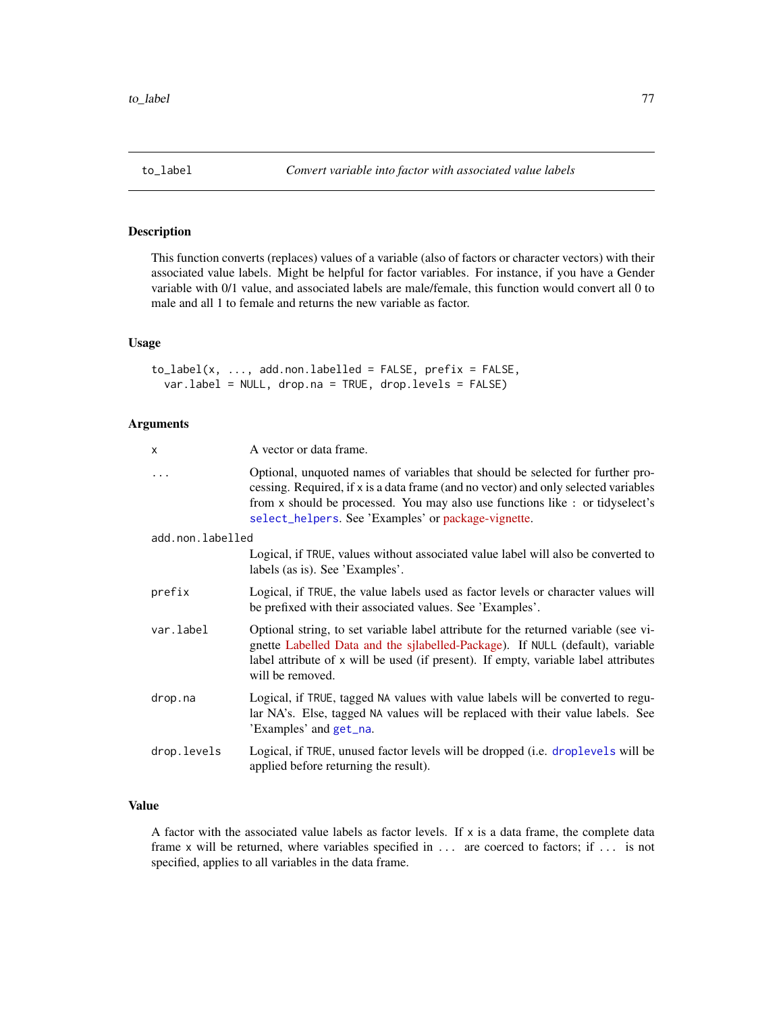<span id="page-76-0"></span>

This function converts (replaces) values of a variable (also of factors or character vectors) with their associated value labels. Might be helpful for factor variables. For instance, if you have a Gender variable with 0/1 value, and associated labels are male/female, this function would convert all 0 to male and all 1 to female and returns the new variable as factor.

## Usage

```
to label(x, ..., add.non.labeled = FALSE, prefix = FALSE,var.label = NULL, drop.na = TRUE, drop.levels = FALSE)
```
#### Arguments

| x                | A vector or data frame.                                                                                                                                                                                                                                                                                       |
|------------------|---------------------------------------------------------------------------------------------------------------------------------------------------------------------------------------------------------------------------------------------------------------------------------------------------------------|
| .                | Optional, unquoted names of variables that should be selected for further pro-<br>cessing. Required, if x is a data frame (and no vector) and only selected variables<br>from x should be processed. You may also use functions like : or tidyselect's<br>select_helpers. See 'Examples' or package-vignette. |
| add.non.labelled |                                                                                                                                                                                                                                                                                                               |
|                  | Logical, if TRUE, values without associated value label will also be converted to<br>labels (as is). See 'Examples'.                                                                                                                                                                                          |
| prefix           | Logical, if TRUE, the value labels used as factor levels or character values will<br>be prefixed with their associated values. See 'Examples'.                                                                                                                                                                |
| var.label        | Optional string, to set variable label attribute for the returned variable (see vi-<br>gnette Labelled Data and the sjlabelled-Package). If NULL (default), variable<br>label attribute of x will be used (if present). If empty, variable label attributes<br>will be removed.                               |
| drop.na          | Logical, if TRUE, tagged NA values with value labels will be converted to regu-<br>lar NA's. Else, tagged NA values will be replaced with their value labels. See<br>'Examples' and get_na.                                                                                                                   |
| drop.levels      | Logical, if TRUE, unused factor levels will be dropped (i.e. droplevels will be<br>applied before returning the result).                                                                                                                                                                                      |

## Value

A factor with the associated value labels as factor levels. If  $x$  is a data frame, the complete data frame x will be returned, where variables specified in ... are coerced to factors; if ... is not specified, applies to all variables in the data frame.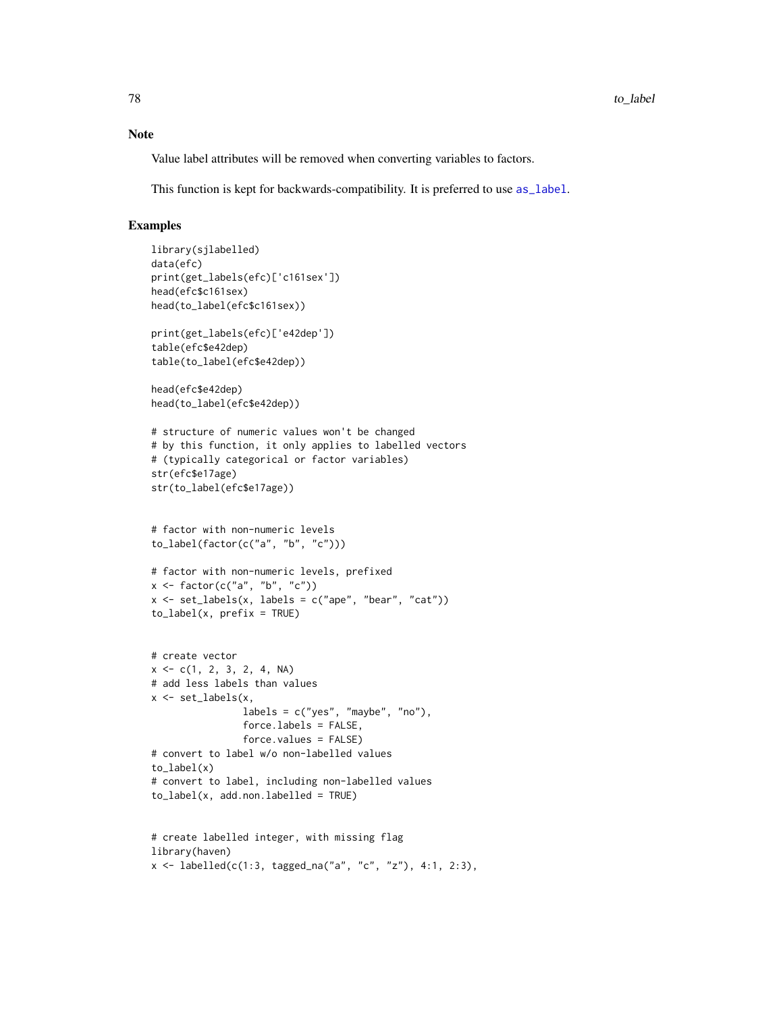<span id="page-77-0"></span>Value label attributes will be removed when converting variables to factors.

This function is kept for backwards-compatibility. It is preferred to use [as\\_label](#page-0-0).

```
library(sjlabelled)
data(efc)
print(get_labels(efc)['c161sex'])
head(efc$c161sex)
head(to_label(efc$c161sex))
print(get_labels(efc)['e42dep'])
table(efc$e42dep)
table(to_label(efc$e42dep))
head(efc$e42dep)
head(to_label(efc$e42dep))
# structure of numeric values won't be changed
# by this function, it only applies to labelled vectors
# (typically categorical or factor variables)
str(efc$e17age)
str(to_label(efc$e17age))
# factor with non-numeric levels
to_label(factor(c("a", "b", "c")))
# factor with non-numeric levels, prefixed
x \leftarrow factor(c("a", "b", "c"))
x \le - set_labels(x, labels = c("ape", "bear", "cat"))
to<sub>_</sub>label(x, prefix = TRUE)
# create vector
x \leq -c(1, 2, 3, 2, 4, NA)# add less labels than values
x <- set_labels(x,
                labels = c("yes", "maybe", "no"),
                force.labels = FALSE,
                force.values = FALSE)
# convert to label w/o non-labelled values
to_label(x)
# convert to label, including non-labelled values
to_label(x, add.non.labelled = TRUE)
# create labelled integer, with missing flag
library(haven)
x \le labelled(c(1:3, tagged_na("a", "c", "z"), 4:1, 2:3),
```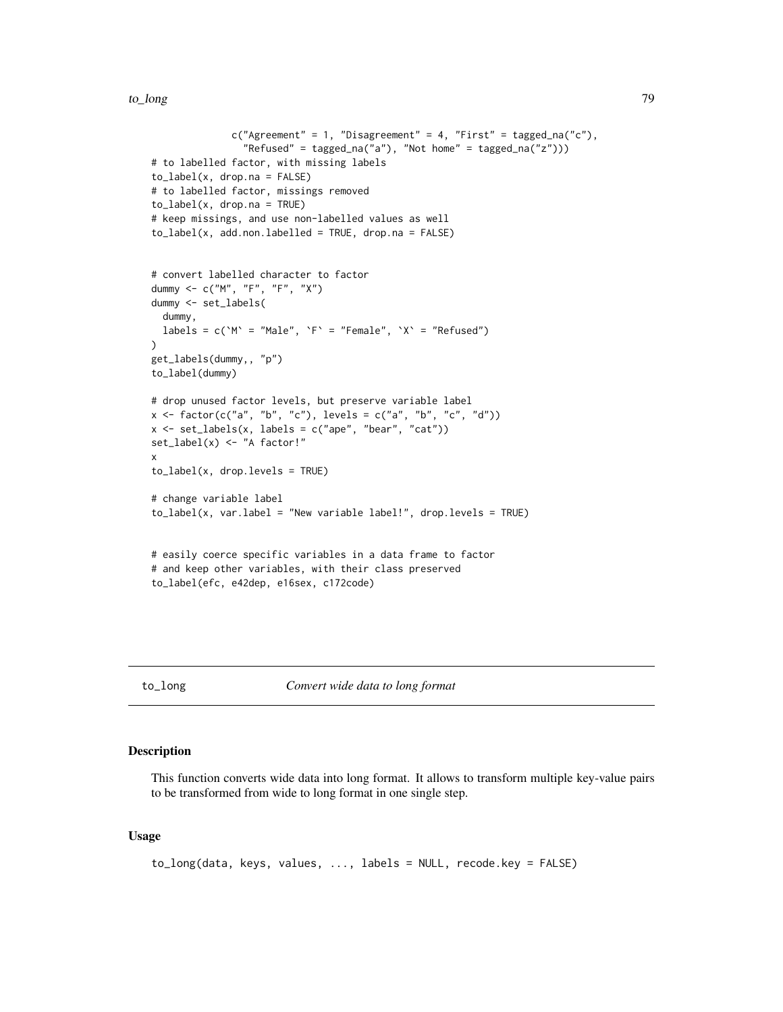```
c("Agreement" = 1, "Disagreement" = 4, "First" = tagged_na("c"),"Refused" = tagged_na("a"), "Not home" = tagged_na("z")))
# to labelled factor, with missing labels
to<sub>_</sub>label(x, drop.na = FALSE)
# to labelled factor, missings removed
to_label(x, drop.na = TRUE)
# keep missings, and use non-labelled values as well
to<sub>_label</sub>(x, add.non.labelled = TRUE, drop.na = FALSE)
# convert labelled character to factor
dummy <- c("M", "F", "F", "X")
dummy <- set_labels(
 dummy,
 labels = c('M' = "Male", 'F' = "Female", 'X' = "Refused"))
get_labels(dummy,, "p")
to_label(dummy)
# drop unused factor levels, but preserve variable label
x <- factor(c("a", "b", "c"), levels = c("a", "b", "c", "d"))
x \le -set\_labels(x, labels = c("ape", "bear", "cat"))set_label(x) <- "A factor!"
x
to_label(x, drop.levels = TRUE)
# change variable label
to_label(x, var.label = "New variable label!", drop.levels = TRUE)
# easily coerce specific variables in a data frame to factor
# and keep other variables, with their class preserved
to_label(efc, e42dep, e16sex, c172code)
```

```
to_long Convert wide data to long format
```
This function converts wide data into long format. It allows to transform multiple key-value pairs to be transformed from wide to long format in one single step.

### Usage

```
to_long(data, keys, values, ..., labels = NULL, recode.key = FALSE)
```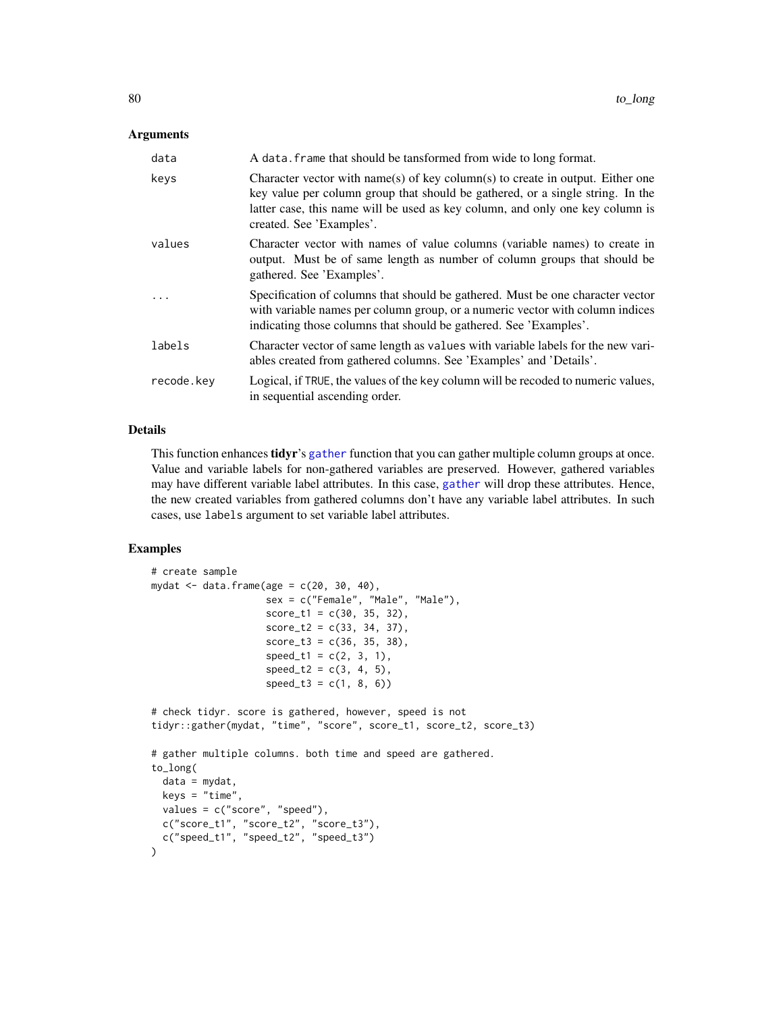## <span id="page-79-0"></span>**Arguments**

| data       | A data. frame that should be tansformed from wide to long format.                                                                                                                                                                                                             |
|------------|-------------------------------------------------------------------------------------------------------------------------------------------------------------------------------------------------------------------------------------------------------------------------------|
| keys       | Character vector with name(s) of key column(s) to create in output. Either one<br>key value per column group that should be gathered, or a single string. In the<br>latter case, this name will be used as key column, and only one key column is<br>created. See 'Examples'. |
| values     | Character vector with names of value columns (variable names) to create in<br>output. Must be of same length as number of column groups that should be<br>gathered. See 'Examples'.                                                                                           |
| $\cdots$   | Specification of columns that should be gathered. Must be one character vector<br>with variable names per column group, or a numeric vector with column indices<br>indicating those columns that should be gathered. See 'Examples'.                                          |
| labels     | Character vector of same length as values with variable labels for the new vari-<br>ables created from gathered columns. See 'Examples' and 'Details'.                                                                                                                        |
| recode.kev | Logical, if TRUE, the values of the key column will be recoded to numeric values,<br>in sequential ascending order.                                                                                                                                                           |

# Details

This function enhances **tidyr**'s [gather](#page-0-0) function that you can gather multiple column groups at once. Value and variable labels for non-gathered variables are preserved. However, gathered variables may have different variable label attributes. In this case, [gather](#page-0-0) will drop these attributes. Hence, the new created variables from gathered columns don't have any variable label attributes. In such cases, use labels argument to set variable label attributes.

```
# create sample
mydat \leq data.frame(age = c(20, 30, 40),
                    sex = c("Female", "Male", "Male"),
                    score_t1 = c(30, 35, 32),
                    score_t2 = c(33, 34, 37),
                    score_t3 = c(36, 35, 38),
                    speed_t1 = c(2, 3, 1),speed_t2 = c(3, 4, 5),speed_t3 = c(1, 8, 6)# check tidyr. score is gathered, however, speed is not
tidyr::gather(mydat, "time", "score", score_t1, score_t2, score_t3)
# gather multiple columns. both time and speed are gathered.
to_long(
 data = mydat,
 keys = "time",
  values = c("score", "speed"),
  c("score_t1", "score_t2", "score_t3"),
 c("speed_t1", "speed_t2", "speed_t3")
\lambda
```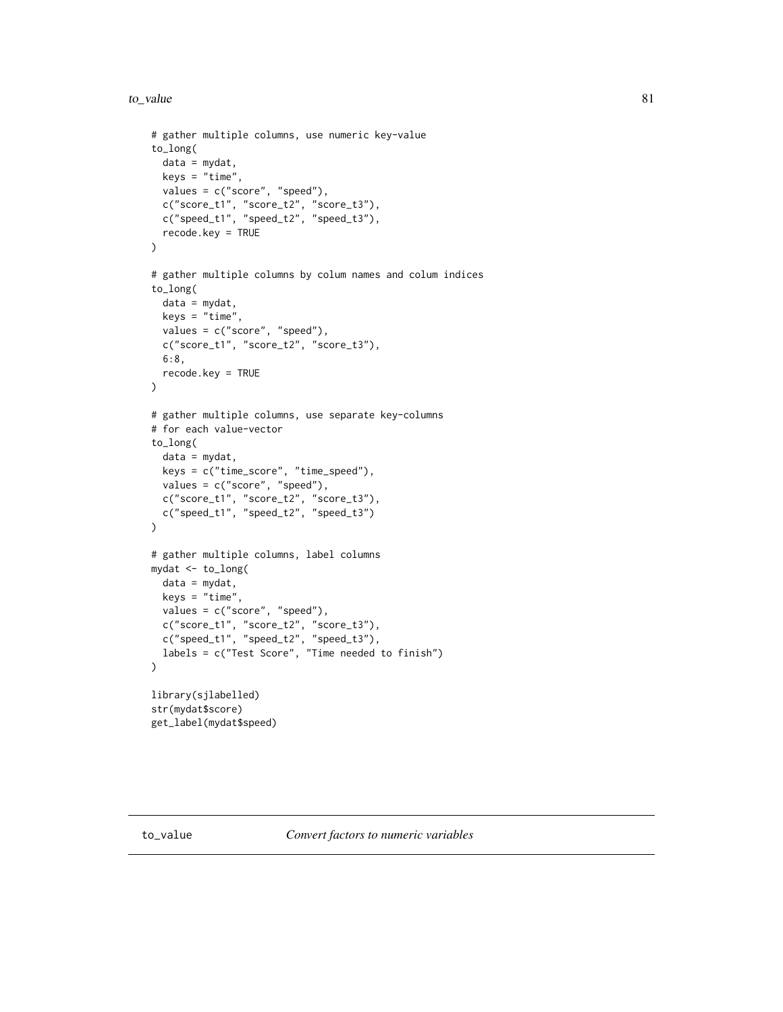```
# gather multiple columns, use numeric key-value
to_long(
  data = mydat,
 keys = "time",
  values = c("score", "speed"),
  c("score_t1", "score_t2", "score_t3"),
  c("speed_t1", "speed_t2", "speed_t3"),
  recode.key = TRUE
\lambda# gather multiple columns by colum names and colum indices
to_long(
  data = mydat,
  keys = "time",values = c("score", "speed"),
  c("score_t1", "score_t2", "score_t3"),
  6:8,
  recode.key = TRUE
)
# gather multiple columns, use separate key-columns
# for each value-vector
to_long(
  data = mydat,
  keys = c("time_score", "time_speed"),
  values = c("score", "speed"),
  c("score_t1", "score_t2", "score_t3"),
  c("speed_t1", "speed_t2", "speed_t3")
)
# gather multiple columns, label columns
mydat <- to_long(
  data = mydat,
  keys = "time",
  values = c("score", "speed"),
  c("score_t1", "score_t2", "score_t3"),
  c("speed_t1", "speed_t2", "speed_t3"),
  labels = c("Test Score", "Time needed to finish")
)
library(sjlabelled)
str(mydat$score)
get_label(mydat$speed)
```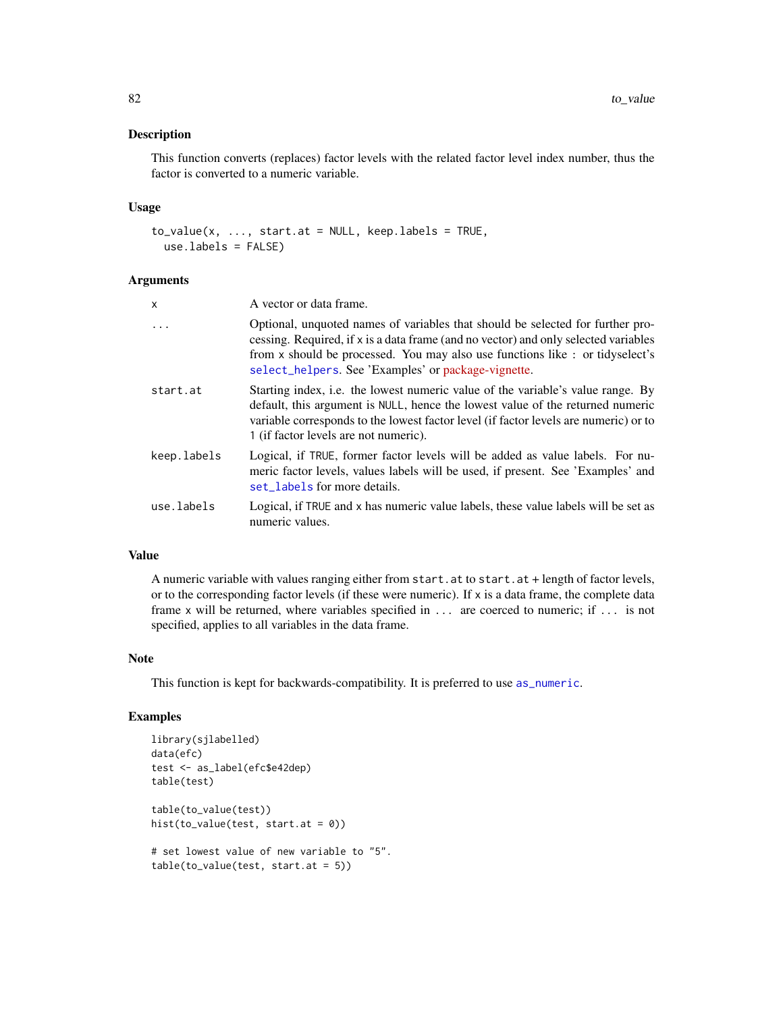<span id="page-81-0"></span>This function converts (replaces) factor levels with the related factor level index number, thus the factor is converted to a numeric variable.

### Usage

```
to_value(x, ..., start.at = NULL, keep_labels = TRUE,use.labels = FALSE)
```
# Arguments

| x           | A vector or data frame.                                                                                                                                                                                                                                                                                       |
|-------------|---------------------------------------------------------------------------------------------------------------------------------------------------------------------------------------------------------------------------------------------------------------------------------------------------------------|
| $\cdot$     | Optional, unquoted names of variables that should be selected for further pro-<br>cessing. Required, if x is a data frame (and no vector) and only selected variables<br>from x should be processed. You may also use functions like : or tidyselect's<br>select_helpers. See 'Examples' or package-vignette. |
| start.at    | Starting index, i.e. the lowest numeric value of the variable's value range. By<br>default, this argument is NULL, hence the lowest value of the returned numeric<br>variable corresponds to the lowest factor level (if factor levels are numeric) or to<br>1 (if factor levels are not numeric).            |
| keep.labels | Logical, if TRUE, former factor levels will be added as value labels. For nu-<br>meric factor levels, values labels will be used, if present. See 'Examples' and<br>set labels for more details.                                                                                                              |
| use.labels  | Logical, if TRUE and x has numeric value labels, these value labels will be set as<br>numeric values.                                                                                                                                                                                                         |

# Value

A numeric variable with values ranging either from start.at to start.at + length of factor levels, or to the corresponding factor levels (if these were numeric). If x is a data frame, the complete data frame x will be returned, where variables specified in ... are coerced to numeric; if ... is not specified, applies to all variables in the data frame.

## Note

This function is kept for backwards-compatibility. It is preferred to use [as\\_numeric](#page-0-0).

```
library(sjlabelled)
data(efc)
test <- as_label(efc$e42dep)
table(test)
table(to_value(test))
hist(to_value(test, start.at = 0))
# set lowest value of new variable to "5".
table(to_value(test, start.at = 5))
```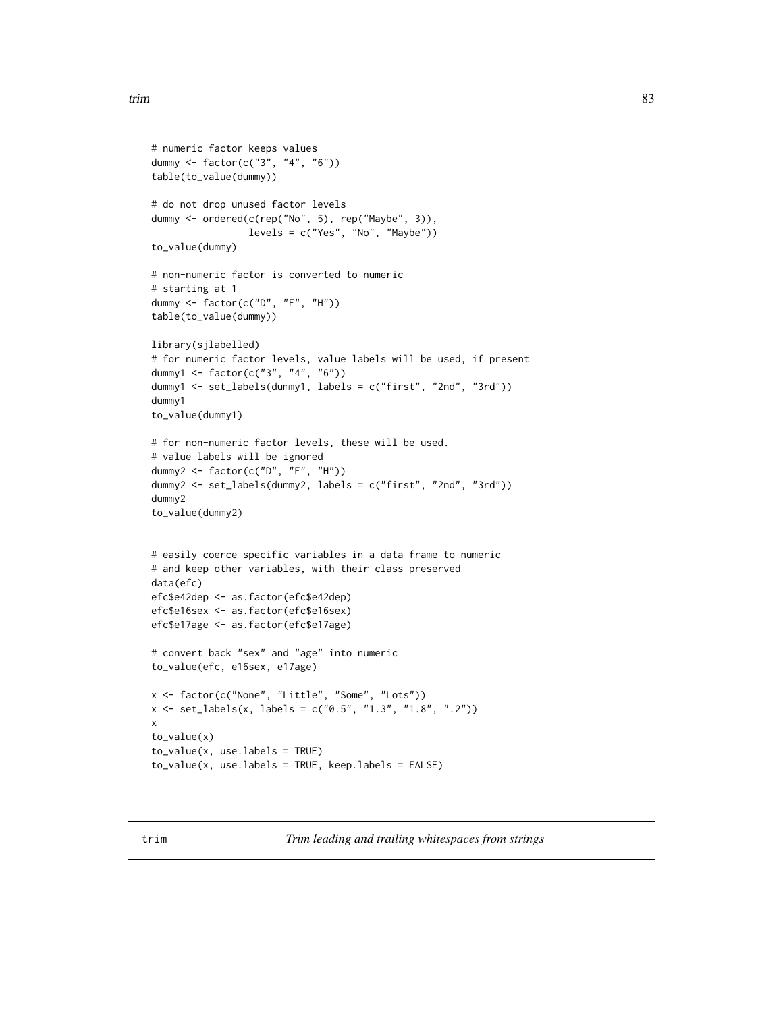```
# numeric factor keeps values
dummy <- factor(c("3", "4", "6"))
table(to_value(dummy))
# do not drop unused factor levels
dummy <- ordered(c(rep("No", 5), rep("Maybe", 3)),
                 levels = c("Yes", "No", "Maybe"))
to_value(dummy)
# non-numeric factor is converted to numeric
# starting at 1
dummy <- factor(c("D", "F", "H"))
table(to_value(dummy))
library(sjlabelled)
# for numeric factor levels, value labels will be used, if present
dummy1 <- factor(c("3", "4", "6"))
dummy1 <- set_labels(dummy1, labels = c("first", "2nd", "3rd"))
dummy1
to_value(dummy1)
# for non-numeric factor levels, these will be used.
# value labels will be ignored
dummy2 <- factor(c("D", "F", "H"))
dummy2 <- set_labels(dummy2, labels = c("first", "2nd", "3rd"))
dummy2
to_value(dummy2)
# easily coerce specific variables in a data frame to numeric
# and keep other variables, with their class preserved
data(efc)
efc$e42dep <- as.factor(efc$e42dep)
efc$e16sex <- as.factor(efc$e16sex)
efc$e17age <- as.factor(efc$e17age)
# convert back "sex" and "age" into numeric
to_value(efc, e16sex, e17age)
x <- factor(c("None", "Little", "Some", "Lots"))
x <- set_labels(x, labels = c("0.5", "1.3", "1.8", ".2"))
x
to_value(x)
to_value(x, use.labels = TRUE)
to_value(x, use.labels = TRUE, keep.labels = FALSE)
```
trim *Trim leading and trailing whitespaces from strings*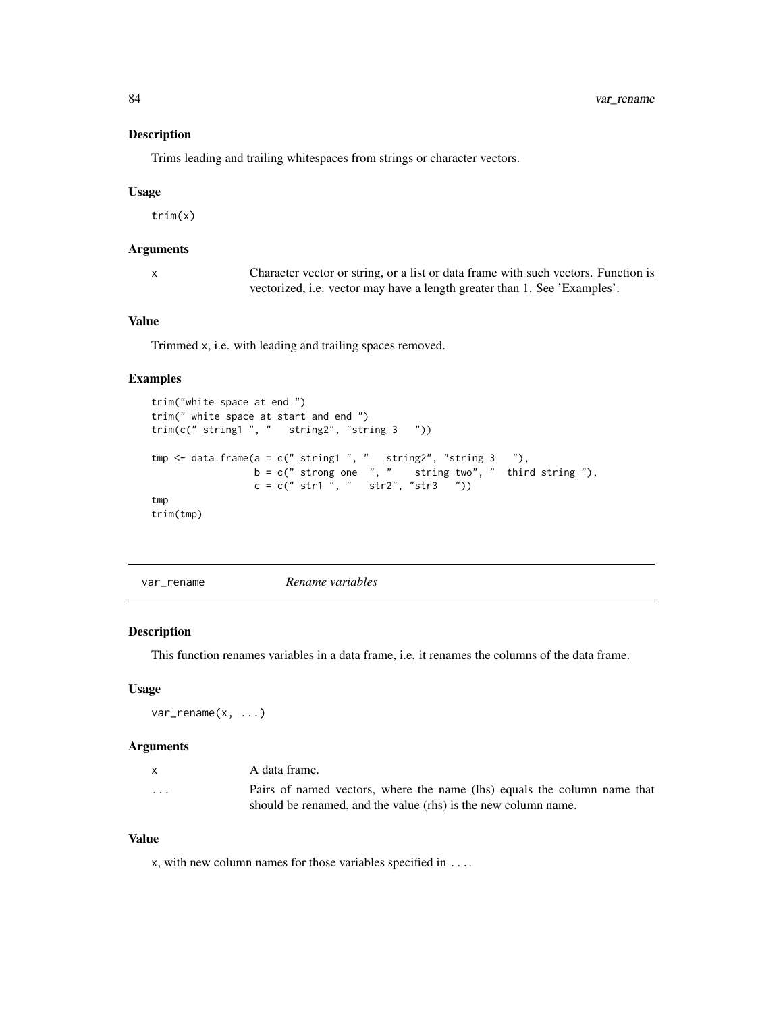Trims leading and trailing whitespaces from strings or character vectors.

#### Usage

trim(x)

## Arguments

x Character vector or string, or a list or data frame with such vectors. Function is vectorized, i.e. vector may have a length greater than 1. See 'Examples'.

# Value

Trimmed x, i.e. with leading and trailing spaces removed.

# Examples

```
trim("white space at end ")
trim(" white space at start and end ")
trim(c(" string1 ", " string2", "string 3 "))
tmp \leq data.frame(a = c(" string1", " string2", "string 3"),b = c(" strong one ", " string two", " third string"),c = c(" str1 ", " str2", "str3 "))
tmp
trim(tmp)
```
var\_rename *Rename variables*

## Description

This function renames variables in a data frame, i.e. it renames the columns of the data frame.

## Usage

var\_rename(x, ...)

## Arguments

| $\mathsf{x}$ | A data frame.                                                            |  |  |
|--------------|--------------------------------------------------------------------------|--|--|
| $\cdots$     | Pairs of named vectors, where the name (lhs) equals the column name that |  |  |
|              | should be renamed, and the value (rhs) is the new column name.           |  |  |

# Value

x, with new column names for those variables specified in ....

<span id="page-83-0"></span>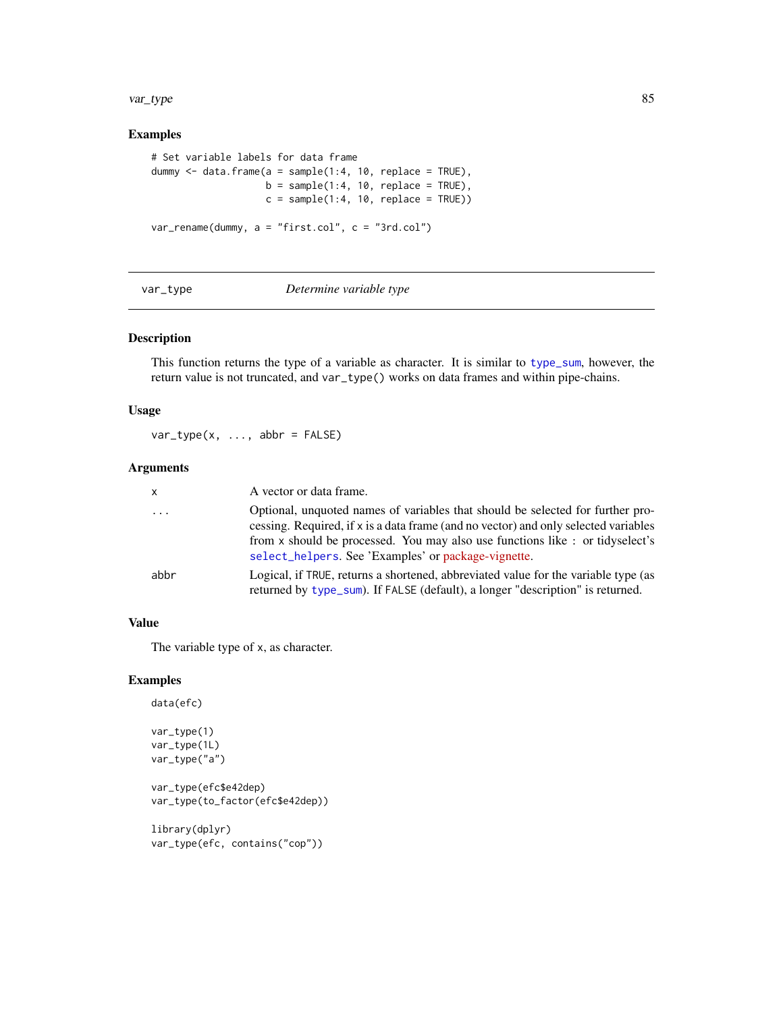#### <span id="page-84-0"></span>var\_type 85

# Examples

```
# Set variable labels for data frame
dummy \le data.frame(a = sample(1:4, 10, replace = TRUE),
                    b = sample(1:4, 10, replace = TRUE),c = sample(1:4, 10, replace = TRUE))var_rename(dummy, a = "first.col", c = "3rd.col")
```
#### var\_type *Determine variable type*

## Description

This function returns the type of a variable as character. It is similar to [type\\_sum](#page-0-0), however, the return value is not truncated, and var\_type() works on data frames and within pipe-chains.

#### Usage

 $var_type(x, ..., abbr = FALSE)$ 

## Arguments

| x        | A vector or data frame.                                                                                                                                                                                                                                                                                      |
|----------|--------------------------------------------------------------------------------------------------------------------------------------------------------------------------------------------------------------------------------------------------------------------------------------------------------------|
| $\cdots$ | Optional, unquoted names of variables that should be selected for further pro-<br>cessing. Required, if x is a data frame (and no vector) and only selected variables<br>from x should be processed. You may also use functions like: or tidyselect's<br>select_helpers. See 'Examples' or package-vignette. |
| abbr     | Logical, if TRUE, returns a shortened, abbreviated value for the variable type (as<br>returned by type_sum). If FALSE (default), a longer "description" is returned.                                                                                                                                         |

#### Value

The variable type of x, as character.

#### Examples

```
data(efc)
var_type(1)
var_type(1L)
var_type("a")
```
var\_type(efc\$e42dep) var\_type(to\_factor(efc\$e42dep))

library(dplyr) var\_type(efc, contains("cop"))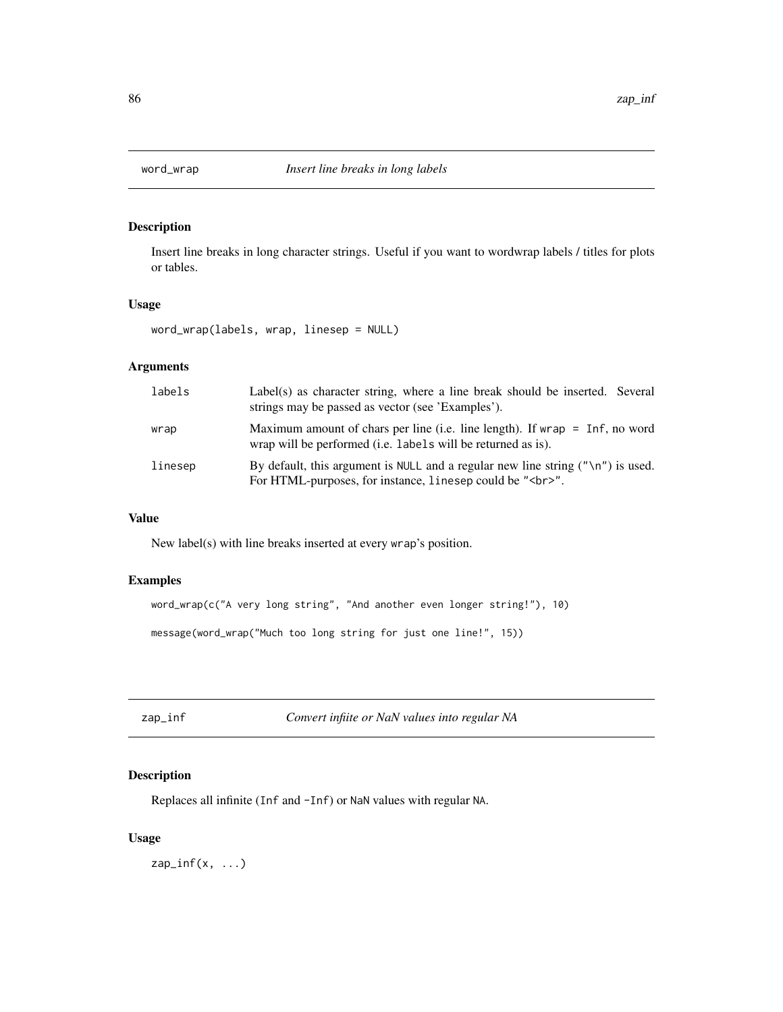<span id="page-85-0"></span>

Insert line breaks in long character strings. Useful if you want to wordwrap labels / titles for plots or tables.

# Usage

word\_wrap(labels, wrap, linesep = NULL)

# Arguments

| labels  | Label(s) as character string, where a line break should be inserted. Several<br>strings may be passed as vector (see 'Examples').                                   |
|---------|---------------------------------------------------------------------------------------------------------------------------------------------------------------------|
| wrap    | Maximum amount of chars per line (i.e. line length). If wrap $=$ Inf, no word<br>wrap will be performed ( <i>i.e.</i> labels will be returned as is).               |
| linesep | By default, this argument is NULL and a regular new line string $(\gamma \n\wedge \n\gamma')$ is used.<br>For HTML-purposes, for instance, linesep could be "<br>". |

## Value

New label(s) with line breaks inserted at every wrap's position.

# Examples

```
word_wrap(c("A very long string", "And another even longer string!"), 10)
message(word_wrap("Much too long string for just one line!", 15))
```
zap\_inf *Convert infiite or NaN values into regular NA*

# Description

Replaces all infinite (Inf and -Inf) or NaN values with regular NA.

# Usage

 $zap\_inf(x, ...)$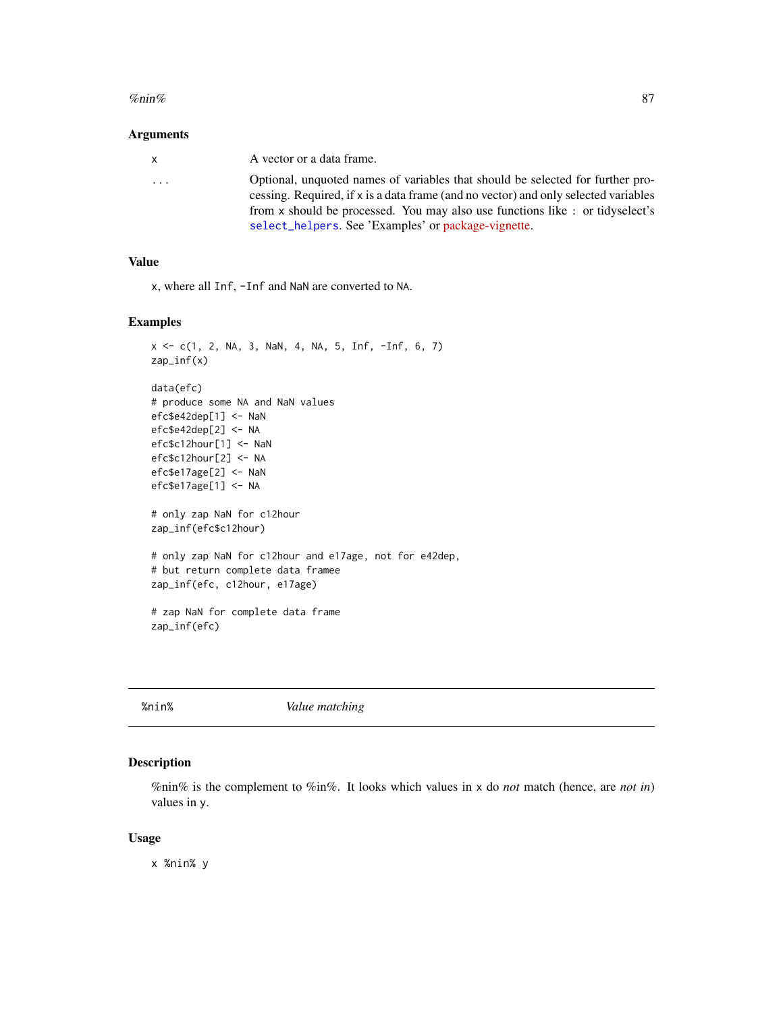#### <span id="page-86-0"></span>% $\frac{m}{2}$ %nin% 87

#### Arguments

| X | A vector or a data frame.                                                           |
|---|-------------------------------------------------------------------------------------|
| . | Optional, unquoted names of variables that should be selected for further pro-      |
|   | cessing. Required, if x is a data frame (and no vector) and only selected variables |
|   | from x should be processed. You may also use functions like: or tidyselect's        |
|   | select_helpers. See 'Examples' or package-vignette.                                 |

# Value

x, where all Inf, -Inf and NaN are converted to NA.

# Examples

```
x \leq c(1, 2, NA, 3, NaN, 4, NA, 5, Inf, -Inf, 6, 7)zap_inf(x)
data(efc)
# produce some NA and NaN values
efc$e42dep[1] <- NaN
efc$e42dep[2] <- NA
efc$c12hour[1] <- NaN
efc$c12hour[2] <- NA
efc$e17age[2] <- NaN
efc$e17age[1] <- NA
# only zap NaN for c12hour
zap_inf(efc$c12hour)
# only zap NaN for c12hour and e17age, not for e42dep,
# but return complete data framee
zap_inf(efc, c12hour, e17age)
# zap NaN for complete data frame
zap_inf(efc)
```
%nin% *Value matching*

## Description

%nin% is the complement to %in%. It looks which values in x do *not* match (hence, are *not in*) values in y.

## Usage

x %nin% y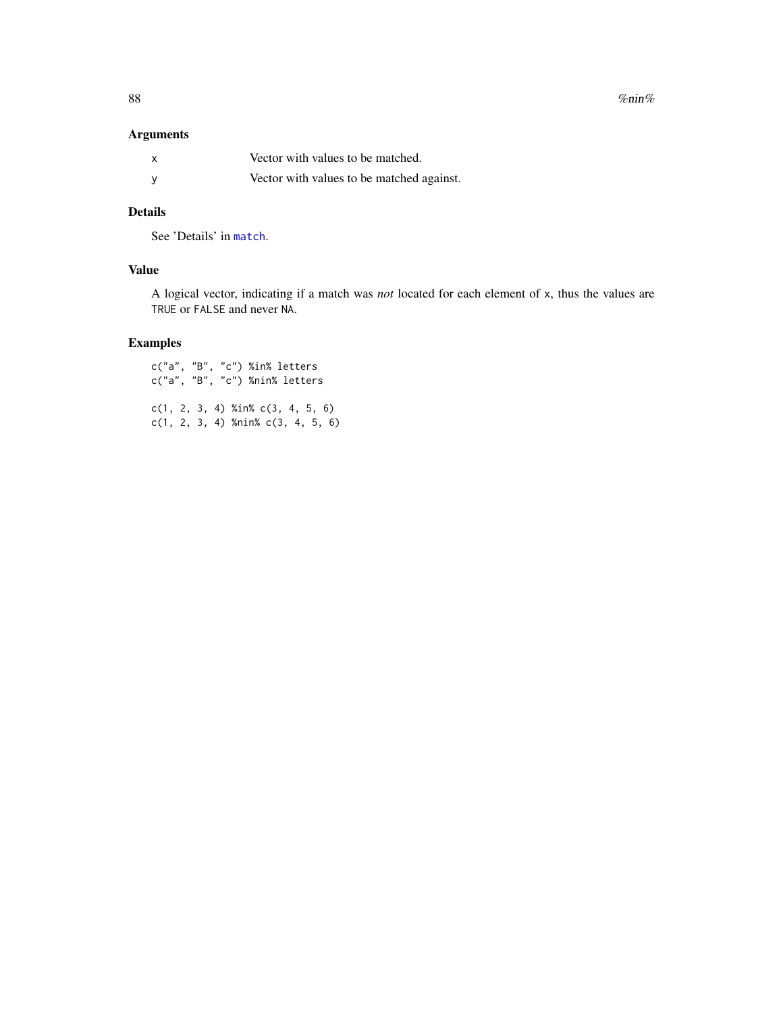<span id="page-87-0"></span>88 % $\sim$  %nin%  $\sim$  %nin%  $\sim$  %nin%  $\sim$  %nin%  $\sim$  %nin%  $\sim$  %nin%  $\sim$  %  $\sim$  %  $\sim$  %  $\sim$  %  $\sim$  %  $\sim$  %  $\sim$  %  $\sim$  %  $\sim$  %  $\sim$  %  $\sim$  %  $\sim$  %  $\sim$  %  $\sim$  %  $\sim$  %  $\sim$  %  $\sim$  %  $\sim$  %  $\sim$  %  $\sim$  %  $\sim$  %  $\sim$ 

# Arguments

| X        | Vector with values to be matched.         |
|----------|-------------------------------------------|
| <b>V</b> | Vector with values to be matched against. |

# Details

See 'Details' in [match](#page-0-0).

# Value

A logical vector, indicating if a match was *not* located for each element of x, thus the values are TRUE or FALSE and never NA.

# Examples

c("a", "B", "c") %in% letters c("a", "B", "c") %nin% letters c(1, 2, 3, 4) %in% c(3, 4, 5, 6) c(1, 2, 3, 4) %nin% c(3, 4, 5, 6)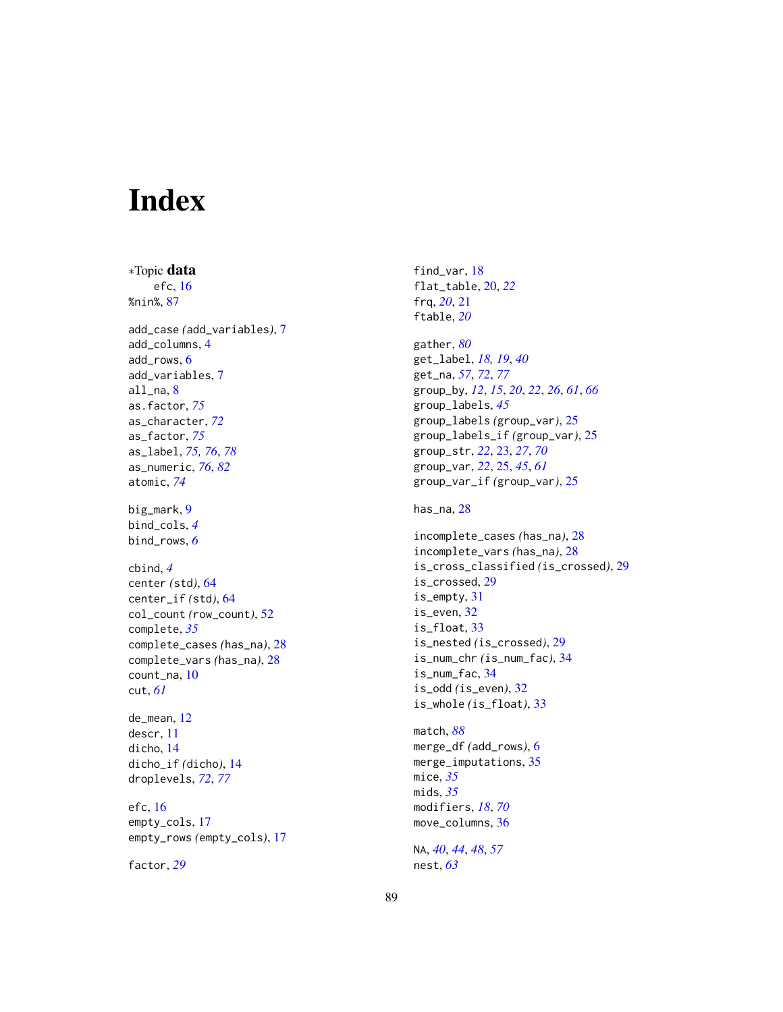# Index

∗Topic data efc, [16](#page-15-0) %nin%, [87](#page-86-0) add\_case *(*add\_variables*)*, [7](#page-6-0) add\_columns, [4](#page-3-0) add\_rows, [6](#page-5-0) add\_variables, [7](#page-6-0) all\_na, [8](#page-7-0) as.factor, *[75](#page-74-0)* as\_character, *[72](#page-71-0)* as\_factor, *[75](#page-74-0)* as\_label, *[75,](#page-74-0) [76](#page-75-0)*, *[78](#page-77-0)* as\_numeric, *[76](#page-75-0)*, *[82](#page-81-0)* atomic, *[74](#page-73-0)* big\_mark, [9](#page-8-0) bind\_cols, *[4](#page-3-0)* bind\_rows, *[6](#page-5-0)* cbind, *[4](#page-3-0)* center *(*std*)*, [64](#page-63-0) center\_if *(*std*)*, [64](#page-63-0) col\_count *(*row\_count*)*, [52](#page-51-0) complete, *[35](#page-34-0)* complete\_cases *(*has\_na*)*, [28](#page-27-0) complete\_vars *(*has\_na*)*, [28](#page-27-0) count\_na, [10](#page-9-0) cut, *[61](#page-60-0)* de\_mean, [12](#page-11-0) descr, [11](#page-10-0) dicho, [14](#page-13-0) dicho\_if *(*dicho*)*, [14](#page-13-0) droplevels, *[72](#page-71-0)*, *[77](#page-76-0)* efc, [16](#page-15-0)

empty\_cols, [17](#page-16-0) empty\_rows *(*empty\_cols*)*, [17](#page-16-0)

factor, *[29](#page-28-0)*

find\_var, [18](#page-17-0) flat\_table, [20,](#page-19-0) *[22](#page-21-0)* frq, *[20](#page-19-0)*, [21](#page-20-0) ftable, *[20](#page-19-0)*

gather, *[80](#page-79-0)* get\_label, *[18,](#page-17-0) [19](#page-18-0)*, *[40](#page-39-0)* get\_na, *[57](#page-56-0)*, *[72](#page-71-0)*, *[77](#page-76-0)* group\_by, *[12](#page-11-0)*, *[15](#page-14-0)*, *[20](#page-19-0)*, *[22](#page-21-0)*, *[26](#page-25-0)*, *[61](#page-60-0)*, *[66](#page-65-0)* group\_labels, *[45](#page-44-0)* group\_labels *(*group\_var*)*, [25](#page-24-0) group\_labels\_if *(*group\_var*)*, [25](#page-24-0) group\_str, *[22](#page-21-0)*, [23,](#page-22-0) *[27](#page-26-0)*, *[70](#page-69-0)* group\_var, *[22](#page-21-0)*, [25,](#page-24-0) *[45](#page-44-0)*, *[61](#page-60-0)* group\_var\_if *(*group\_var*)*, [25](#page-24-0)

has\_na, [28](#page-27-0)

```
incomplete_cases (has_na), 28
incomplete_vars (has_na), 28
is_cross_classified (is_crossed), 29
is_crossed, 29
is_empty, 31
is_even, 32
is_float, 33
is_nested (is_crossed), 29
is_num_chr (is_num_fac), 34
is_num_fac, 34
is_odd (is_even), 32
is_whole (is_float), 33
```
match, *[88](#page-87-0)* merge\_df *(*add\_rows*)*, [6](#page-5-0) merge\_imputations, [35](#page-34-0) mice, *[35](#page-34-0)* mids, *[35](#page-34-0)* modifiers, *[18](#page-17-0)*, *[70](#page-69-0)* move\_columns, [36](#page-35-0)

NA, *[40](#page-39-0)*, *[44](#page-43-0)*, *[48](#page-47-0)*, *[57](#page-56-0)* nest, *[63](#page-62-0)*